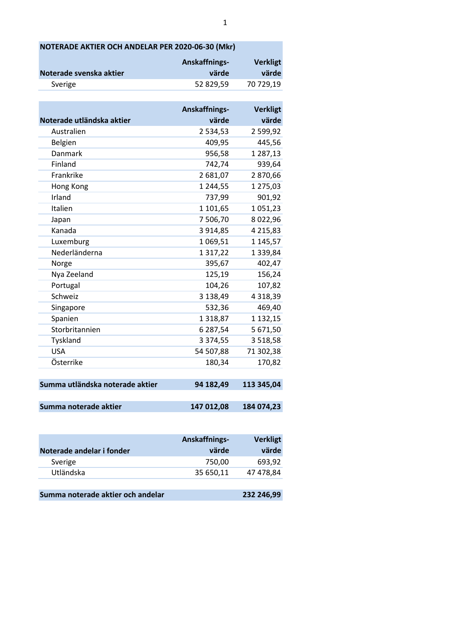| NOTERADE AKTIER OCH ANDELAR PER 2020-06-30 (Mkr) |               |                 |  |  |
|--------------------------------------------------|---------------|-----------------|--|--|
| Anskaffnings-<br><b>Verkligt</b>                 |               |                 |  |  |
| Noterade svenska aktier                          | värde         | värde           |  |  |
| Sverige                                          | 52 829,59     | 70 729,19       |  |  |
|                                                  |               |                 |  |  |
|                                                  | Anskaffnings- | <b>Verkligt</b> |  |  |
| Noterade utländska aktier                        | värde         | värde           |  |  |
| Australien                                       | 2 534,53      | 2 599,92        |  |  |
| Belgien                                          | 409,95        | 445,56          |  |  |
| Danmark                                          | 956,58        | 1 287,13        |  |  |
| Finland                                          | 742,74        | 939,64          |  |  |
| Frankrike                                        | 2 681,07      | 2870,66         |  |  |
| Hong Kong                                        | 1 244,55      | 1 275,03        |  |  |
| Irland                                           | 737,99        | 901,92          |  |  |
| Italien                                          | 1 101,65      | 1051,23         |  |  |
| Japan                                            | 7 506,70      | 8022,96         |  |  |
| Kanada                                           | 3 9 1 4, 8 5  | 4 2 1 5 , 8 3   |  |  |
| Luxemburg                                        | 1069,51       | 1 145,57        |  |  |
| Nederländerna                                    | 1 3 1 7 , 2 2 | 1 3 3 9 , 8 4   |  |  |
| Norge                                            | 395,67        | 402,47          |  |  |
| Nya Zeeland                                      | 125,19        | 156,24          |  |  |
| Portugal                                         | 104,26        | 107,82          |  |  |
| Schweiz                                          | 3 138,49      | 4 3 18, 39      |  |  |
| Singapore                                        | 532,36        | 469,40          |  |  |
| Spanien                                          | 1318,87       | 1 132,15        |  |  |
| Storbritannien                                   | 6 287,54      | 5 671,50        |  |  |
| Tyskland                                         | 3 3 7 4 , 5 5 | 3 5 18, 58      |  |  |
| <b>USA</b>                                       | 54 507,88     | 71 302,38       |  |  |
| Österrike                                        | 180,34        | 170,82          |  |  |
|                                                  |               |                 |  |  |
| Summa utländska noterade aktier                  | 94 182,49     | 113 345,04      |  |  |
|                                                  |               |                 |  |  |
| Summa noterade aktier                            | 147 012,08    | 184 074,23      |  |  |
|                                                  |               |                 |  |  |

|                           | Anskaffnings- | <b>Verkligt</b> |
|---------------------------|---------------|-----------------|
| Noterade andelar i fonder | värde         | värde           |
| Sverige                   | 750,00        | 693.92          |
| Utländska                 | 35 650,11     | 47 478,84       |
|                           |               |                 |
|                           |               |                 |

| Summa noterade aktier och andelar | 232 246,99 |
|-----------------------------------|------------|
|-----------------------------------|------------|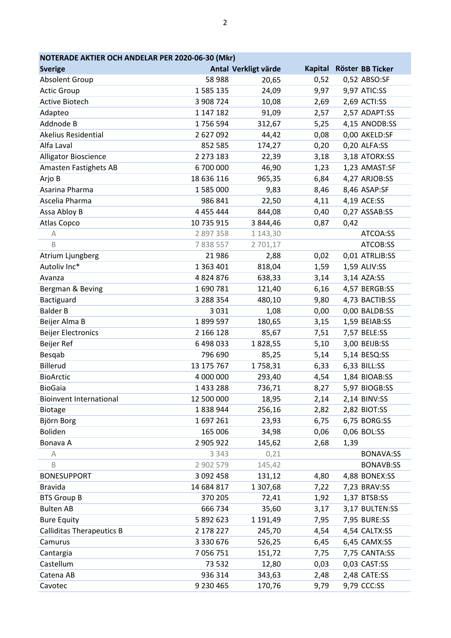| NOTERADE AKTIER OCH ANDELAR PER 2020-06-30 (Mkr) |               |                      |      |                          |  |  |
|--------------------------------------------------|---------------|----------------------|------|--------------------------|--|--|
| <b>Sverige</b>                                   |               | Antal Verkligt värde |      | Kapital Röster BB Ticker |  |  |
| <b>Absolent Group</b>                            | 58 988        | 20,65                | 0,52 | 0,52 ABSO:SF             |  |  |
| <b>Actic Group</b>                               | 1 585 135     | 24,09                | 9,97 | 9,97 ATIC:SS             |  |  |
| <b>Active Biotech</b>                            | 3 908 724     | 10,08                | 2,69 | 2,69 ACTI:SS             |  |  |
| Adapteo                                          | 1 147 182     | 91,09                | 2,57 | 2,57 ADAPT:SS            |  |  |
| Addnode B                                        | 1756594       | 312,67               | 5,25 | 4,15 ANODB:SS            |  |  |
| Akelius Residential                              | 2627092       | 44,42                | 0,08 | 0,00 AKELD:SF            |  |  |
| Alfa Laval                                       | 852 585       | 174,27               | 0,20 | 0,20 ALFA:SS             |  |  |
| Alligator Bioscience                             | 2 273 183     | 22,39                | 3,18 | 3,18 ATORX:SS            |  |  |
| Amasten Fastighets AB                            | 6700000       | 46,90                | 1,23 | 1,23 AMAST:SF            |  |  |
| Arjo B                                           | 18 636 116    | 965,35               | 6,84 | 4,27 ARJOB:SS            |  |  |
| Asarina Pharma                                   | 1 585 000     | 9,83                 | 8,46 | 8,46 ASAP:SF             |  |  |
| Ascelia Pharma                                   | 986 841       | 22,50                | 4,11 | 4,19 ACE:SS              |  |  |
| Assa Abloy B                                     | 4 4 5 4 4 4 4 | 844,08               | 0,40 | 0,27 ASSAB:SS            |  |  |
| Atlas Copco                                      | 10 735 915    | 3 844,46             | 0,87 | 0,42                     |  |  |
| А                                                | 2 897 358     | 1 143,30             |      | ATCOA:SS                 |  |  |
| B                                                | 7838557       | 2 701,17             |      | ATCOB:SS                 |  |  |
| Atrium Ljungberg                                 | 21 986        | 2,88                 | 0,02 | 0,01 ATRLJB:SS           |  |  |
| Autoliv Inc*                                     | 1 363 401     | 818,04               | 1,59 | 1,59 ALIV:SS             |  |  |
| Avanza                                           | 4 8 2 4 8 7 6 | 638,33               | 3,14 | 3,14 AZA:SS              |  |  |
| Bergman & Beving                                 | 1690781       | 121,40               | 6,16 | 4,57 BERGB:SS            |  |  |
| Bactiguard                                       | 3 288 354     | 480,10               | 9,80 | 4,73 BACTIB:SS           |  |  |
| <b>Balder B</b>                                  | 3 0 3 1       | 1,08                 | 0,00 | 0,00 BALDB:SS            |  |  |
| Beijer Alma B                                    | 1899597       | 180,65               | 3,15 | 1,59 BEIAB:SS            |  |  |
| <b>Beijer Electronics</b>                        | 2 166 128     | 85,67                | 7,51 | 7,57 BELE:SS             |  |  |
| Beijer Ref                                       | 6498033       | 1828,55              | 5,10 | 3,00 BEIJB:SS            |  |  |
| Besqab                                           | 796 690       | 85,25                | 5,14 | 5,14 BESQ:SS             |  |  |
| Billerud                                         | 13 175 767    | 1758,31              | 6,33 | 6,33 BILL:SS             |  |  |
| <b>BioArctic</b>                                 | 4 000 000     | 293,40               | 4,54 | 1,84 BIOAB:SS            |  |  |
| <b>BioGaia</b>                                   | 1433288       | 736,71               | 8,27 | 5,97 BIOGB:SS            |  |  |
| <b>Bioinvent International</b>                   | 12 500 000    | 18,95                | 2,14 | 2,14 BINV:SS             |  |  |
| <b>Biotage</b>                                   | 1838944       | 256,16               | 2,82 | 2,82 BIOT:SS             |  |  |
| Björn Borg                                       | 1697261       | 23,93                | 6,75 | 6,75 BORG:SS             |  |  |
| Boliden                                          | 165 006       | 34,98                | 0,06 | 0,06 BOL:SS              |  |  |
| Bonava A                                         | 2 905 922     | 145,62               | 2,68 | 1,39                     |  |  |
| Α                                                | 3 3 4 3       | 0,21                 |      | <b>BONAVA:SS</b>         |  |  |
| B                                                | 2 902 579     | 145,42               |      | <b>BONAVB:SS</b>         |  |  |
| <b>BONESUPPORT</b>                               | 3 092 458     | 131,12               | 4,80 | 4,88 BONEX:SS            |  |  |
| <b>Bravida</b>                                   | 14 684 817    | 1 307,68             | 7,22 | 7,23 BRAV:SS             |  |  |
| <b>BTS Group B</b>                               | 370 205       | 72,41                | 1,92 | 1,37 BTSB:SS             |  |  |
| <b>Bulten AB</b>                                 | 666 734       | 35,60                | 3,17 | 3,17 BULTEN:SS           |  |  |
| <b>Bure Equity</b>                               | 5 892 623     | 1 191,49             | 7,95 | 7,95 BURE:SS             |  |  |
| <b>Calliditas Therapeutics B</b>                 | 2 178 227     | 245,70               | 4,54 | 4,54 CALTX:SS            |  |  |
| Camurus                                          | 3 3 3 0 6 7 6 | 526,25               | 6,45 | 6,45 CAMX:SS             |  |  |
| Cantargia                                        | 7 056 751     | 151,72               | 7,75 | 7,75 CANTA:SS            |  |  |
| Castellum                                        | 73 532        | 12,80                | 0,03 | 0,03 CAST:SS             |  |  |
| Catena AB                                        | 936 314       | 343,63               | 2,48 | 2,48 CATE:SS             |  |  |
| Cavotec                                          | 9 230 465     | 170,76               | 9,79 | 9,79 CCC:SS              |  |  |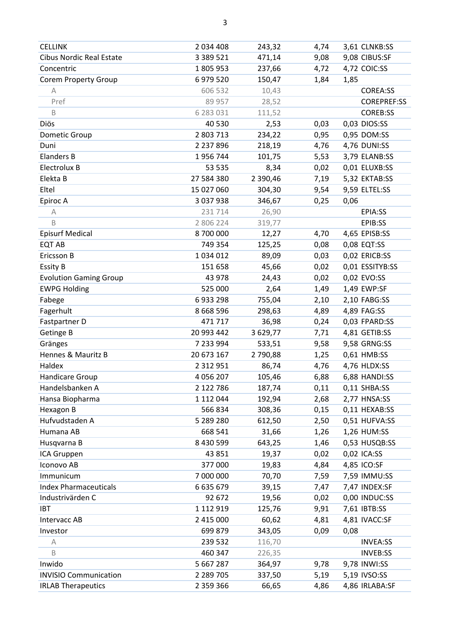| <b>CELLINK</b>                  | 2 034 408     | 243,32   | 4,74 | 3,61 CLNKB:SS      |
|---------------------------------|---------------|----------|------|--------------------|
| <b>Cibus Nordic Real Estate</b> | 3 3 8 9 5 2 1 | 471,14   | 9,08 | 9,08 CIBUS:SF      |
| Concentric                      | 1805953       | 237,66   | 4,72 | 4,72 COIC:SS       |
| <b>Corem Property Group</b>     | 6 979 520     | 150,47   | 1,84 | 1,85               |
| $\mathbb A$                     | 606 532       | 10,43    |      | <b>COREA:SS</b>    |
| Pref                            | 89 957        | 28,52    |      | <b>COREPREF:SS</b> |
| $\mathsf B$                     | 6 283 031     | 111,52   |      | <b>COREB:SS</b>    |
| Diös                            | 40 530        | 2,53     | 0,03 | 0,03 DIOS:SS       |
| Dometic Group                   | 2 803 713     | 234,22   | 0,95 | 0,95 DOM:SS        |
| Duni                            | 2 2 3 7 8 9 6 | 218,19   | 4,76 | 4,76 DUNI:SS       |
| <b>Elanders B</b>               | 1956744       | 101,75   | 5,53 | 3,79 ELANB:SS      |
| Electrolux B                    | 53 535        | 8,34     | 0,02 | 0,01 ELUXB:SS      |
| Elekta B                        | 27 584 380    | 2 390,46 | 7,19 | 5,32 EKTAB:SS      |
| Eltel                           | 15 027 060    | 304,30   | 9,54 | 9,59 ELTEL:SS      |
| Epiroc A                        | 3 037 938     | 346,67   | 0,25 | 0,06               |
| $\mathbb A$                     | 231 714       | 26,90    |      | EPIA:SS            |
| $\mathsf B$                     | 2 806 224     | 319,77   |      | EPIB:SS            |
| <b>Episurf Medical</b>          | 8700000       | 12,27    | 4,70 | 4,65 EPISB:SS      |
| <b>EQT AB</b>                   | 749 354       | 125,25   | 0,08 | 0,08 EQT:SS        |
| Ericsson B                      | 1 0 3 4 0 1 2 | 89,09    | 0,03 | 0,02 ERICB:SS      |
| <b>Essity B</b>                 | 151 658       | 45,66    | 0,02 | 0,01 ESSITYB:SS    |
| <b>Evolution Gaming Group</b>   | 43 978        | 24,43    | 0,02 | 0,02 EVO:SS        |
| <b>EWPG Holding</b>             | 525 000       | 2,64     | 1,49 | 1,49 EWP:SF        |
| Fabege                          | 6933298       | 755,04   | 2,10 | 2,10 FABG:SS       |
| Fagerhult                       | 8 6 6 8 5 9 6 | 298,63   | 4,89 | 4,89 FAG:SS        |
| Fastpartner D                   | 471 717       | 36,98    | 0,24 | 0,03 FPARD:SS      |
| Getinge B                       | 20 993 442    | 3 629,77 | 7,71 | 4,81 GETIB:SS      |
| Gränges                         | 7 233 994     | 533,51   | 9,58 | 9,58 GRNG:SS       |
| Hennes & Mauritz B              | 20 673 167    | 2790,88  | 1,25 | 0,61 HMB:SS        |
| Haldex                          | 2 3 1 2 9 5 1 | 86,74    | 4,76 | 4,76 HLDX:SS       |
| Handicare Group                 | 4 0 5 6 2 0 7 | 105,46   | 6,88 | 6,88 HANDI:SS      |
| Handelsbanken A                 | 2 122 786     | 187,74   | 0,11 | 0,11 SHBA:SS       |
| Hansa Biopharma                 | 1 112 044     | 192,94   | 2,68 | 2,77 HNSA:SS       |
| Hexagon B                       | 566 834       | 308,36   | 0,15 | 0,11 HEXAB:SS      |
| Hufvudstaden A                  | 5 289 280     | 612,50   | 2,50 | 0,51 HUFVA:SS      |
| Humana AB                       | 668 541       | 31,66    | 1,26 | 1,26 HUM:SS        |
| Husqvarna B                     | 8 430 599     | 643,25   | 1,46 | 0,53 HUSQB:SS      |
| ICA Gruppen                     | 43 851        | 19,37    | 0,02 | 0,02 ICA:SS        |
| Iconovo AB                      | 377 000       | 19,83    | 4,84 | 4,85 ICO:SF        |
| Immunicum                       | 7 000 000     | 70,70    | 7,59 | 7,59 IMMU:SS       |
| <b>Index Pharmaceuticals</b>    | 6 635 679     | 39,15    | 7,47 | 7,47 INDEX:SF      |
| Industrivärden C                | 92 672        | 19,56    | 0,02 | 0,00 INDUC:SS      |
| <b>IBT</b>                      | 1 112 919     | 125,76   | 9,91 | 7,61 IBTB:SS       |
| <b>Intervacc AB</b>             | 2 415 000     | 60,62    | 4,81 | 4,81 IVACC:SF      |
| Investor                        | 699 879       | 343,05   | 0,09 | 0,08               |
| Α                               | 239 532       | 116,70   |      | <b>INVEA:SS</b>    |
| B                               | 460 347       | 226,35   |      | <b>INVEB:SS</b>    |
| Inwido                          | 5 667 287     | 364,97   | 9,78 | 9,78 INWI:SS       |
| <b>INVISIO Communication</b>    | 2 2 8 7 0 5   | 337,50   | 5,19 | 5,19 IVSO:SS       |
| <b>IRLAB Therapeutics</b>       | 2 3 5 9 3 6 6 | 66,65    | 4,86 | 4,86 IRLABA:SF     |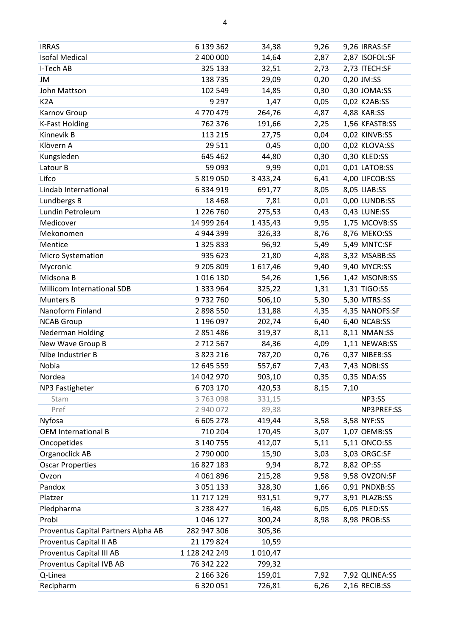| <b>IRRAS</b>                        | 6 139 362     | 34,38         | 9,26 | 9,26 IRRAS:SF  |
|-------------------------------------|---------------|---------------|------|----------------|
| <b>Isofal Medical</b>               | 2 400 000     | 14,64         | 2,87 | 2,87 ISOFOL:SF |
| I-Tech AB                           | 325 133       | 32,51         | 2,73 | 2,73 ITECH:SF  |
| JM                                  | 138 735       | 29,09         | 0,20 | 0,20 JM:SS     |
| John Mattson                        | 102 549       | 14,85         | 0,30 | 0,30 JOMA:SS   |
| K <sub>2</sub> A                    | 9 2 9 7       | 1,47          | 0,05 | 0,02 K2AB:SS   |
| Karnov Group                        | 4770479       | 264,76        | 4,87 | 4,88 KAR:SS    |
| <b>K-Fast Holding</b>               | 762 376       | 191,66        | 2,25 | 1,56 KFASTB:SS |
| Kinnevik B                          | 113 215       | 27,75         | 0,04 | 0,02 KINVB:SS  |
| Klövern A                           | 29 5 11       | 0,45          | 0,00 | 0,02 KLOVA:SS  |
| Kungsleden                          | 645 462       | 44,80         | 0,30 | 0,30 KLED:SS   |
| Latour B                            | 59 093        | 9,99          | 0,01 | 0,01 LATOB:SS  |
| Lifco                               | 5 819 050     | 3 433,24      | 6,41 | 4,00 LIFCOB:SS |
| Lindab International                | 6 3 3 4 9 1 9 | 691,77        | 8,05 | 8,05 LIAB:SS   |
| Lundbergs B                         | 18 4 68       | 7,81          | 0,01 | 0,00 LUNDB:SS  |
| Lundin Petroleum                    | 1 2 2 6 7 6 0 | 275,53        | 0,43 | 0,43 LUNE:SS   |
| Medicover                           | 14 999 264    | 1 4 3 5 , 4 3 | 9,95 | 1,75 MCOVB:SS  |
| Mekonomen                           | 4 944 399     | 326,33        | 8,76 | 8,76 MEKO:SS   |
| Mentice                             | 1 3 2 5 8 3 3 | 96,92         | 5,49 | 5,49 MNTC:SF   |
| <b>Micro Systemation</b>            | 935 623       | 21,80         | 4,88 | 3,32 MSABB:SS  |
| Mycronic                            | 9 205 809     | 1617,46       | 9,40 | 9,40 MYCR:SS   |
| Midsona B                           | 1016130       | 54,26         | 1,56 | 1,42 MSONB:SS  |
| Millicom International SDB          | 1 3 3 9 6 4   | 325,22        | 1,31 | 1,31 TIGO:SS   |
| Munters B                           | 9732760       | 506,10        | 5,30 | 5,30 MTRS:SS   |
| Nanoform Finland                    | 2 898 550     | 131,88        | 4,35 | 4,35 NANOFS:SF |
| <b>NCAB Group</b>                   | 1 196 097     | 202,74        | 6,40 | 6,40 NCAB:SS   |
| Nederman Holding                    | 2 851 486     | 319,37        | 8,11 | 8,11 NMAN:SS   |
| New Wave Group B                    | 2712567       | 84,36         | 4,09 | 1,11 NEWAB:SS  |
| Nibe Industrier B                   | 3 823 216     | 787,20        | 0,76 | 0,37 NIBEB:SS  |
| Nobia                               | 12 645 559    | 557,67        | 7,43 | 7,43 NOBI:SS   |
| Nordea                              | 14 042 970    | 903,10        | 0,35 | 0,35 NDA:SS    |
| NP3 Fastigheter                     | 6 703 170     | 420,53        | 8,15 | 7,10           |
| Stam                                | 3763098       | 331,15        |      | NP3:SS         |
| Pref                                | 2 940 072     | 89,38         |      | NP3PREF:SS     |
| Nyfosa                              | 6 605 278     | 419,44        | 3,58 | 3,58 NYF:SS    |
| <b>OEM International B</b>          | 710 204       | 170,45        | 3,07 | 1,07 OEMB:SS   |
| Oncopetides                         | 3 140 755     | 412,07        | 5,11 | 5,11 ONCO:SS   |
| Organoclick AB                      | 2 790 000     | 15,90         | 3,03 | 3,03 ORGC:SF   |
| <b>Oscar Properties</b>             | 16 827 183    | 9,94          | 8,72 | 8,82 OP:SS     |
| Ovzon                               | 4 0 6 1 8 9 6 | 215,28        | 9,58 | 9,58 OVZON:SF  |
| Pandox                              | 3 0 5 1 1 3 3 | 328,30        | 1,66 | 0,91 PNDXB:SS  |
| Platzer                             | 11 717 129    | 931,51        | 9,77 | 3,91 PLAZB:SS  |
| Pledpharma                          | 3 2 3 8 4 2 7 | 16,48         | 6,05 | 6,05 PLED:SS   |
| Probi                               | 1 046 127     | 300,24        | 8,98 | 8,98 PROB:SS   |
| Proventus Capital Partners Alpha AB | 282 947 306   | 305,36        |      |                |
| Proventus Capital II AB             | 21 179 824    | 10,59         |      |                |
| Proventus Capital III AB            | 1 128 242 249 | 1 0 1 0,47    |      |                |
| Proventus Capital IVB AB            | 76 342 222    | 799,32        |      |                |
| Q-Linea                             | 2 166 326     | 159,01        | 7,92 | 7,92 QLINEA:SS |
| Recipharm                           | 6 3 2 0 0 5 1 | 726,81        | 6,26 | 2,16 RECIB:SS  |
|                                     |               |               |      |                |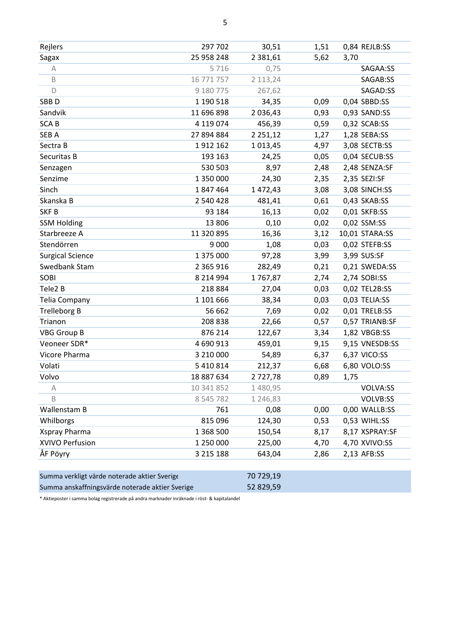| Rejlers                 | 297 702       | 30,51         | 1,51 | 0,84 REJLB:SS  |
|-------------------------|---------------|---------------|------|----------------|
| Sagax                   | 25 958 248    | 2 3 8 1 , 6 1 | 5,62 | 3,70           |
| Α                       | 5716          | 0,75          |      | SAGAA:SS       |
| $\mathsf B$             | 16 771 757    | 2 113,24      |      | SAGAB:SS       |
| D                       | 9 180 775     | 267,62        |      | SAGAD:SS       |
| SBB <sub>D</sub>        | 1 190 518     | 34,35         | 0,09 | 0,04 SBBD:SS   |
| Sandvik                 | 11 696 898    | 2 0 3 6 , 4 3 | 0,93 | 0,93 SAND:SS   |
| <b>SCAB</b>             | 4 119 074     | 456,39        | 0,59 | 0,32 SCAB:SS   |
| SEB A                   | 27 894 884    | 2 2 5 1 , 1 2 | 1,27 | 1,28 SEBA:SS   |
| Sectra B                | 1912 162      | 1 0 1 3 , 4 5 | 4,97 | 3,08 SECTB:SS  |
| Securitas B             | 193 163       | 24,25         | 0,05 | 0,04 SECUB:SS  |
| Senzagen                | 530 503       | 8,97          | 2,48 | 2,48 SENZA:SF  |
| Senzime                 | 1 350 000     | 24,30         | 2,35 | 2,35 SEZI:SF   |
| Sinch                   | 1847464       | 1 472,43      | 3,08 | 3,08 SINCH:SS  |
| Skanska B               | 2 540 428     | 481,41        | 0,61 | 0,43 SKAB:SS   |
| SKF <sub>B</sub>        | 93 184        | 16,13         | 0,02 | 0,01 SKFB:SS   |
| <b>SSM Holding</b>      | 13 806        | 0,10          | 0,02 | 0,02 SSM:SS    |
| Starbreeze A            | 11 320 895    | 16,36         | 3,12 | 10,01 STARA:SS |
| Stendörren              | 9 0 0 0       | 1,08          | 0,03 | 0,02 STEFB:SS  |
| <b>Surgical Science</b> | 1 375 000     | 97,28         | 3,99 | 3,99 SUS:SF    |
| Swedbank Stam           | 2 3 6 5 9 1 6 | 282,49        | 0,21 | 0,21 SWEDA:SS  |
| SOBI                    | 8 2 1 4 9 9 4 | 1767,87       | 2,74 | 2,74 SOBI:SS   |
| Tele2 B                 | 218 884       | 27,04         | 0,03 | 0,02 TEL2B:SS  |
| <b>Telia Company</b>    | 1 101 666     | 38,34         | 0,03 | 0,03 TELIA:SS  |
| <b>Trelleborg B</b>     | 56 662        | 7,69          | 0,02 | 0,01 TRELB:SS  |
| Trianon                 | 208 838       | 22,66         | 0,57 | 0,57 TRIANB:SF |
| <b>VBG Group B</b>      | 876 214       | 122,67        | 3,34 | 1,82 VBGB:SS   |
| Veoneer SDR*            | 4 690 913     | 459,01        | 9,15 | 9,15 VNESDB:SS |
| Vicore Pharma           | 3 210 000     | 54,89         | 6,37 | 6,37 VICO:SS   |
| Volati                  | 5 410 814     | 212,37        | 6,68 | 6,80 VOLO:SS   |
| Volvo                   | 18 887 634    | 2727,78       | 0,89 | 1,75           |
| А                       | 10 341 852    | 1 480,95      |      | VOLVA:SS       |
| B                       | 8 5 4 5 7 8 2 | 1 246,83      |      | VOLVB:SS       |
| Wallenstam B            | 761           | 0,08          | 0,00 | 0,00 WALLB:SS  |
| Whilborgs               | 815 096       | 124,30        | 0,53 | 0,53 WIHL:SS   |
| Xspray Pharma           | 1 3 6 8 5 0 0 | 150,54        | 8,17 | 8,17 XSPRAY:SF |
| XVIVO Perfusion         | 1 250 000     | 225,00        | 4,70 | 4,70 XVIVO:SS  |
| ÅF Pöyry                | 3 2 1 5 1 8 8 | 643,04        | 2,86 | 2,13 AFB:SS    |
|                         |               |               |      |                |

| Summa verkligt värde noterade aktier Sverige    | 70 729.19 |
|-------------------------------------------------|-----------|
| Summa anskaffningsvärde noterade aktier Sverige | 52 829,59 |

\* Aktieposter i samma bolag registrerade på andra marknader inräknade i röst- & kapitalandel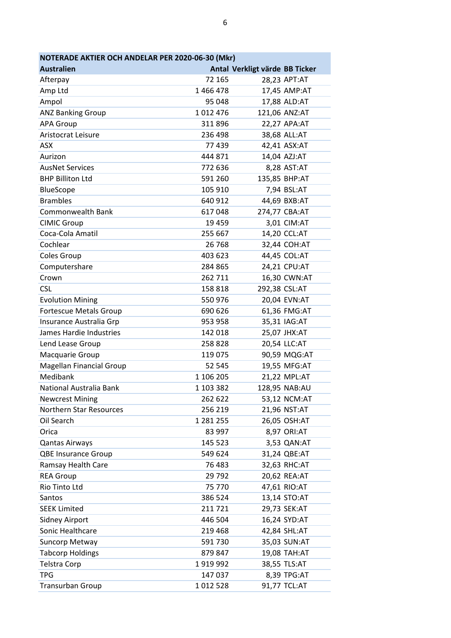| NOTERADE AKTIER OCH ANDELAR PER 2020-06-30 (Mkr) |               |                                |               |  |  |
|--------------------------------------------------|---------------|--------------------------------|---------------|--|--|
| <b>Australien</b>                                |               | Antal Verkligt värde BB Ticker |               |  |  |
| Afterpay                                         | 72 165        |                                | 28,23 APT:AT  |  |  |
| Amp Ltd                                          | 1466478       |                                | 17,45 AMP:AT  |  |  |
| Ampol                                            | 95 048        |                                | 17,88 ALD:AT  |  |  |
| <b>ANZ Banking Group</b>                         | 1012476       |                                | 121,06 ANZ:AT |  |  |
| <b>APA Group</b>                                 | 311896        |                                | 22,27 APA:AT  |  |  |
| Aristocrat Leisure                               | 236 498       |                                | 38,68 ALL:AT  |  |  |
| <b>ASX</b>                                       | 77 439        |                                | 42,41 ASX:AT  |  |  |
| Aurizon                                          | 444 871       |                                | 14,04 AZJ:AT  |  |  |
| <b>AusNet Services</b>                           | 772 636       |                                | 8,28 AST:AT   |  |  |
| <b>BHP Billiton Ltd</b>                          | 591 260       |                                | 135,85 BHP:AT |  |  |
| <b>BlueScope</b>                                 | 105 910       |                                | 7,94 BSL:AT   |  |  |
| <b>Brambles</b>                                  | 640 912       |                                | 44,69 BXB:AT  |  |  |
| <b>Commonwealth Bank</b>                         | 617048        |                                | 274,77 CBA:AT |  |  |
| <b>CIMIC Group</b>                               | 19 459        |                                | 3,01 CIM:AT   |  |  |
| Coca-Cola Amatil                                 | 255 667       |                                | 14,20 CCL:AT  |  |  |
| Cochlear                                         | 26 768        |                                | 32,44 COH:AT  |  |  |
| Coles Group                                      | 403 623       |                                | 44,45 COL:AT  |  |  |
| Computershare                                    | 284 865       |                                | 24,21 CPU:AT  |  |  |
| Crown                                            | 262 711       |                                | 16,30 CWN:AT  |  |  |
| <b>CSL</b>                                       | 158 818       |                                | 292,38 CSL:AT |  |  |
| <b>Evolution Mining</b>                          | 550 976       |                                | 20,04 EVN:AT  |  |  |
| <b>Fortescue Metals Group</b>                    | 690 626       |                                | 61,36 FMG:AT  |  |  |
| Insurance Australia Grp                          | 953 958       |                                | 35,31 IAG:AT  |  |  |
| James Hardie Industries                          | 142 018       |                                | 25,07 JHX:AT  |  |  |
| Lend Lease Group                                 | 258 828       |                                | 20,54 LLC:AT  |  |  |
| Macquarie Group                                  | 119 075       |                                | 90,59 MQG:AT  |  |  |
| <b>Magellan Financial Group</b>                  | 52 545        |                                | 19,55 MFG:AT  |  |  |
| Medibank                                         | 1 106 205     |                                | 21,22 MPL:AT  |  |  |
| National Australia Bank                          | 1 103 382     |                                | 128,95 NAB:AU |  |  |
| <b>Newcrest Mining</b>                           | 262 622       |                                | 53,12 NCM:AT  |  |  |
| Northern Star Resources                          | 256 219       |                                | 21,96 NST:AT  |  |  |
| Oil Search                                       | 1 2 8 1 2 5 5 |                                | 26,05 OSH:AT  |  |  |
| Orica                                            | 83 997        |                                | 8,97 ORI:AT   |  |  |
| <b>Qantas Airways</b>                            | 145 523       |                                | 3,53 QAN:AT   |  |  |
| <b>QBE Insurance Group</b>                       | 549 624       |                                | 31,24 QBE:AT  |  |  |
| Ramsay Health Care                               | 76 483        |                                | 32,63 RHC:AT  |  |  |
| <b>REA Group</b>                                 | 29 7 92       |                                | 20,62 REA:AT  |  |  |
| Rio Tinto Ltd                                    | 75 770        |                                | 47,61 RIO:AT  |  |  |
| Santos                                           | 386 524       |                                | 13,14 STO:AT  |  |  |
| <b>SEEK Limited</b>                              | 211 721       |                                | 29,73 SEK:AT  |  |  |
| <b>Sidney Airport</b>                            | 446 504       |                                | 16,24 SYD:AT  |  |  |
| Sonic Healthcare                                 | 219 468       |                                | 42,84 SHL:AT  |  |  |
| Suncorp Metway                                   | 591730        |                                | 35,03 SUN:AT  |  |  |
| <b>Tabcorp Holdings</b>                          | 879 847       |                                | 19,08 TAH:AT  |  |  |
| <b>Telstra Corp</b>                              | 1919992       |                                | 38,55 TLS:AT  |  |  |
| <b>TPG</b>                                       | 147 037       |                                | 8,39 TPG:AT   |  |  |
| Transurban Group                                 | 1012528       |                                | 91,77 TCL:AT  |  |  |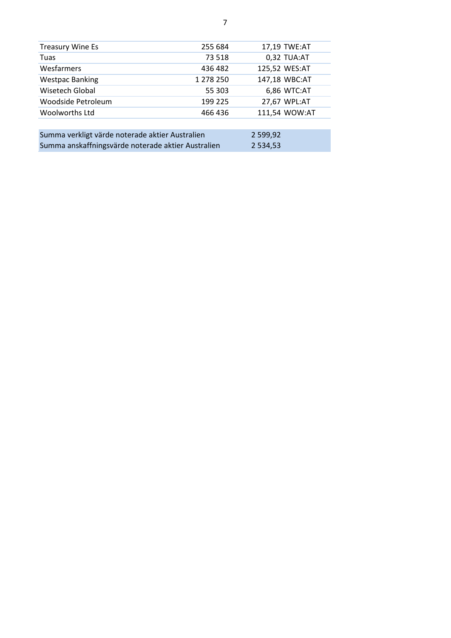| <b>Treasury Wine Es</b>                            | 255 684   |               | 17,19 TWE:AT  |  |  |
|----------------------------------------------------|-----------|---------------|---------------|--|--|
| Tuas                                               | 73 518    |               | 0,32 TUA:AT   |  |  |
| Wesfarmers                                         | 436 482   |               | 125,52 WES:AT |  |  |
| <b>Westpac Banking</b>                             | 1 278 250 |               | 147,18 WBC:AT |  |  |
| Wisetech Global                                    | 55 303    |               | 6,86 WTC:AT   |  |  |
| Woodside Petroleum                                 | 199 225   |               | 27,67 WPL:AT  |  |  |
| <b>Woolworths Ltd</b>                              | 466 436   |               | 111,54 WOW:AT |  |  |
|                                                    |           |               |               |  |  |
| Summa verkligt värde noterade aktier Australien    |           | 2 599,92      |               |  |  |
| Summa anskaffningsvärde noterade aktier Australien |           | 2 5 3 4 , 5 3 |               |  |  |
|                                                    |           |               |               |  |  |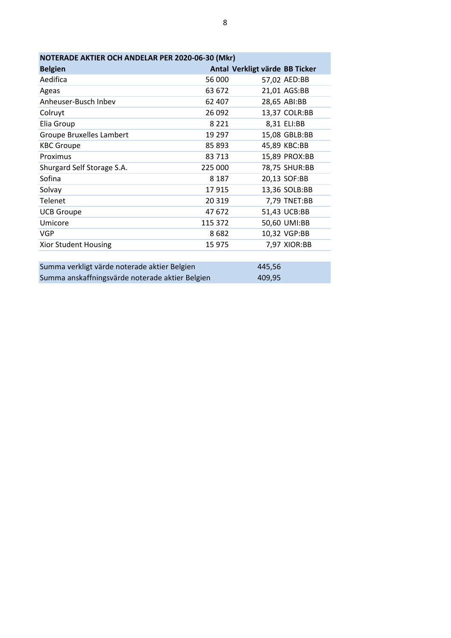| NOTERADE AKTIER OCH ANDELAR PER 2020-06-30 (Mkr) |         |                                |  |  |  |
|--------------------------------------------------|---------|--------------------------------|--|--|--|
| <b>Belgien</b>                                   |         | Antal Verkligt värde BB Ticker |  |  |  |
| Aedifica                                         | 56 000  | 57,02 AED:BB                   |  |  |  |
| Ageas                                            | 63 672  | 21,01 AGS:BB                   |  |  |  |
| Anheuser-Busch Inbev                             | 62 407  | 28,65 ABI:BB                   |  |  |  |
| Colruyt                                          | 26 092  | 13,37 COLR:BB                  |  |  |  |
| Elia Group                                       | 8 2 2 1 | 8,31 ELI:BB                    |  |  |  |
| <b>Groupe Bruxelles Lambert</b>                  | 19 297  | 15,08 GBLB:BB                  |  |  |  |
| <b>KBC Groupe</b>                                | 85 893  | 45,89 KBC:BB                   |  |  |  |
| Proximus                                         | 83 713  | 15,89 PROX:BB                  |  |  |  |
| Shurgard Self Storage S.A.                       | 225 000 | 78,75 SHUR:BB                  |  |  |  |
| Sofina                                           | 8 1 8 7 | 20,13 SOF:BB                   |  |  |  |
| Solvay                                           | 17915   | 13,36 SOLB:BB                  |  |  |  |
| Telenet                                          | 20 319  | 7,79 TNET:BB                   |  |  |  |
| <b>UCB Groupe</b>                                | 47 672  | 51,43 UCB:BB                   |  |  |  |
| Umicore                                          | 115 372 | 50,60 UMI:BB                   |  |  |  |
| <b>VGP</b>                                       | 8682    | 10,32 VGP:BB                   |  |  |  |
| <b>Xior Student Housing</b>                      | 15 975  | 7,97 XIOR:BB                   |  |  |  |
|                                                  |         |                                |  |  |  |

| Summa verkligt värde noterade aktier Belgien    | 445.56 |  |
|-------------------------------------------------|--------|--|
| Summa anskaffningsvärde noterade aktier Belgien | 409.95 |  |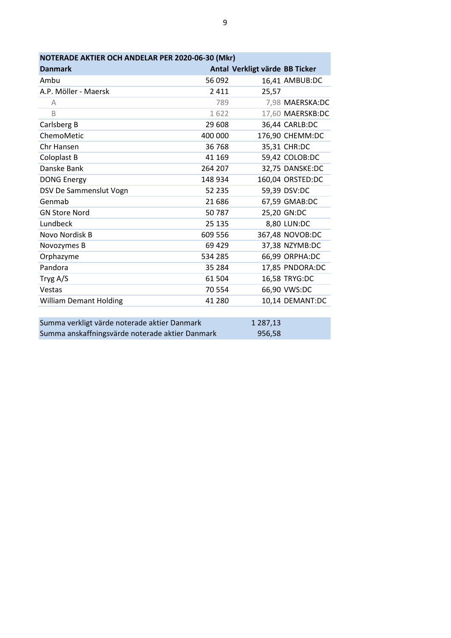| NOTERADE AKTIER OCH ANDELAR PER 2020-06-30 (Mkr) |         |                                |                  |  |
|--------------------------------------------------|---------|--------------------------------|------------------|--|
| <b>Danmark</b>                                   |         | Antal Verkligt värde BB Ticker |                  |  |
| Ambu                                             | 56 092  |                                | 16,41 AMBUB:DC   |  |
| A.P. Möller - Maersk                             | 2411    | 25,57                          |                  |  |
| А                                                | 789     |                                | 7,98 MAERSKA:DC  |  |
| B                                                | 1622    |                                | 17,60 MAERSKB:DC |  |
| Carlsberg B                                      | 29 608  |                                | 36,44 CARLB:DC   |  |
| ChemoMetic                                       | 400 000 |                                | 176,90 CHEMM:DC  |  |
| Chr Hansen                                       | 36 768  |                                | 35,31 CHR:DC     |  |
| Coloplast B                                      | 41 169  |                                | 59,42 COLOB:DC   |  |
| Danske Bank                                      | 264 207 |                                | 32,75 DANSKE:DC  |  |
| <b>DONG Energy</b>                               | 148 934 |                                | 160,04 ORSTED:DC |  |
| DSV De Sammenslut Vogn                           | 52 235  |                                | 59,39 DSV:DC     |  |
| Genmab                                           | 21 686  |                                | 67,59 GMAB:DC    |  |
| <b>GN Store Nord</b>                             | 50787   |                                | 25,20 GN:DC      |  |
| Lundbeck                                         | 25 135  |                                | 8,80 LUN:DC      |  |
| Novo Nordisk B                                   | 609 556 |                                | 367,48 NOVOB:DC  |  |
| Novozymes B                                      | 69 4 29 |                                | 37,38 NZYMB:DC   |  |
| Orphazyme                                        | 534 285 |                                | 66,99 ORPHA:DC   |  |
| Pandora                                          | 35 284  |                                | 17,85 PNDORA:DC  |  |
| Tryg A/S                                         | 61 504  |                                | 16,58 TRYG:DC    |  |
| Vestas                                           | 70 554  |                                | 66,90 VWS:DC     |  |
| <b>William Demant Holding</b>                    | 41 280  |                                | 10,14 DEMANT:DC  |  |
|                                                  |         |                                |                  |  |
| Summa verkligt värde noterade aktier Danmark     |         | 1 287,13                       |                  |  |
| Summa anskaffningsvärde noterade aktier Danmark  |         | 956,58                         |                  |  |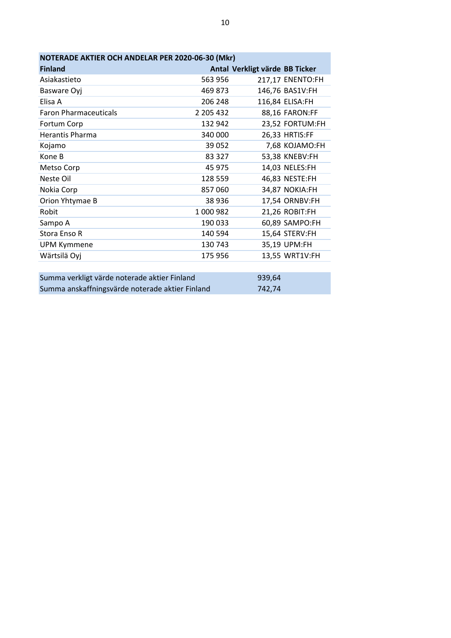| NOTERADE AKTIER OCH ANDELAR PER 2020-06-30 (Mkr) |           |                                |  |
|--------------------------------------------------|-----------|--------------------------------|--|
| <b>Finland</b>                                   |           | Antal Verkligt värde BB Ticker |  |
| Asiakastieto                                     | 563 956   | 217,17 ENENTO:FH               |  |
| Basware Oyj                                      | 469 873   | 146,76 BAS1V:FH                |  |
| Elisa A                                          | 206 248   | 116,84 ELISA:FH                |  |
| <b>Faron Pharmaceuticals</b>                     | 2 205 432 | 88,16 FARON:FF                 |  |
| Fortum Corp                                      | 132 942   | 23,52 FORTUM:FH                |  |
| Herantis Pharma                                  | 340 000   | 26,33 HRTIS:FF                 |  |
| Kojamo                                           | 39 0 52   | 7,68 KOJAMO:FH                 |  |
| Kone B                                           | 83 327    | 53,38 KNEBV:FH                 |  |
| Metso Corp                                       | 45 975    | 14,03 NELES:FH                 |  |
| Neste Oil                                        | 128 559   | 46,83 NESTE:FH                 |  |
| Nokia Corp                                       | 857060    | 34,87 NOKIA:FH                 |  |
| Orion Yhtymae B                                  | 38 936    | 17,54 ORNBV:FH                 |  |
| Robit                                            | 1000982   | 21,26 ROBIT:FH                 |  |
| Sampo A                                          | 190 033   | 60,89 SAMPO:FH                 |  |
| Stora Enso R                                     | 140 594   | 15,64 STERV:FH                 |  |
| <b>UPM Kymmene</b>                               | 130 743   | 35,19 UPM:FH                   |  |
| Wärtsilä Oyj                                     | 175 956   | 13,55 WRT1V:FH                 |  |
|                                                  |           |                                |  |

| Summa verkligt värde noterade aktier Finland    | 939.64 |
|-------------------------------------------------|--------|
| Summa anskaffningsvärde noterade aktier Finland | 742.74 |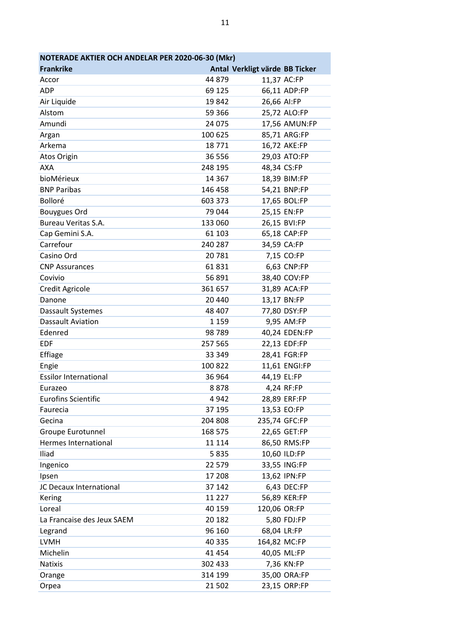| NOTERADE AKTIER OCH ANDELAR PER 2020-06-30 (Mkr) |          |                                |  |
|--------------------------------------------------|----------|--------------------------------|--|
| <b>Frankrike</b>                                 |          | Antal Verkligt värde BB Ticker |  |
| Accor                                            | 44 879   | 11,37 AC:FP                    |  |
| <b>ADP</b>                                       | 69 125   | 66,11 ADP:FP                   |  |
| Air Liquide                                      | 19842    | 26,66 AI:FP                    |  |
| Alstom                                           | 59 366   | 25,72 ALO:FP                   |  |
| Amundi                                           | 24 075   | 17,56 AMUN:FP                  |  |
| Argan                                            | 100 625  | 85,71 ARG:FP                   |  |
| Arkema                                           | 18771    | 16,72 AKE:FP                   |  |
| Atos Origin                                      | 36 556   | 29,03 ATO:FP                   |  |
| <b>AXA</b>                                       | 248 195  | 48,34 CS:FP                    |  |
| bioMérieux                                       | 14 3 67  | 18,39 BIM:FP                   |  |
| <b>BNP Paribas</b>                               | 146 458  | 54,21 BNP:FP                   |  |
| Bolloré                                          | 603 373  | 17,65 BOL:FP                   |  |
| <b>Bouygues Ord</b>                              | 79044    | 25,15 EN:FP                    |  |
| Bureau Veritas S.A.                              | 133 060  | 26,15 BVI:FP                   |  |
| Cap Gemini S.A.                                  | 61 103   | 65,18 CAP:FP                   |  |
| Carrefour                                        | 240 287  | 34,59 CA:FP                    |  |
| Casino Ord                                       | 20781    | 7,15 CO:FP                     |  |
| <b>CNP Assurances</b>                            | 61831    | 6,63 CNP:FP                    |  |
| Covivio                                          | 56 891   | 38,40 COV:FP                   |  |
| Credit Agricole                                  | 361 657  | 31,89 ACA:FP                   |  |
| Danone                                           | 20 440   | 13,17 BN:FP                    |  |
| Dassault Systemes                                | 48 407   | 77,80 DSY:FP                   |  |
| <b>Dassault Aviation</b>                         | 1 1 5 9  | 9,95 AM:FP                     |  |
| Edenred                                          | 98789    | 40,24 EDEN:FP                  |  |
| <b>EDF</b>                                       | 257 565  | 22,13 EDF:FP                   |  |
| Effiage                                          | 33 349   | 28,41 FGR:FP                   |  |
| Engie                                            | 100 822  | 11,61 ENGI:FP                  |  |
| <b>Essilor International</b>                     | 36 964   | 44,19 EL:FP                    |  |
| Eurazeo                                          | 8878     | 4,24 RF:FP                     |  |
| <b>Eurofins Scientific</b>                       | 4942     | 28,89 ERF:FP                   |  |
| Faurecia                                         | 37 195   | 13,53 EO:FP                    |  |
| Gecina                                           | 204 808  | 235,74 GFC:FP                  |  |
| Groupe Eurotunnel                                | 168 575  | 22,65 GET:FP                   |  |
| Hermes International                             | 11 1 14  | 86,50 RMS:FP                   |  |
| Iliad                                            | 5835     | 10,60 ILD:FP                   |  |
| Ingenico                                         | 22 579   | 33,55 ING:FP                   |  |
| Ipsen                                            | 17 208   | 13,62 IPN:FP                   |  |
| JC Decaux International                          | 37 142   | 6,43 DEC:FP                    |  |
| Kering                                           | 11 2 2 7 | 56,89 KER:FP                   |  |
| Loreal                                           | 40 159   | 120,06 OR:FP                   |  |
| La Francaise des Jeux SAEM                       | 20 182   | 5,80 FDJ:FP                    |  |
| Legrand                                          | 96 160   | 68,04 LR:FP                    |  |
| <b>LVMH</b>                                      | 40 335   | 164,82 MC:FP                   |  |
| Michelin                                         | 41 4 54  | 40,05 ML:FP                    |  |
| <b>Natixis</b>                                   | 302 433  | 7,36 KN:FP                     |  |
| Orange                                           | 314 199  | 35,00 ORA:FP                   |  |
| Orpea                                            | 21 502   | 23,15 ORP:FP                   |  |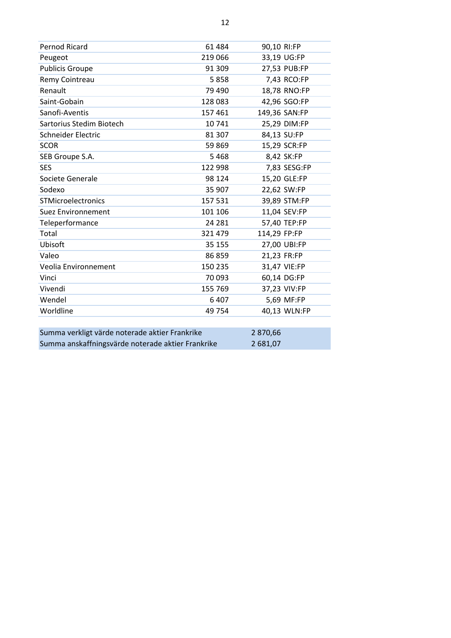| Pernod Ricard                                     | 61 484  | 90,10 RI:FP  |               |
|---------------------------------------------------|---------|--------------|---------------|
| Peugeot                                           | 219 066 |              | 33,19 UG:FP   |
| <b>Publicis Groupe</b>                            | 91 309  |              | 27,53 PUB:FP  |
| Remy Cointreau                                    | 5858    |              | 7,43 RCO:FP   |
| Renault                                           | 79 490  |              | 18,78 RNO:FP  |
| Saint-Gobain                                      | 128 083 |              | 42,96 SGO:FP  |
| Sanofi-Aventis                                    | 157 461 |              | 149,36 SAN:FP |
| Sartorius Stedim Biotech                          | 10741   |              | 25,29 DIM:FP  |
| Schneider Electric                                | 81 307  |              | 84,13 SU:FP   |
| <b>SCOR</b>                                       | 59 869  |              | 15,29 SCR:FP  |
| SEB Groupe S.A.                                   | 5468    |              | 8,42 SK:FP    |
| <b>SES</b>                                        | 122 998 |              | 7,83 SESG:FP  |
| Societe Generale                                  | 98 1 24 |              | 15,20 GLE:FP  |
| Sodexo                                            | 35 907  |              | 22,62 SW:FP   |
| STMicroelectronics                                | 157 531 |              | 39,89 STM:FP  |
| Suez Environnement                                | 101 106 |              | 11,04 SEV:FP  |
| Teleperformance                                   | 24 281  |              | 57,40 TEP:FP  |
| Total                                             | 321 479 | 114,29 FP:FP |               |
| Ubisoft                                           | 35 155  |              | 27,00 UBI:FP  |
| Valeo                                             | 86859   | 21,23 FR:FP  |               |
| Veolia Environnement                              | 150 235 |              | 31,47 VIE:FP  |
| Vinci                                             | 70 093  |              | 60,14 DG:FP   |
| Vivendi                                           | 155 769 |              | 37,23 VIV:FP  |
| Wendel                                            | 6407    |              | 5,69 MF:FP    |
| Worldline                                         | 49 754  |              | 40,13 WLN:FP  |
|                                                   |         |              |               |
| Summa verkligt värde noterade aktier Frankrike    |         | 2870,66      |               |
| Summa anskaffningsvärde noterade aktier Frankrike |         | 2 681,07     |               |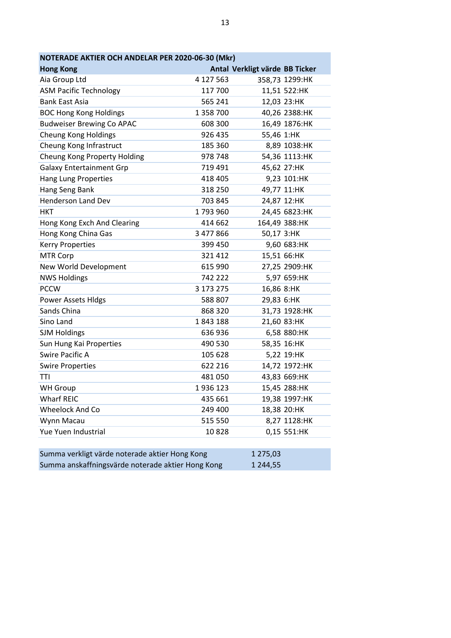| NOTERADE AKTIER OCH ANDELAR PER 2020-06-30 (Mkr)  |           |                                |                |  |
|---------------------------------------------------|-----------|--------------------------------|----------------|--|
| <b>Hong Kong</b>                                  |           | Antal Verkligt värde BB Ticker |                |  |
| Aia Group Ltd                                     | 4 127 563 |                                | 358,73 1299:HK |  |
| <b>ASM Pacific Technology</b>                     | 117 700   |                                | 11,51 522:HK   |  |
| <b>Bank East Asia</b>                             | 565 241   |                                | 12,03 23:HK    |  |
| <b>BOC Hong Kong Holdings</b>                     | 1 358 700 |                                | 40,26 2388:HK  |  |
| <b>Budweiser Brewing Co APAC</b>                  | 608 300   |                                | 16,49 1876:HK  |  |
| <b>Cheung Kong Holdings</b>                       | 926 435   | 55,46 1:HK                     |                |  |
| Cheung Kong Infrastruct                           | 185 360   |                                | 8,89 1038:HK   |  |
| Cheung Kong Property Holding                      | 978 748   |                                | 54,36 1113:HK  |  |
| <b>Galaxy Entertainment Grp</b>                   | 719 491   |                                | 45,62 27:HK    |  |
| <b>Hang Lung Properties</b>                       | 418 405   |                                | 9,23 101:HK    |  |
| Hang Seng Bank                                    | 318 250   |                                | 49,77 11:HK    |  |
| Henderson Land Dev                                | 703 845   |                                | 24,87 12:HK    |  |
| <b>HKT</b>                                        | 1793960   |                                | 24,45 6823:HK  |  |
| Hong Kong Exch And Clearing                       | 414 662   |                                | 164,49 388:HK  |  |
| Hong Kong China Gas                               | 3 477 866 | 50,17 3:HK                     |                |  |
| <b>Kerry Properties</b>                           | 399 450   |                                | 9,60 683:HK    |  |
| <b>MTR Corp</b>                                   | 321 412   |                                | 15,51 66:HK    |  |
| New World Development                             | 615 990   |                                | 27,25 2909:HK  |  |
| <b>NWS Holdings</b>                               | 742 222   |                                | 5,97 659:HK    |  |
| <b>PCCW</b>                                       | 3 173 275 | 16,86 8:HK                     |                |  |
| <b>Power Assets Hldgs</b>                         | 588 807   | 29,83 6:HK                     |                |  |
| Sands China                                       | 868 320   |                                | 31,73 1928:HK  |  |
| Sino Land                                         | 1843188   |                                | 21,60 83:HK    |  |
| <b>SJM Holdings</b>                               | 636 936   |                                | 6,58 880:HK    |  |
| Sun Hung Kai Properties                           | 490 530   |                                | 58,35 16:HK    |  |
| Swire Pacific A                                   | 105 628   |                                | 5,22 19:HK     |  |
| <b>Swire Properties</b>                           | 622 216   |                                | 14,72 1972:HK  |  |
| <b>TTI</b>                                        | 481 050   |                                | 43,83 669:HK   |  |
| <b>WH Group</b>                                   | 1936123   |                                | 15,45 288:HK   |  |
| <b>Wharf REIC</b>                                 | 435 661   |                                | 19,38 1997:HK  |  |
| Wheelock And Co                                   | 249 400   |                                | 18,38 20:HK    |  |
| Wynn Macau                                        | 515 550   |                                | 8,27 1128:HK   |  |
| Yue Yuen Industrial                               | 10828     |                                | 0,15 551:HK    |  |
|                                                   |           |                                |                |  |
| Summa verkligt värde noterade aktier Hong Kong    |           | 1 275,03                       |                |  |
| Summa anskaffningsvärde noterade aktier Hong Kong |           | 1 244,55                       |                |  |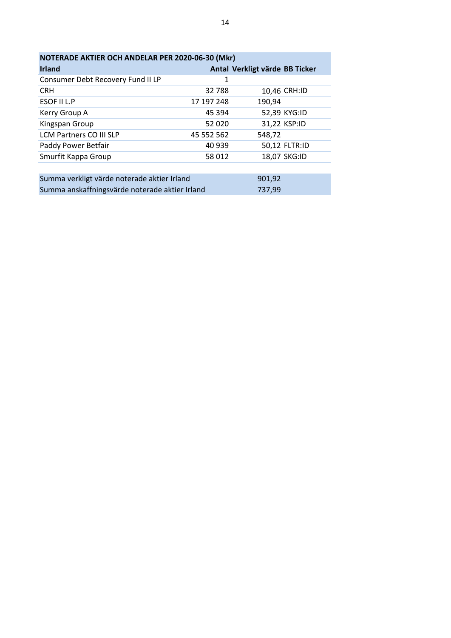| NOTERADE AKTIER OCH ANDELAR PER 2020-06-30 (Mkr) |            |                                |  |
|--------------------------------------------------|------------|--------------------------------|--|
| <b>Irland</b>                                    |            | Antal Verkligt värde BB Ticker |  |
| Consumer Debt Recovery Fund II LP                | 1          |                                |  |
| <b>CRH</b>                                       | 32788      | 10,46 CRH:ID                   |  |
| ESOF II L.P                                      | 17 197 248 | 190,94                         |  |
| Kerry Group A                                    | 45 3 94    | 52,39 KYG:ID                   |  |
| Kingspan Group                                   | 52 020     | 31,22 KSP:ID                   |  |
| <b>LCM Partners CO III SLP</b>                   | 45 552 562 | 548,72                         |  |
| Paddy Power Betfair                              | 40 939     | 50,12 FLTR:ID                  |  |
| Smurfit Kappa Group                              | 58 012     | 18,07 SKG:ID                   |  |
|                                                  |            |                                |  |
| Summa verkligt värde noterade aktier kland       |            | ດດ1 ດາ                         |  |

| Summa verkligt värde noterade aktier Irland    | 901.92 |
|------------------------------------------------|--------|
| Summa anskaffningsvärde noterade aktier Irland | 737.99 |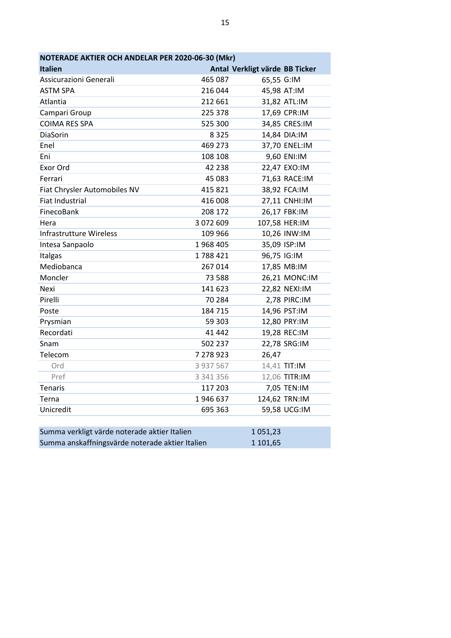| NOTERADE AKTIER OCH ANDELAR PER 2020-06-30 (Mkr) |           |                                |               |  |
|--------------------------------------------------|-----------|--------------------------------|---------------|--|
| <b>Italien</b>                                   |           | Antal Verkligt värde BB Ticker |               |  |
| Assicurazioni Generali                           | 465 087   | 65,55 G:IM                     |               |  |
| <b>ASTM SPA</b>                                  | 216 044   |                                | 45,98 AT:IM   |  |
| Atlantia                                         | 212 661   |                                | 31,82 ATL:IM  |  |
| Campari Group                                    | 225 378   |                                | 17,69 CPR:IM  |  |
| <b>COIMA RES SPA</b>                             | 525 300   |                                | 34,85 CRES:IM |  |
| DiaSorin                                         | 8 3 2 5   |                                | 14,84 DIA:IM  |  |
| Enel                                             | 469 273   |                                | 37,70 ENEL:IM |  |
| Eni                                              | 108 108   |                                | 9,60 ENI:IM   |  |
| Exor Ord                                         | 42 2 38   |                                | 22,47 EXO:IM  |  |
| Ferrari                                          | 45 083    |                                | 71,63 RACE:IM |  |
| Fiat Chrysler Automobiles NV                     | 415 821   |                                | 38,92 FCA:IM  |  |
| <b>Fiat Industrial</b>                           | 416 008   |                                | 27,11 CNHI:IM |  |
| FinecoBank                                       | 208 172   |                                | 26,17 FBK:IM  |  |
| Hera                                             | 3 072 609 |                                | 107,58 HER:IM |  |
| Infrastrutture Wireless                          | 109 966   |                                | 10,26 INW:IM  |  |
| Intesa Sanpaolo                                  | 1968 405  |                                | 35,09 ISP:IM  |  |
| Italgas                                          | 1788421   |                                | 96,75 IG:IM   |  |
| Mediobanca                                       | 267 014   |                                | 17,85 MB:IM   |  |
| Moncler                                          | 73 588    |                                | 26,21 MONC:IM |  |
| Nexi                                             | 141 623   |                                | 22,82 NEXI:IM |  |
| Pirelli                                          | 70 284    |                                | 2,78 PIRC:IM  |  |
| Poste                                            | 184 715   |                                | 14,96 PST:IM  |  |
| Prysmian                                         | 59 303    |                                | 12,80 PRY:IM  |  |
| Recordati                                        | 41 442    |                                | 19,28 REC:IM  |  |
| Snam                                             | 502 237   |                                | 22,78 SRG:IM  |  |
| Telecom                                          | 7 278 923 | 26,47                          |               |  |
| Ord                                              | 3 937 567 |                                | 14,41 TIT:IM  |  |
| Pref                                             | 3 341 356 |                                | 12,06 TITR:IM |  |
| Tenaris                                          | 117 203   |                                | 7,05 TEN:IM   |  |
| Terna                                            | 1946637   |                                | 124,62 TRN:IM |  |
| Unicredit                                        | 695 363   |                                | 59,58 UCG:IM  |  |
|                                                  |           |                                |               |  |
| Summa verkligt värde noterade aktier Italien     |           | 1051,23                        |               |  |

| Summa verkligt värde noterade aktier Italien    | 1051,23  |
|-------------------------------------------------|----------|
| Summa anskaffningsvärde noterade aktier Italien | 1 101.65 |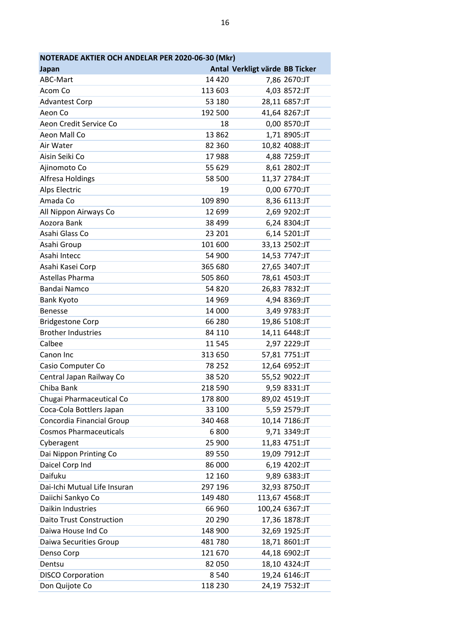| NOTERADE AKTIER OCH ANDELAR PER 2020-06-30 (Mkr) |         |                                |  |
|--------------------------------------------------|---------|--------------------------------|--|
| Japan                                            |         | Antal Verkligt värde BB Ticker |  |
| ABC-Mart                                         | 14 4 20 | 7,86 2670:JT                   |  |
| Acom Co                                          | 113 603 | 4,03 8572:JT                   |  |
| <b>Advantest Corp</b>                            | 53 180  | 28,11 6857:JT                  |  |
| Aeon Co                                          | 192 500 | 41,64 8267:JT                  |  |
| Aeon Credit Service Co                           | 18      | 0,00 8570:JT                   |  |
| Aeon Mall Co                                     | 13862   | 1,71 8905:JT                   |  |
| Air Water                                        | 82 360  | 10,82 4088:JT                  |  |
| Aisin Seiki Co                                   | 17988   | 4,88 7259:JT                   |  |
| Ajinomoto Co                                     | 55 629  | 8,61 2802:JT                   |  |
| Alfresa Holdings                                 | 58 500  | 11,37 2784:JT                  |  |
| <b>Alps Electric</b>                             | 19      | 0,00 6770:JT                   |  |
| Amada Co                                         | 109 890 | 8,36 6113:JT                   |  |
| All Nippon Airways Co                            | 12 699  | 2,69 9202:JT                   |  |
| Aozora Bank                                      | 38 499  | 6,24 8304:JT                   |  |
| Asahi Glass Co                                   | 23 201  | 6,14 5201:JT                   |  |
| Asahi Group                                      | 101 600 | 33,13 2502:JT                  |  |
| Asahi Intecc                                     | 54 900  | 14,53 7747:JT                  |  |
| Asahi Kasei Corp                                 | 365 680 | 27,65 3407:JT                  |  |
| Astellas Pharma                                  | 505 860 | 78,61 4503:JT                  |  |
| <b>Bandai Namco</b>                              | 54 820  | 26,83 7832:JT                  |  |
| <b>Bank Kyoto</b>                                | 14 9 69 | 4,94 8369:JT                   |  |
| <b>Benesse</b>                                   | 14 000  | 3,49 9783:JT                   |  |
| <b>Bridgestone Corp</b>                          | 66 280  | 19,86 5108:JT                  |  |
| <b>Brother Industries</b>                        | 84 110  | 14,11 6448:JT                  |  |
| Calbee                                           | 11 5 45 | 2,97 2229:JT                   |  |
| Canon Inc                                        | 313 650 | 57,81 7751:JT                  |  |
| Casio Computer Co                                | 78 252  | 12,64 6952:JT                  |  |
| Central Japan Railway Co                         | 38 5 20 | 55,52 9022:JT                  |  |
| Chiba Bank                                       | 218 590 | 9,59 8331:JT                   |  |
| Chugai Pharmaceutical Co                         | 178 800 | 89,02 4519:JT                  |  |
| Coca-Cola Bottlers Japan                         | 33 100  | 5,59 2579:JT                   |  |
| Concordia Financial Group                        | 340 468 | 10,14 7186:JT                  |  |
| <b>Cosmos Pharmaceuticals</b>                    | 6800    | 9,71 3349:JT                   |  |
| Cyberagent                                       | 25 900  | 11,83 4751:JT                  |  |
| Dai Nippon Printing Co                           | 89 550  | 19,09 7912:JT                  |  |
| Daicel Corp Ind                                  | 86 000  | 6,19 4202:JT                   |  |
| Daifuku                                          | 12 160  | 9,89 6383:JT                   |  |
| Dai-Ichi Mutual Life Insuran                     | 297 196 | 32,93 8750:JT                  |  |
| Daiichi Sankyo Co                                | 149 480 | 113,67 4568:JT                 |  |
| Daikin Industries                                | 66 960  | 100,24 6367:JT                 |  |
| <b>Daito Trust Construction</b>                  | 20 290  | 17,36 1878:JT                  |  |
| Daiwa House Ind Co                               | 148 900 | 32,69 1925:JT                  |  |
| Daiwa Securities Group                           | 481780  | 18,71 8601:JT                  |  |
| Denso Corp                                       | 121 670 | 44,18 6902:JT                  |  |
| Dentsu                                           | 82 050  | 18,10 4324:JT                  |  |
| <b>DISCO Corporation</b>                         | 8540    | 19,24 6146:JT                  |  |
| Don Quijote Co                                   | 118 230 | 24,19 7532:JT                  |  |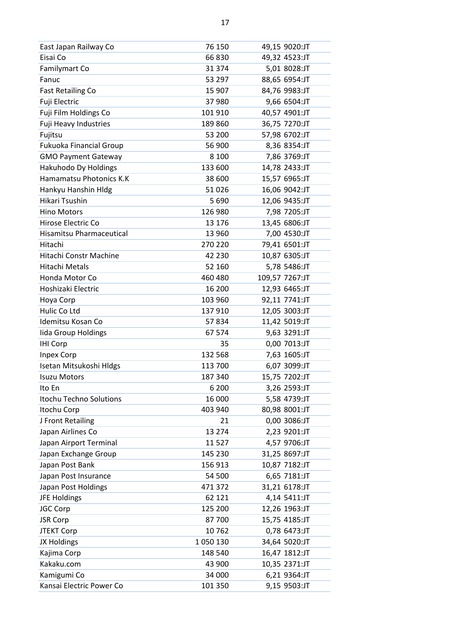| East Japan Railway Co      | 76 150   | 49,15 9020:JT  |
|----------------------------|----------|----------------|
| Eisai Co                   | 66830    | 49,32 4523:JT  |
| Familymart Co              | 31 374   | 5,01 8028:JT   |
| Fanuc                      | 53 297   | 88,65 6954:JT  |
| <b>Fast Retailing Co</b>   | 15 907   | 84,76 9983:JT  |
| Fuji Electric              | 37980    | 9,66 6504:JT   |
| Fuji Film Holdings Co      | 101 910  | 40,57 4901:JT  |
| Fuji Heavy Industries      | 189 860  | 36,75 7270:JT  |
| Fujitsu                    | 53 200   | 57,98 6702:JT  |
| Fukuoka Financial Group    | 56 900   | 8,36 8354:JT   |
| <b>GMO Payment Gateway</b> | 8 1 0 0  | 7,86 3769:JT   |
| Hakuhodo Dy Holdings       | 133 600  | 14,78 2433:JT  |
| Hamamatsu Photonics K.K    | 38 600   | 15,57 6965:JT  |
| Hankyu Hanshin Hldg        | 51026    | 16,06 9042:JT  |
| Hikari Tsushin             | 5690     | 12,06 9435:JT  |
| <b>Hino Motors</b>         | 126 980  | 7,98 7205:JT   |
| Hirose Electric Co         | 13 176   | 13,45 6806:JT  |
| Hisamitsu Pharmaceutical   | 13 960   | 7,00 4530:JT   |
| Hitachi                    | 270 220  | 79,41 6501:JT  |
| Hitachi Constr Machine     | 42 230   | 10,87 6305:JT  |
| Hitachi Metals             | 52 160   | 5,78 5486:JT   |
| Honda Motor Co             | 460 480  | 109,57 7267:JT |
| Hoshizaki Electric         | 16 200   | 12,93 6465:JT  |
| Hoya Corp                  | 103 960  | 92,11 7741:JT  |
| Hulic Co Ltd               | 137910   | 12,05 3003:JT  |
| Idemitsu Kosan Co          | 57834    | 11,42 5019:JT  |
| lida Group Holdings        | 67 574   | 9,63 3291:JT   |
| <b>IHI Corp</b>            | 35       | 0,00 7013:JT   |
| <b>Inpex Corp</b>          | 132 568  | 7,63 1605:JT   |
| Isetan Mitsukoshi Hldgs    | 113 700  | 6,07 3099:JT   |
| <b>Isuzu Motors</b>        | 187 340  | 15,75 7202:JT  |
| Ito En                     | 6 200    | 3,26 2593:JT   |
| Itochu Techno Solutions    | 16 000   | 5,58 4739:JT   |
| Itochu Corp                | 403 940  | 80,98 8001:JT  |
| J Front Retailing          | 21       | 0,00 3086:JT   |
| Japan Airlines Co          | 13 2 7 4 | 2,23 9201:JT   |
| Japan Airport Terminal     | 11 5 27  | 4,57 9706:JT   |
| Japan Exchange Group       | 145 230  | 31,25 8697:JT  |
| Japan Post Bank            | 156 913  | 10,87 7182:JT  |
| Japan Post Insurance       | 54 500   | 6,65 7181:JT   |
| Japan Post Holdings        | 471 372  | 31,21 6178:JT  |
| JFE Holdings               | 62 121   | 4,14 5411:JT   |
| JGC Corp                   | 125 200  | 12,26 1963:JT  |
| <b>JSR Corp</b>            | 87700    | 15,75 4185:JT  |
| <b>JTEKT Corp</b>          | 10762    | 0,78 6473:JT   |
| JX Holdings                | 1050130  | 34,64 5020:JT  |
| Kajima Corp                | 148 540  | 16,47 1812:JT  |
| Kakaku.com                 | 43 900   | 10,35 2371:JT  |
| Kamigumi Co                | 34 000   | 6,21 9364:JT   |
| Kansai Electric Power Co   | 101 350  | 9,15 9503:JT   |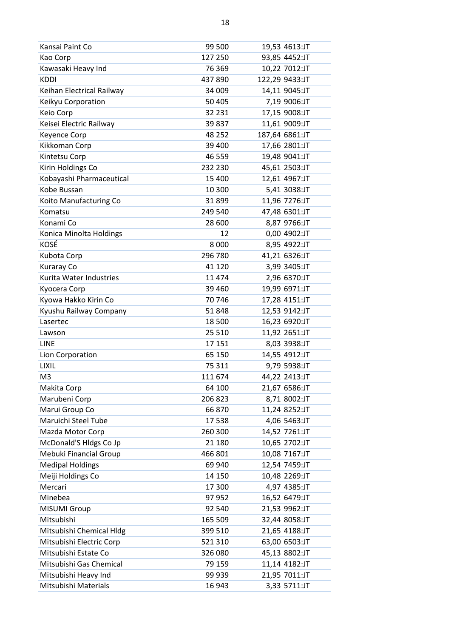| Kansai Paint Co           | 99 500  | 19,53 4613:JT  |
|---------------------------|---------|----------------|
| Kao Corp                  | 127 250 | 93,85 4452:JT  |
| Kawasaki Heavy Ind        | 76 369  | 10,22 7012:JT  |
| <b>KDDI</b>               | 437 890 | 122,29 9433:JT |
| Keihan Electrical Railway | 34 009  | 14,11 9045:JT  |
| Keikyu Corporation        | 50 405  | 7,19 9006:JT   |
| Keio Corp                 | 32 231  | 17,15 9008:JT  |
| Keisei Electric Railway   | 39 837  | 11,61 9009:JT  |
| Keyence Corp              | 48 252  | 187,64 6861:JT |
| Kikkoman Corp             | 39 400  | 17,66 2801:JT  |
| Kintetsu Corp             | 46 559  | 19,48 9041:JT  |
| Kirin Holdings Co         | 232 230 | 45,61 2503:JT  |
| Kobayashi Pharmaceutical  | 15 400  | 12,61 4967:JT  |
| Kobe Bussan               | 10 300  | 5,41 3038:JT   |
| Koito Manufacturing Co    | 31899   | 11,96 7276:JT  |
| Komatsu                   | 249 540 | 47,48 6301:JT  |
| Konami Co                 | 28 600  | 8,87 9766:JT   |
| Konica Minolta Holdings   | 12      | 0,00 4902:JT   |
| KOSÉ                      | 8 0 0 0 | 8,95 4922:JT   |
| Kubota Corp               | 296 780 | 41,21 6326:JT  |
| Kuraray Co                | 41 1 20 | 3,99 3405:JT   |
| Kurita Water Industries   | 11 474  | 2,96 6370:JT   |
| Kyocera Corp              | 39 4 60 | 19,99 6971:JT  |
| Kyowa Hakko Kirin Co      | 70746   | 17,28 4151:JT  |
| Kyushu Railway Company    | 51848   | 12,53 9142:JT  |
| Lasertec                  | 18 500  | 16,23 6920:JT  |
| Lawson                    | 25 5 10 | 11,92 2651:JT  |
| <b>LINE</b>               | 17 151  | 8,03 3938:JT   |
| Lion Corporation          | 65 150  | 14,55 4912:JT  |
| LIXIL                     | 75 311  | 9,79 5938:JT   |
| M <sub>3</sub>            | 111 674 | 44,22 2413:JT  |
| Makita Corp               | 64 100  | 21,67 6586:JT  |
| Marubeni Corp             | 206 823 | 8,71 8002:JT   |
| Marui Group Co            | 66870   | 11,24 8252:JT  |
| Maruichi Steel Tube       | 17538   | 4,06 5463:JT   |
| Mazda Motor Corp          | 260 300 | 14,52 7261:JT  |
| McDonald'S Hldgs Co Jp    | 21 180  | 10,65 2702:JT  |
| Mebuki Financial Group    | 466 801 | 10,08 7167:JT  |
| <b>Medipal Holdings</b>   | 69 940  | 12,54 7459:JT  |
| Meiji Holdings Co         | 14 150  | 10,48 2269:JT  |
| Mercari                   | 17 300  | 4,97 4385:JT   |
| Minebea                   | 97 952  | 16,52 6479:JT  |
| MISUMI Group              | 92 540  | 21,53 9962:JT  |
| Mitsubishi                | 165 509 | 32,44 8058:JT  |
| Mitsubishi Chemical Hldg  | 399 510 | 21,65 4188:JT  |
| Mitsubishi Electric Corp  | 521 310 | 63,00 6503:JT  |
| Mitsubishi Estate Co      | 326 080 | 45,13 8802:JT  |
| Mitsubishi Gas Chemical   | 79 159  | 11,14 4182:JT  |
| Mitsubishi Heavy Ind      | 99 939  | 21,95 7011:JT  |
| Mitsubishi Materials      | 16 943  | 3,33 5711:JT   |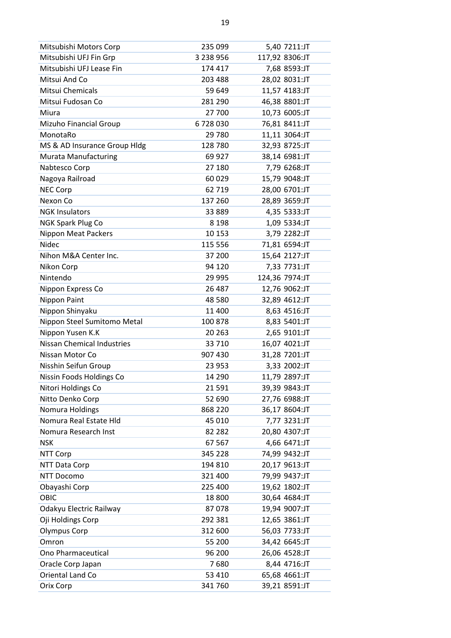| Mitsubishi Motors Corp            | 235 099   | 5,40 7211:JT   |
|-----------------------------------|-----------|----------------|
| Mitsubishi UFJ Fin Grp            | 3 238 956 | 117,92 8306:JT |
| Mitsubishi UFJ Lease Fin          | 174 417   | 7,68 8593:JT   |
| Mitsui And Co                     | 203 488   | 28,02 8031:JT  |
| Mitsui Chemicals                  | 59 649    | 11,57 4183:JT  |
| Mitsui Fudosan Co                 | 281 290   | 46,38 8801:JT  |
| Miura                             | 27 700    | 10,73 6005:JT  |
| Mizuho Financial Group            | 6728030   | 76,81 8411:JT  |
| MonotaRo                          | 29 780    | 11,11 3064:JT  |
| MS & AD Insurance Group Hldg      | 128 780   | 32,93 8725:JT  |
| <b>Murata Manufacturing</b>       | 69 927    | 38,14 6981:JT  |
| Nabtesco Corp                     | 27 180    | 7,79 6268:JT   |
| Nagoya Railroad                   | 60 0 29   | 15,79 9048:JT  |
| <b>NEC Corp</b>                   | 62 719    | 28,00 6701:JT  |
| Nexon Co                          | 137 260   | 28,89 3659:JT  |
| <b>NGK Insulators</b>             | 33 889    | 4,35 5333:JT   |
| NGK Spark Plug Co                 | 8 1 9 8   | 1,09 5334:JT   |
| Nippon Meat Packers               | 10 153    | 3,79 2282:JT   |
| <b>Nidec</b>                      | 115 556   | 71,81 6594:JT  |
| Nihon M&A Center Inc.             | 37 200    | 15,64 2127:JT  |
| Nikon Corp                        | 94 120    | 7,33 7731:JT   |
| Nintendo                          | 29 9 95   | 124,36 7974:JT |
| Nippon Express Co                 | 26 487    | 12,76 9062:JT  |
| Nippon Paint                      | 48 5 80   | 32,89 4612:JT  |
| Nippon Shinyaku                   | 11 400    | 8,63 4516:JT   |
| Nippon Steel Sumitomo Metal       | 100 878   | 8,83 5401:JT   |
| Nippon Yusen K.K                  | 20 263    | 2,65 9101:JT   |
| <b>Nissan Chemical Industries</b> | 33 710    | 16,07 4021:JT  |
| Nissan Motor Co                   | 907 430   | 31,28 7201:JT  |
| Nisshin Seifun Group              | 23 953    | 3,33 2002:JT   |
| Nissin Foods Holdings Co          | 14 290    | 11,79 2897:JT  |
| Nitori Holdings Co                | 21 5 91   | 39,39 9843:JT  |
| Nitto Denko Corp                  | 52 690    | 27,76 6988:JT  |
| Nomura Holdings                   | 868 220   | 36,17 8604:JT  |
| Nomura Real Estate Hld            | 45 010    | 7,77 3231:JT   |
| Nomura Research Inst              | 82 282    | 20,80 4307:JT  |
| <b>NSK</b>                        | 67 567    | 4,66 6471:JT   |
| NTT Corp                          | 345 228   | 74,99 9432:JT  |
| NTT Data Corp                     | 194 810   | 20,17 9613:JT  |
| <b>NTT Docomo</b>                 | 321 400   | 79,99 9437:JT  |
| Obayashi Corp                     | 225 400   | 19,62 1802:JT  |
| OBIC                              | 18 800    | 30,64 4684:JT  |
| Odakyu Electric Railway           | 87078     | 19,94 9007:JT  |
| Oji Holdings Corp                 | 292 381   | 12,65 3861:JT  |
| <b>Olympus Corp</b>               | 312 600   | 56,03 7733:JT  |
| Omron                             | 55 200    | 34,42 6645:JT  |
| Ono Pharmaceutical                | 96 200    | 26,06 4528:JT  |
| Oracle Corp Japan                 | 7680      | 8,44 4716:JT   |
| Oriental Land Co                  | 53 410    | 65,68 4661:JT  |
| Orix Corp                         | 341 760   | 39,21 8591:JT  |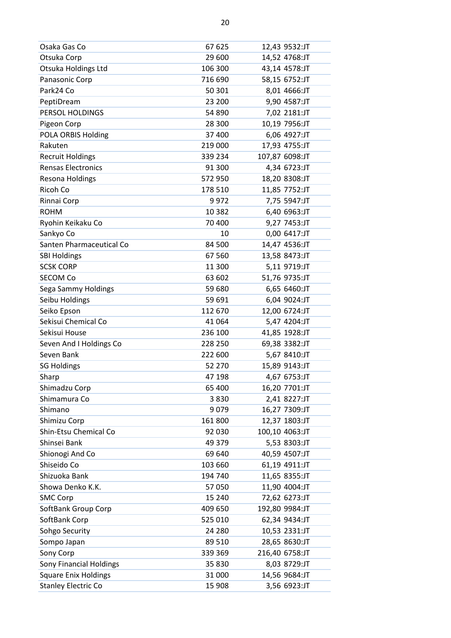| Osaka Gas Co                   | 67 625  | 12,43 9532:JT  |
|--------------------------------|---------|----------------|
| Otsuka Corp                    | 29 600  | 14,52 4768:JT  |
| Otsuka Holdings Ltd            | 106 300 | 43,14 4578:JT  |
| Panasonic Corp                 | 716 690 | 58,15 6752:JT  |
| Park24 Co                      | 50 301  | 8,01 4666:JT   |
| PeptiDream                     | 23 200  | 9,90 4587:JT   |
| PERSOL HOLDINGS                | 54 890  | 7,02 2181:JT   |
| Pigeon Corp                    | 28 300  | 10,19 7956:JT  |
| POLA ORBIS Holding             | 37 400  | 6,06 4927:JT   |
| Rakuten                        | 219 000 | 17,93 4755:JT  |
| <b>Recruit Holdings</b>        | 339 234 | 107,87 6098:JT |
| <b>Rensas Electronics</b>      | 91 300  | 4,34 6723:JT   |
| Resona Holdings                | 572 950 | 18,20 8308:JT  |
| Ricoh Co                       | 178 510 | 11,85 7752:JT  |
| Rinnai Corp                    | 9972    | 7,75 5947:JT   |
| <b>ROHM</b>                    | 10 3 82 | 6,40 6963:JT   |
| Ryohin Keikaku Co              | 70 400  | 9,27 7453:JT   |
| Sankyo Co                      | 10      | 0,00 6417:JT   |
| Santen Pharmaceutical Co       | 84 500  | 14,47 4536:JT  |
| <b>SBI Holdings</b>            | 67 560  | 13,58 8473:JT  |
| <b>SCSK CORP</b>               | 11 300  | 5,11 9719:JT   |
| <b>SECOM Co</b>                | 63 602  | 51,76 9735:JT  |
| Sega Sammy Holdings            | 59 680  | 6,65 6460:JT   |
| Seibu Holdings                 | 59 691  | 6,04 9024:JT   |
| Seiko Epson                    | 112 670 | 12,00 6724:JT  |
| Sekisui Chemical Co            | 41 0 64 | 5,47 4204:JT   |
| Sekisui House                  | 236 100 | 41,85 1928:JT  |
| Seven And I Holdings Co        | 228 250 | 69,38 3382:JT  |
| Seven Bank                     | 222 600 | 5,67 8410:JT   |
| <b>SG Holdings</b>             | 52 270  | 15,89 9143:JT  |
| Sharp                          | 47 198  | 4,67 6753:JT   |
| Shimadzu Corp                  | 65 400  | 16,20 7701:JT  |
| Shimamura Co                   | 3830    | 2,41 8227:JT   |
| Shimano                        | 9079    | 16,27 7309:JT  |
| Shimizu Corp                   | 161 800 | 12,37 1803:JT  |
| Shin-Etsu Chemical Co          | 92 030  | 100,10 4063:JT |
| Shinsei Bank                   | 49 379  | 5,53 8303:JT   |
| Shionogi And Co                | 69 640  | 40,59 4507:JT  |
| Shiseido Co                    | 103 660 | 61,19 4911:JT  |
| Shizuoka Bank                  | 194 740 | 11,65 8355:JT  |
| Showa Denko K.K.               | 57 050  | 11,90 4004:JT  |
| <b>SMC Corp</b>                | 15 240  | 72,62 6273:JT  |
| SoftBank Group Corp            | 409 650 | 192,80 9984:JT |
| SoftBank Corp                  | 525 010 | 62,34 9434:JT  |
| Sohgo Security                 | 24 280  | 10,53 2331:JT  |
| Sompo Japan                    | 89 510  | 28,65 8630:JT  |
| Sony Corp                      | 339 369 | 216,40 6758:JT |
| <b>Sony Financial Holdings</b> | 35 830  | 8,03 8729:JT   |
| <b>Square Enix Holdings</b>    | 31 000  | 14,56 9684:JT  |
| <b>Stanley Electric Co</b>     | 15 908  | 3,56 6923:JT   |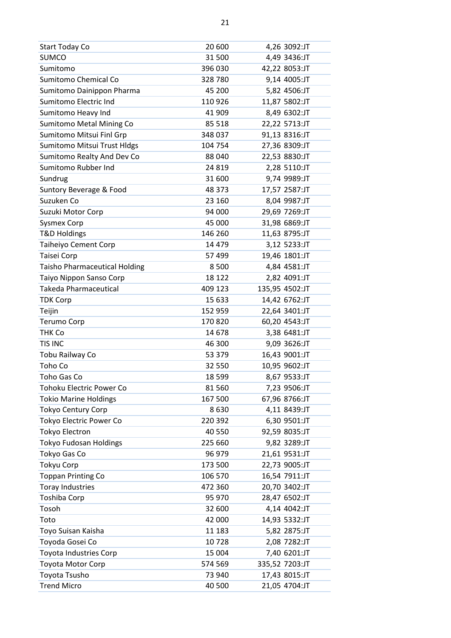| <b>Start Today Co</b>                | 20 600   | 4,26 3092:JT   |
|--------------------------------------|----------|----------------|
| <b>SUMCO</b>                         | 31 500   | 4,49 3436:JT   |
| Sumitomo                             | 396 030  | 42,22 8053:JT  |
| Sumitomo Chemical Co                 | 328780   | 9,14 4005:JT   |
| Sumitomo Dainippon Pharma            | 45 200   | 5,82 4506:JT   |
| Sumitomo Electric Ind                | 110 926  | 11,87 5802:JT  |
| Sumitomo Heavy Ind                   | 41 909   | 8,49 6302:JT   |
| Sumitomo Metal Mining Co             | 85 518   | 22,22 5713:JT  |
| Sumitomo Mitsui Finl Grp             | 348 037  | 91,13 8316:JT  |
| Sumitomo Mitsui Trust Hldgs          | 104 754  | 27,36 8309:JT  |
| Sumitomo Realty And Dev Co           | 88 040   | 22,53 8830:JT  |
| Sumitomo Rubber Ind                  | 24 8 19  | 2,28 5110:JT   |
| Sundrug                              | 31 600   | 9,74 9989:JT   |
| Suntory Beverage & Food              | 48 373   | 17,57 2587:JT  |
| Suzuken Co                           | 23 160   | 8,04 9987:JT   |
| Suzuki Motor Corp                    | 94 000   | 29,69 7269:JT  |
| <b>Sysmex Corp</b>                   | 45 000   | 31,98 6869:JT  |
| <b>T&amp;D Holdings</b>              | 146 260  | 11,63 8795:JT  |
| Taiheiyo Cement Corp                 | 14 4 7 9 | 3,12 5233:JT   |
| Taisei Corp                          | 57 499   | 19,46 1801:JT  |
| <b>Taisho Pharmaceutical Holding</b> | 8500     | 4,84 4581:JT   |
| Taiyo Nippon Sanso Corp              | 18 122   | 2,82 4091:JT   |
| <b>Takeda Pharmaceutical</b>         | 409 123  | 135,95 4502:JT |
| <b>TDK Corp</b>                      | 15 633   | 14,42 6762:JT  |
| Teijin                               | 152 959  | 22,64 3401:JT  |
| <b>Terumo Corp</b>                   | 170 820  | 60,20 4543:JT  |
| <b>THK Co</b>                        | 14 678   | 3,38 6481:JT   |
| TIS INC                              | 46 300   | 9,09 3626:JT   |
| Tobu Railway Co                      | 53 379   | 16,43 9001:JT  |
| Toho Co                              | 32 550   | 10,95 9602:JT  |
| Toho Gas Co                          | 18 5 99  | 8,67 9533:JT   |
| <b>Tohoku Electric Power Co</b>      | 81 560   | 7,23 9506:JT   |
| <b>Tokio Marine Holdings</b>         | 167 500  | 67,96 8766:JT  |
| <b>Tokyo Century Corp</b>            | 8630     | 4,11 8439:JT   |
| <b>Tokyo Electric Power Co</b>       | 220 392  | 6,30 9501:JT   |
| <b>Tokyo Electron</b>                | 40 550   | 92,59 8035:JT  |
| <b>Tokyo Fudosan Holdings</b>        | 225 660  | 9,82 3289:JT   |
| Tokyo Gas Co                         | 96 979   | 21,61 9531:JT  |
| <b>Tokyu Corp</b>                    | 173 500  | 22,73 9005:JT  |
| <b>Toppan Printing Co</b>            | 106 570  | 16,54 7911:JT  |
| <b>Toray Industries</b>              | 472 360  | 20,70 3402:JT  |
| Toshiba Corp                         | 95 970   | 28,47 6502:JT  |
| Tosoh                                | 32 600   | 4,14 4042:JT   |
| Toto                                 | 42 000   | 14,93 5332:JT  |
| Toyo Suisan Kaisha                   | 11 183   | 5,82 2875:JT   |
| Toyoda Gosei Co                      | 10728    | 2,08 7282:JT   |
| <b>Toyota Industries Corp</b>        | 15 004   | 7,40 6201:JT   |
| Toyota Motor Corp                    | 574 569  | 335,52 7203:JT |
| Toyota Tsusho                        | 73 940   | 17,43 8015:JT  |
| <b>Trend Micro</b>                   | 40 500   | 21,05 4704:JT  |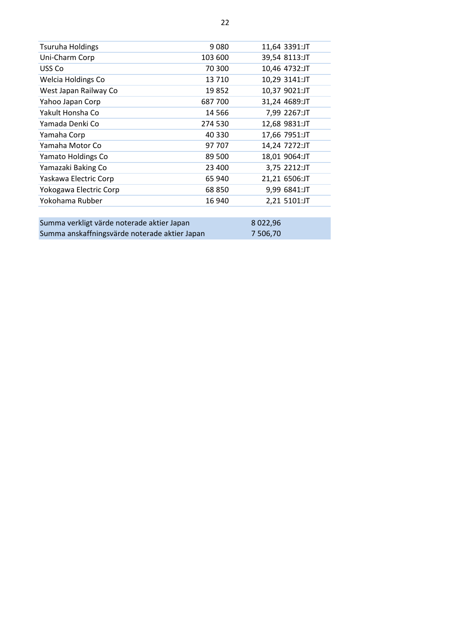| <b>Tsuruha Holdings</b>                     | 9080    | 11,64 3391:JT |
|---------------------------------------------|---------|---------------|
| Uni-Charm Corp                              | 103 600 | 39,54 8113:JT |
| USS Co                                      | 70 300  | 10,46 4732:JT |
| <b>Welcia Holdings Co</b>                   | 13 7 10 | 10,29 3141:JT |
| West Japan Railway Co                       | 19852   | 10,37 9021:JT |
| Yahoo Japan Corp                            | 687700  | 31,24 4689:JT |
| Yakult Honsha Co                            | 14 5 66 | 7,99 2267:JT  |
| Yamada Denki Co                             | 274 530 | 12,68 9831:JT |
| Yamaha Corp                                 | 40 330  | 17,66 7951:JT |
| Yamaha Motor Co                             | 97 707  | 14,24 7272:JT |
| Yamato Holdings Co                          | 89 500  | 18,01 9064:JT |
| Yamazaki Baking Co                          | 23 400  | 3,75 2212:JT  |
| Yaskawa Electric Corp                       | 65 940  | 21,21 6506:JT |
| Yokogawa Electric Corp                      | 68850   | 9,99 6841:JT  |
| Yokohama Rubber                             | 16 940  | 2,21 5101:JT  |
|                                             |         |               |
| Cumma varllist värde noterade olitier Janen |         | o opp oc      |

| Summa verkligt värde noterade aktier Japan    | 8022.96  |
|-----------------------------------------------|----------|
| Summa anskaffningsvärde noterade aktier Japan | 7 506.70 |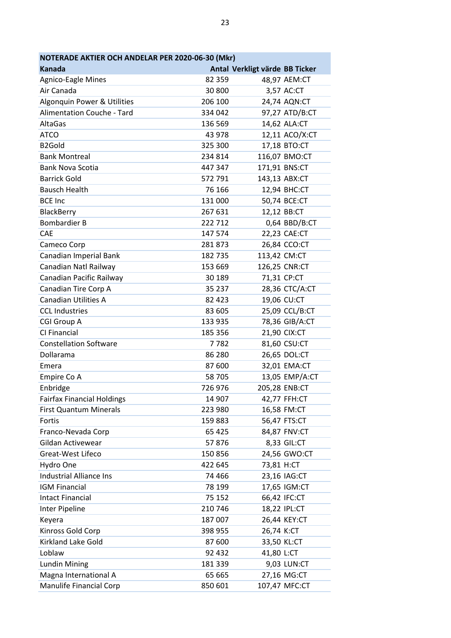| NOTERADE AKTIER OCH ANDELAR PER 2020-06-30 (Mkr) |         |                                |                |
|--------------------------------------------------|---------|--------------------------------|----------------|
| Kanada                                           |         | Antal Verkligt värde BB Ticker |                |
| Agnico-Eagle Mines                               | 82 359  |                                | 48,97 AEM:CT   |
| Air Canada                                       | 30 800  |                                | 3,57 AC:CT     |
| Algonquin Power & Utilities                      | 206 100 |                                | 24,74 AQN:CT   |
| Alimentation Couche - Tard                       | 334 042 |                                | 97,27 ATD/B:CT |
| <b>AltaGas</b>                                   | 136 569 |                                | 14,62 ALA:CT   |
| <b>ATCO</b>                                      | 43 978  |                                | 12,11 ACO/X:CT |
| B <sub>2</sub> Gold                              | 325 300 |                                | 17,18 BTO:CT   |
| <b>Bank Montreal</b>                             | 234 814 |                                | 116,07 BMO:CT  |
| <b>Bank Nova Scotia</b>                          | 447 347 |                                | 171,91 BNS:CT  |
| <b>Barrick Gold</b>                              | 572 791 |                                | 143,13 ABX:CT  |
| <b>Bausch Health</b>                             | 76 166  |                                | 12,94 BHC:CT   |
| <b>BCE Inc</b>                                   | 131 000 |                                | 50,74 BCE:CT   |
| BlackBerry                                       | 267 631 |                                | 12,12 BB:CT    |
| <b>Bombardier B</b>                              | 222 712 |                                | 0,64 BBD/B:CT  |
| CAE                                              | 147 574 |                                | 22,23 CAE:CT   |
| Cameco Corp                                      | 281873  |                                | 26,84 CCO:CT   |
| Canadian Imperial Bank                           | 182 735 | 113,42 CM:CT                   |                |
| Canadian Natl Railway                            | 153 669 |                                | 126,25 CNR:CT  |
| Canadian Pacific Railway                         | 30 189  |                                | 71,31 CP:CT    |
| Canadian Tire Corp A                             | 35 237  |                                | 28,36 CTC/A:CT |
| <b>Canadian Utilities A</b>                      | 82 4 23 |                                | 19,06 CU:CT    |
| <b>CCL Industries</b>                            | 83 605  |                                | 25,09 CCL/B:CT |
| <b>CGI Group A</b>                               | 133 935 |                                | 78,36 GIB/A:CT |
| CI Financial                                     | 185 356 |                                | 21,90 CIX:CT   |
| <b>Constellation Software</b>                    | 7782    |                                | 81,60 CSU:CT   |
| Dollarama                                        | 86 280  |                                | 26,65 DOL:CT   |
| Emera                                            | 87 600  |                                | 32,01 EMA:CT   |
| Empire Co A                                      | 58 705  |                                | 13,05 EMP/A:CT |
| Enbridge                                         | 726 976 |                                | 205,28 ENB:CT  |
| <b>Fairfax Financial Holdings</b>                | 14 907  |                                | 42,77 FFH:CT   |
| First Quantum Minerals                           | 223 980 |                                | 16,58 FM:CT    |
| Fortis                                           | 159 883 |                                | 56,47 FTS:CT   |
| Franco-Nevada Corp                               | 65 4 25 |                                | 84,87 FNV:CT   |
| Gildan Activewear                                | 57876   |                                | 8,33 GIL:CT    |
| <b>Great-West Lifeco</b>                         | 150 856 |                                | 24,56 GWO:CT   |
| Hydro One                                        | 422 645 | 73,81 H:CT                     |                |
| <b>Industrial Alliance Ins</b>                   | 74 466  |                                | 23,16 IAG:CT   |
| <b>IGM Financial</b>                             | 78 199  |                                | 17,65 IGM:CT   |
| <b>Intact Financial</b>                          | 75 152  |                                | 66,42 IFC:CT   |
| Inter Pipeline                                   | 210 746 |                                | 18,22 IPL:CT   |
| Keyera                                           | 187 007 |                                | 26,44 KEY:CT   |
| Kinross Gold Corp                                | 398 955 | 26,74 K:CT                     |                |
| Kirkland Lake Gold                               | 87 600  |                                | 33,50 KL:CT    |
| Loblaw                                           | 92 432  | 41,80 L:CT                     |                |
| <b>Lundin Mining</b>                             | 181 339 |                                | 9,03 LUN:CT    |
| Magna International A                            | 65 665  |                                | 27,16 MG:CT    |
| <b>Manulife Financial Corp</b>                   | 850 601 |                                | 107,47 MFC:CT  |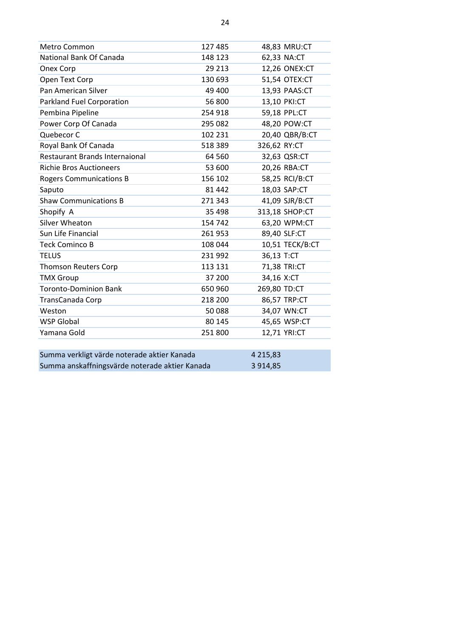| Metro Common                                   | 127 485 |               | 48,83 MRU:CT    |
|------------------------------------------------|---------|---------------|-----------------|
| National Bank Of Canada                        | 148 123 |               | 62,33 NA:CT     |
| Onex Corp                                      | 29 213  |               | 12,26 ONEX:CT   |
| Open Text Corp                                 | 130 693 |               | 51,54 OTEX:CT   |
| Pan American Silver                            | 49 400  |               | 13,93 PAAS:CT   |
| Parkland Fuel Corporation                      | 56 800  |               | 13,10 PKI:CT    |
| Pembina Pipeline                               | 254 918 |               | 59,18 PPL:CT    |
| Power Corp Of Canada                           | 295 082 |               | 48,20 POW:CT    |
| Quebecor C                                     | 102 231 |               | 20,40 QBR/B:CT  |
| Royal Bank Of Canada                           | 518 389 | 326,62 RY:CT  |                 |
| <b>Restaurant Brands Internaional</b>          | 64 5 60 |               | 32,63 QSR:CT    |
| <b>Richie Bros Auctioneers</b>                 | 53 600  |               | 20,26 RBA:CT    |
| <b>Rogers Communications B</b>                 | 156 102 |               | 58,25 RCI/B:CT  |
| Saputo                                         | 81 442  |               | 18,03 SAP:CT    |
| <b>Shaw Communications B</b>                   | 271 343 |               | 41,09 SJR/B:CT  |
| Shopify A                                      | 35 4 98 |               | 313,18 SHOP:CT  |
| Silver Wheaton                                 | 154 742 |               | 63,20 WPM:CT    |
| Sun Life Financial                             | 261953  |               | 89,40 SLF:CT    |
| <b>Teck Cominco B</b>                          | 108 044 |               | 10,51 TECK/B:CT |
| <b>TELUS</b>                                   | 231 992 | 36,13 T:CT    |                 |
| <b>Thomson Reuters Corp</b>                    | 113 131 |               | 71,38 TRI:CT    |
| <b>TMX Group</b>                               | 37 200  | 34,16 X:CT    |                 |
| <b>Toronto-Dominion Bank</b>                   | 650 960 | 269,80 TD:CT  |                 |
| TransCanada Corp                               | 218 200 |               | 86,57 TRP:CT    |
| Weston                                         | 50088   |               | 34,07 WN:CT     |
| <b>WSP Global</b>                              | 80 145  |               | 45,65 WSP:CT    |
| Yamana Gold                                    | 251 800 |               | 12,71 YRI:CT    |
| Summa verkligt värde noterade aktier Kanada    |         | 4 2 1 5 , 8 3 |                 |
| Summa anskaffningsvärde noterade aktier Kanada |         | 3 9 1 4 , 8 5 |                 |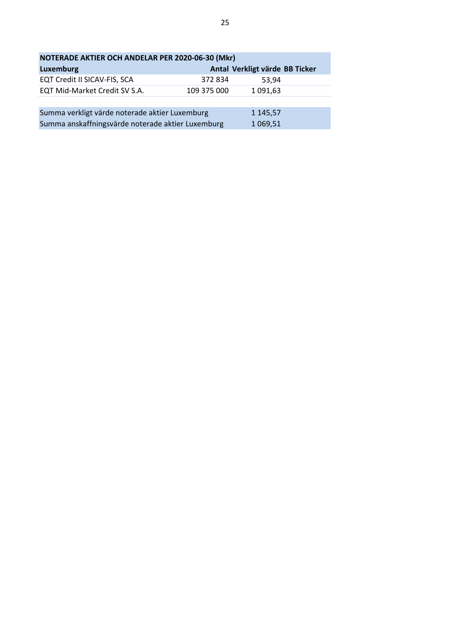| NOTERADE AKTIER OCH ANDELAR PER 2020-06-30 (Mkr)                |             |                                |  |
|-----------------------------------------------------------------|-------------|--------------------------------|--|
| Luxemburg                                                       |             | Antal Verkligt värde BB Ticker |  |
| EQT Credit II SICAV-FIS, SCA                                    | 372 834     | 53.94                          |  |
| EQT Mid-Market Credit SV S.A.                                   | 109 375 000 | 1 091,63                       |  |
|                                                                 |             |                                |  |
| Summa verkligt värde noterade aktier Luxemburg<br>1 1 4 5 , 5 7 |             |                                |  |
| Summa anskaffningsvärde noterade aktier Luxemburg               |             | 1 0 69, 51                     |  |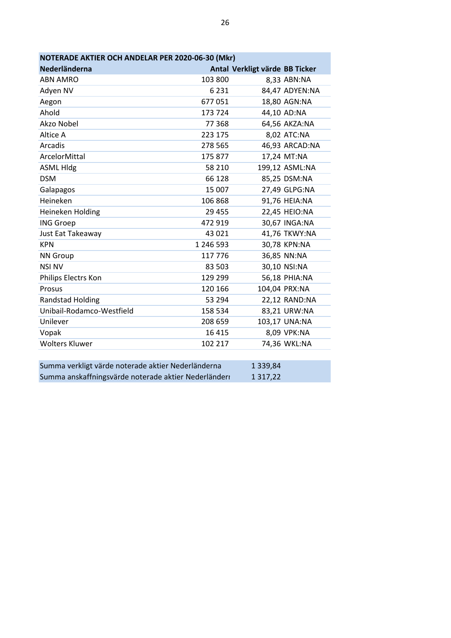| NOTERADE AKTIER OCH ANDELAR PER 2020-06-30 (Mkr) |           |                                |  |
|--------------------------------------------------|-----------|--------------------------------|--|
| Nederländerna                                    |           | Antal Verkligt värde BB Ticker |  |
| <b>ABN AMRO</b>                                  | 103 800   | 8,33 ABN:NA                    |  |
| Adyen NV                                         | 6 2 3 1   | 84,47 ADYEN:NA                 |  |
| Aegon                                            | 677051    | 18,80 AGN:NA                   |  |
| Ahold                                            | 173 724   | 44,10 AD:NA                    |  |
| Akzo Nobel                                       | 77 368    | 64,56 AKZA:NA                  |  |
| Altice A                                         | 223 175   | 8,02 ATC:NA                    |  |
| Arcadis                                          | 278 565   | 46,93 ARCAD:NA                 |  |
| ArcelorMittal                                    | 175 877   | 17,24 MT:NA                    |  |
| <b>ASML Hldg</b>                                 | 58 210    | 199,12 ASML:NA                 |  |
| <b>DSM</b>                                       | 66 128    | 85,25 DSM:NA                   |  |
| Galapagos                                        | 15 007    | 27,49 GLPG:NA                  |  |
| Heineken                                         | 106 868   | 91,76 HEIA:NA                  |  |
| Heineken Holding                                 | 29 455    | 22,45 HEIO:NA                  |  |
| <b>ING Groep</b>                                 | 472 919   | 30,67 INGA:NA                  |  |
| Just Eat Takeaway                                | 43 0 21   | 41,76 TKWY:NA                  |  |
| <b>KPN</b>                                       | 1 246 593 | 30,78 KPN:NA                   |  |
| <b>NN Group</b>                                  | 117 776   | 36,85 NN:NA                    |  |
| <b>NSI NV</b>                                    | 83 503    | 30,10 NSI:NA                   |  |
| Philips Electrs Kon                              | 129 299   | 56,18 PHIA:NA                  |  |
| Prosus                                           | 120 166   | 104,04 PRX:NA                  |  |
| <b>Randstad Holding</b>                          | 53 294    | 22,12 RAND:NA                  |  |
| Unibail-Rodamco-Westfield                        | 158 534   | 83,21 URW:NA                   |  |
| Unilever                                         | 208 659   | 103,17 UNA:NA                  |  |
| Vopak                                            | 16 4 15   | 8,09 VPK:NA                    |  |
| <b>Wolters Kluwer</b>                            | 102 217   | 74,36 WKL:NA                   |  |
|                                                  |           |                                |  |

| Summa verkligt värde noterade aktier Nederländerna   | 1 3 3 9 , 8 4 |
|------------------------------------------------------|---------------|
| Summa anskaffningsvärde noterade aktier Nederländerr | 1 3 1 7 , 2 2 |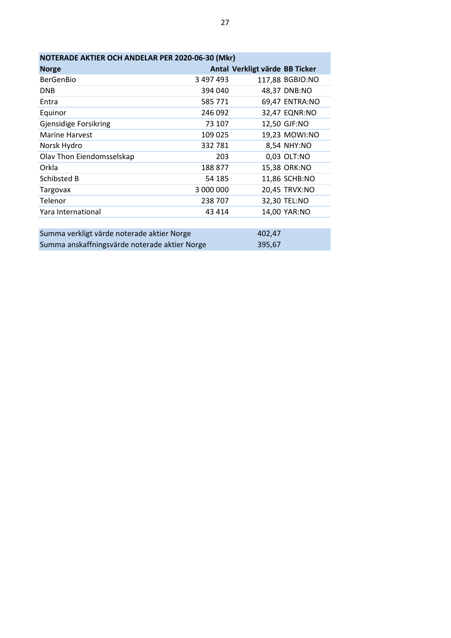| NOTERADE AKTIER OCH ANDELAR PER 2020-06-30 (Mkr) |           |                                |  |
|--------------------------------------------------|-----------|--------------------------------|--|
| <b>Norge</b>                                     |           | Antal Verkligt värde BB Ticker |  |
| <b>BerGenBio</b>                                 | 3 497 493 | 117,88 BGBIO:NO                |  |
| <b>DNB</b>                                       | 394 040   | 48,37 DNB:NO                   |  |
| Entra                                            | 585 771   | 69,47 ENTRA:NO                 |  |
| Equinor                                          | 246 092   | 32,47 EQNR:NO                  |  |
| <b>Gjensidige Forsikring</b>                     | 73 107    | 12,50 GJF:NO                   |  |
| <b>Marine Harvest</b>                            | 109 025   | 19,23 MOWI:NO                  |  |
| Norsk Hydro                                      | 332781    | 8,54 NHY:NO                    |  |
| Olav Thon Eiendomsselskap                        | 203       | 0,03 OLT:NO                    |  |
| Orkla                                            | 188 877   | 15,38 ORK:NO                   |  |
| Schibsted B                                      | 54 185    | 11,86 SCHB:NO                  |  |
| Targovax                                         | 3 000 000 | 20,45 TRVX:NO                  |  |
| Telenor                                          | 238 707   | 32,30 TEL:NO                   |  |
| Yara International                               | 43 4 14   | 14,00 YAR:NO                   |  |
|                                                  |           |                                |  |
| Summa verkligt värde noterade aktier Norge       |           | 402,47                         |  |
| Summa anskaffningsvärde noterade aktier Norge    |           | 395,67                         |  |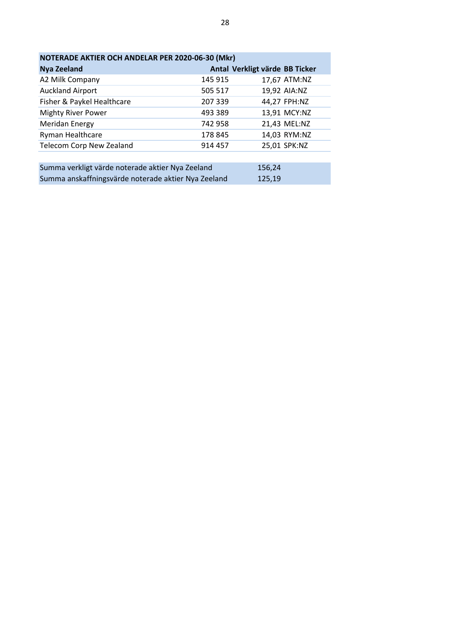| NOTERADE AKTIER OCH ANDELAR PER 2020-06-30 (Mkr) |         |                                |  |
|--------------------------------------------------|---------|--------------------------------|--|
| <b>Nya Zeeland</b>                               |         | Antal Verkligt värde BB Ticker |  |
| A2 Milk Company                                  | 145 915 | 17,67 ATM:NZ                   |  |
| <b>Auckland Airport</b>                          | 505 517 | 19,92 AIA:NZ                   |  |
| Fisher & Paykel Healthcare                       | 207 339 | 44,27 FPH:NZ                   |  |
| <b>Mighty River Power</b>                        | 493 389 | 13,91 MCY:NZ                   |  |
| Meridan Energy                                   | 742 958 | 21,43 MEL:NZ                   |  |
| Ryman Healthcare                                 | 178 845 | 14,03 RYM:NZ                   |  |
| <b>Telecom Corp New Zealand</b>                  | 914 457 | 25,01 SPK:NZ                   |  |
|                                                  |         |                                |  |

| Summa verkligt värde noterade aktier Nya Zeeland    | 156.24 |
|-----------------------------------------------------|--------|
| Summa anskaffningsvärde noterade aktier Nya Zeeland | 125,19 |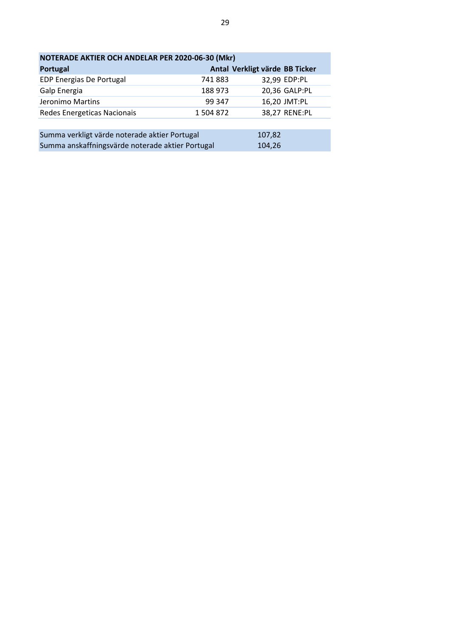| NOTERADE AKTIER OCH ANDELAR PER 2020-06-30 (Mkr) |           |                                |  |
|--------------------------------------------------|-----------|--------------------------------|--|
| Portugal                                         |           | Antal Verkligt värde BB Ticker |  |
| EDP Energias De Portugal                         | 741883    | 32,99 EDP:PL                   |  |
| Galp Energia                                     | 188 973   | 20,36 GALP:PL                  |  |
| Jeronimo Martins                                 | 99 347    | 16,20 JMT:PL                   |  |
| Redes Energeticas Nacionais                      | 1 504 872 | 38,27 RENE:PL                  |  |
|                                                  |           |                                |  |
| Summa verkligt värde noterade aktier Portugal    |           | 107,82                         |  |
| Summa anskaffningsvärde noterade aktier Portugal |           | 104,26                         |  |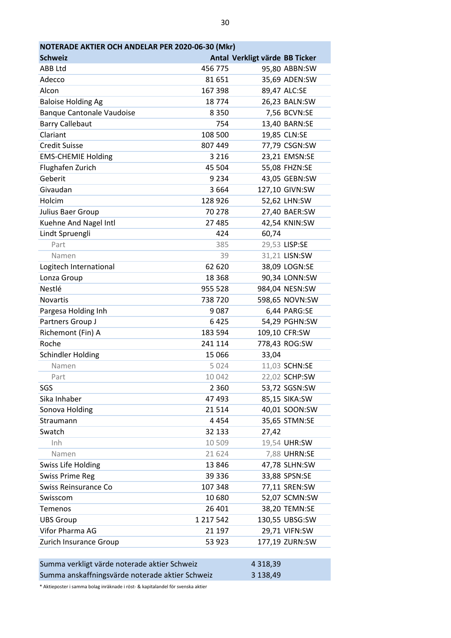| <b>Schweiz</b>                               |                   | Antal Verkligt värde BB Ticker |                |
|----------------------------------------------|-------------------|--------------------------------|----------------|
| ABB Ltd<br>Adecco                            | 456 775<br>81 651 |                                | 95,80 ABBN:SW  |
|                                              |                   |                                | 35,69 ADEN:SW  |
| Alcon                                        | 167 398           |                                | 89,47 ALC:SE   |
| <b>Baloise Holding Ag</b>                    | 18774             |                                | 26,23 BALN:SW  |
| <b>Banque Cantonale Vaudoise</b>             | 8350              |                                | 7,56 BCVN:SE   |
| <b>Barry Callebaut</b>                       | 754               |                                | 13,40 BARN:SE  |
| Clariant                                     | 108 500           |                                | 19,85 CLN:SE   |
| <b>Credit Suisse</b>                         | 807 449           |                                | 77,79 CSGN:SW  |
| <b>EMS-CHEMIE Holding</b>                    | 3 2 1 6           |                                | 23,21 EMSN:SE  |
| Flughafen Zurich                             | 45 504            |                                | 55,08 FHZN:SE  |
| Geberit                                      | 9 2 3 4           |                                | 43,05 GEBN:SW  |
| Givaudan                                     | 3664              |                                | 127,10 GIVN:SW |
| Holcim                                       | 128 926           |                                | 52,62 LHN:SW   |
| Julius Baer Group                            | 70 278            |                                | 27,40 BAER:SW  |
| Kuehne And Nagel Intl                        | 27 485            |                                | 42,54 KNIN:SW  |
| Lindt Spruengli                              | 424               | 60,74                          |                |
| Part                                         | 385               |                                | 29,53 LISP:SE  |
| Namen                                        | 39                |                                | 31,21 LISN:SW  |
| Logitech International                       | 62 620            |                                | 38,09 LOGN:SE  |
| Lonza Group                                  | 18 3 68           |                                | 90,34 LONN:SW  |
| Nestlé                                       | 955 528           |                                | 984,04 NESN:SW |
| <b>Novartis</b>                              | 738720            |                                | 598,65 NOVN:SW |
| Pargesa Holding Inh                          | 9087              |                                | 6,44 PARG:SE   |
| Partners Group J                             | 6425              |                                | 54,29 PGHN:SW  |
| Richemont (Fin) A                            | 183 594           |                                | 109,10 CFR:SW  |
| Roche                                        | 241 114           |                                | 778,43 ROG:SW  |
| <b>Schindler Holding</b>                     | 15 066            | 33,04                          |                |
| Namen                                        | 5 0 2 4           |                                | 11,03 SCHN:SE  |
| Part                                         | 10 042            |                                | 22,02 SCHP:SW  |
| SGS                                          | 2 3 6 0           |                                | 53,72 SGSN:SW  |
| Sika Inhaber                                 | 47 493            |                                | 85,15 SIKA:SW  |
| Sonova Holding                               | 21514             |                                | 40,01 SOON:SW  |
| Straumann                                    | 4454              |                                | 35,65 STMN:SE  |
| Swatch                                       | 32 133            | 27,42                          |                |
| Inh                                          | 10 509            |                                | 19,54 UHR:SW   |
| Namen                                        | 21 624            |                                | 7,88 UHRN:SE   |
| <b>Swiss Life Holding</b>                    | 13846             |                                | 47,78 SLHN:SW  |
| <b>Swiss Prime Reg</b>                       | 39 336            |                                | 33,88 SPSN:SE  |
| Swiss Reinsurance Co                         | 107 348           |                                | 77,11 SREN:SW  |
| Swisscom                                     | 10 680            |                                | 52,07 SCMN:SW  |
| Temenos                                      | 26 401            |                                | 38,20 TEMN:SE  |
| <b>UBS Group</b>                             | 1 217 542         |                                | 130,55 UBSG:SW |
| Vifor Pharma AG                              | 21 197            |                                | 29,71 VIFN:SW  |
| Zurich Insurance Group                       | 53 923            |                                | 177,19 ZURN:SW |
|                                              |                   |                                |                |
| Summa verkligt värde noterade aktier Schweiz |                   | 4 3 18, 39                     |                |
|                                              |                   |                                |                |

\* Aktieposter i samma bolag inräknade i röst- & kapitalandel för svenska aktier

Summa anskaffningsvärde noterade aktier Schweiz 3 138,49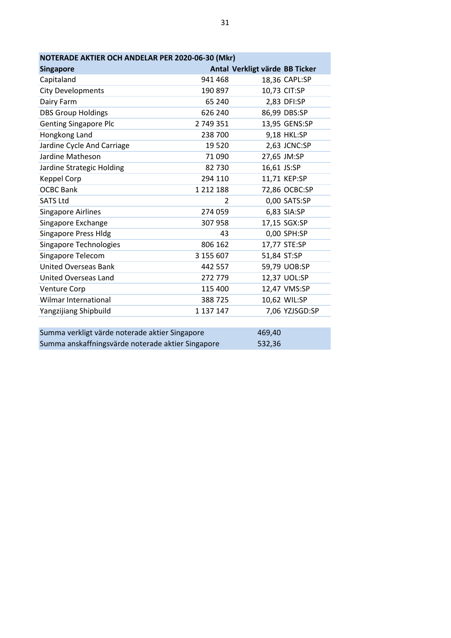| NOTERADE AKTIER OCH ANDELAR PER 2020-06-30 (Mkr) |               |                                |  |
|--------------------------------------------------|---------------|--------------------------------|--|
| <b>Singapore</b>                                 |               | Antal Verkligt värde BB Ticker |  |
| Capitaland                                       | 941 468       | 18,36 CAPL:SP                  |  |
| <b>City Developments</b>                         | 190 897       | 10,73 CIT:SP                   |  |
| Dairy Farm                                       | 65 240        | 2,83 DFI:SP                    |  |
| <b>DBS Group Holdings</b>                        | 626 240       | 86,99 DBS:SP                   |  |
| <b>Genting Singapore Plc</b>                     | 2 749 351     | 13,95 GENS:SP                  |  |
| Hongkong Land                                    | 238 700       | 9,18 HKL:SP                    |  |
| Jardine Cycle And Carriage                       | 19520         | 2,63 JCNC:SP                   |  |
| Jardine Matheson                                 | 71 090        | 27,65 JM:SP                    |  |
| Jardine Strategic Holding                        | 82 730        | 16,61 JS:SP                    |  |
| <b>Keppel Corp</b>                               | 294 110       | 11,71 KEP:SP                   |  |
| <b>OCBC Bank</b>                                 | 1 2 1 2 1 8 8 | 72,86 OCBC:SP                  |  |
| <b>SATS Ltd</b>                                  | 2             | 0,00 SATS:SP                   |  |
| <b>Singapore Airlines</b>                        | 274 059       | 6,83 SIA:SP                    |  |
| Singapore Exchange                               | 307 958       | 17,15 SGX:SP                   |  |
| <b>Singapore Press Hldg</b>                      | 43            | 0,00 SPH:SP                    |  |
| <b>Singapore Technologies</b>                    | 806 162       | 17,77 STE:SP                   |  |
| Singapore Telecom                                | 3 155 607     | 51,84 ST:SP                    |  |
| <b>United Overseas Bank</b>                      | 442 557       | 59,79 UOB:SP                   |  |
| United Overseas Land                             | 272 779       | 12,37 UOL:SP                   |  |
| <b>Venture Corp</b>                              | 115 400       | 12,47 VMS:SP                   |  |
| Wilmar International                             | 388725        | 10,62 WIL:SP                   |  |
| Yangzijiang Shipbuild                            | 1 137 147     | 7,06 YZJSGD:SP                 |  |
|                                                  |               |                                |  |
| Summa verkligt värde noterade aktier Singapore   |               | 469.40                         |  |

| Summa verkligt värde noterade aktier Singapore    | 469.40 |
|---------------------------------------------------|--------|
| Summa anskaffningsvärde noterade aktier Singapore | 532,36 |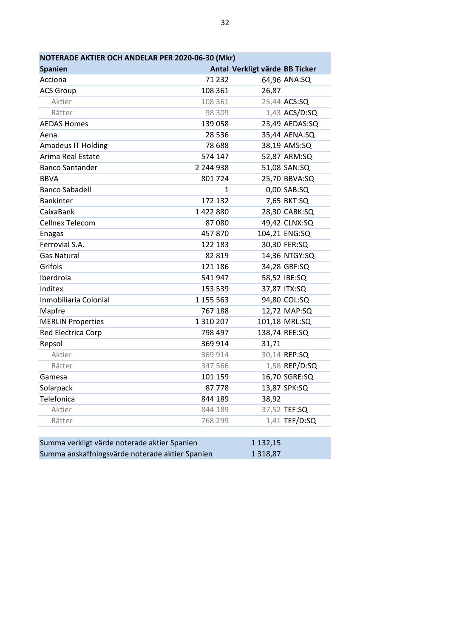| NOTERADE AKTIER OCH ANDELAR PER 2020-06-30 (Mkr) |               |                                |                |
|--------------------------------------------------|---------------|--------------------------------|----------------|
| <b>Spanien</b>                                   |               | Antal Verkligt värde BB Ticker |                |
| Acciona                                          | 71 232        |                                | 64,96 ANA:SQ   |
| <b>ACS Group</b>                                 | 108 361       | 26,87                          |                |
| Aktier                                           | 108 361       |                                | 25,44 ACS:SQ   |
| Rätter                                           | 98 309        |                                | 1,43 ACS/D:SQ  |
| <b>AEDAS Homes</b>                               | 139 058       |                                | 23,49 AEDAS:SQ |
| Aena                                             | 28 5 36       |                                | 35,44 AENA:SQ  |
| <b>Amadeus IT Holding</b>                        | 78 688        |                                | 38,19 AMS:SQ   |
| Arima Real Estate                                | 574 147       |                                | 52,87 ARM:SQ   |
| <b>Banco Santander</b>                           | 2 244 938     |                                | 51,08 SAN:SQ   |
| <b>BBVA</b>                                      | 801 724       |                                | 25,70 BBVA:SQ  |
| <b>Banco Sabadell</b>                            | 1             |                                | 0,00 SAB:SQ    |
| <b>Bankinter</b>                                 | 172 132       |                                | 7,65 BKT:SQ    |
| CaixaBank                                        | 1422880       |                                | 28,30 CABK:SQ  |
| Cellnex Telecom                                  | 87080         |                                | 49,42 CLNX:SQ  |
| <b>Enagas</b>                                    | 457870        |                                | 104,21 ENG:SQ  |
| Ferrovial S.A.                                   | 122 183       |                                | 30,30 FER:SQ   |
| <b>Gas Natural</b>                               | 82 819        |                                | 14,36 NTGY:SQ  |
| Grifols                                          | 121 186       |                                | 34,28 GRF:SQ   |
| Iberdrola                                        | 541 947       |                                | 58,52 IBE:SQ   |
| Inditex                                          | 153 539       |                                | 37,87 ITX:SQ   |
| Inmobiliaria Colonial                            | 1 155 563     |                                | 94,80 COL:SQ   |
| Mapfre                                           | 767 188       |                                | 12,72 MAP:SQ   |
| <b>MERLIN Properties</b>                         | 1 3 1 0 2 0 7 |                                | 101,18 MRL:SQ  |
| Red Electrica Corp                               | 798 497       |                                | 138,74 REE:SQ  |
| Repsol                                           | 369 914       | 31,71                          |                |
| Aktier                                           | 369 914       |                                | 30,14 REP:SQ   |
| Rätter                                           | 347 566       |                                | 1,58 REP/D:SQ  |
| Gamesa                                           | 101 159       |                                | 16,70 SGRE:SQ  |
| Solarpack                                        | 87778         |                                | 13,87 SPK:SQ   |
| Telefonica                                       | 844 189       | 38,92                          |                |
| Aktier                                           | 844 189       |                                | 37,52 TEF:SQ   |
| Rätter                                           | 768 299       |                                | 1,41 TEF/D:SQ  |
|                                                  |               |                                |                |
| Summa verkligt värde noterade aktier Spanien     |               | 1 1 3 2 , 1 5                  |                |
| Summa anskaffningsvärde noterade aktier Spanien  |               | 1 3 1 8,87                     |                |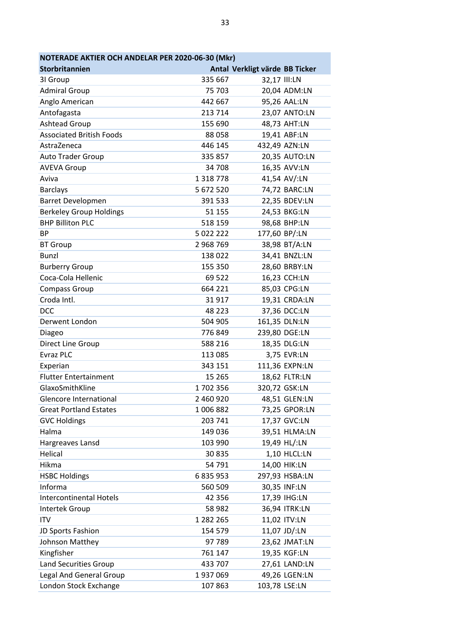| NOTERADE AKTIER OCH ANDELAR PER 2020-06-30 (Mkr) |               |                                |                |
|--------------------------------------------------|---------------|--------------------------------|----------------|
| Storbritannien                                   |               | Antal Verkligt värde BB Ticker |                |
| 31 Group                                         | 335 667       | 32,17 III:LN                   |                |
| <b>Admiral Group</b>                             | 75 703        |                                | 20,04 ADM:LN   |
| Anglo American                                   | 442 667       |                                | 95,26 AAL:LN   |
| Antofagasta                                      | 213 714       |                                | 23,07 ANTO:LN  |
| Ashtead Group                                    | 155 690       |                                | 48,73 AHT:LN   |
| <b>Associated British Foods</b>                  | 88058         |                                | 19,41 ABF:LN   |
| AstraZeneca                                      | 446 145       |                                | 432,49 AZN:LN  |
| Auto Trader Group                                | 335 857       |                                | 20,35 AUTO:LN  |
| <b>AVEVA Group</b>                               | 34 708        |                                | 16,35 AVV:LN   |
| Aviva                                            | 1 3 1 8 7 7 8 |                                | 41,54 AV/:LN   |
| <b>Barclays</b>                                  | 5 672 520     |                                | 74,72 BARC:LN  |
| <b>Barret Developmen</b>                         | 391 533       |                                | 22,35 BDEV:LN  |
| <b>Berkeley Group Holdings</b>                   | 51 155        |                                | 24,53 BKG:LN   |
| <b>BHP Billiton PLC</b>                          | 518 159       |                                | 98,68 BHP:LN   |
| <b>BP</b>                                        | 5 022 222     | 177,60 BP/:LN                  |                |
| <b>BT Group</b>                                  | 2 968 769     |                                | 38,98 BT/A:LN  |
| <b>Bunzl</b>                                     | 138 022       |                                | 34,41 BNZL:LN  |
| <b>Burberry Group</b>                            | 155 350       |                                | 28,60 BRBY:LN  |
| Coca-Cola Hellenic                               | 69 522        |                                | 16,23 CCH:LN   |
| <b>Compass Group</b>                             | 664 221       |                                | 85,03 CPG:LN   |
| Croda Intl.                                      | 31917         |                                | 19,31 CRDA:LN  |
| <b>DCC</b>                                       | 48 2 23       |                                | 37,36 DCC:LN   |
| Derwent London                                   | 504 905       |                                | 161,35 DLN:LN  |
| Diageo                                           | 776849        |                                | 239,80 DGE:LN  |
| Direct Line Group                                | 588 216       |                                | 18,35 DLG:LN   |
| <b>Evraz PLC</b>                                 | 113 085       |                                | 3,75 EVR:LN    |
| Experian                                         | 343 151       |                                | 111,36 EXPN:LN |
| <b>Flutter Entertainment</b>                     | 15 2 65       |                                | 18,62 FLTR:LN  |
| GlaxoSmithKline                                  | 1702356       | 320,72 GSK:LN                  |                |
| Glencore International                           | 2 460 920     |                                | 48,51 GLEN:LN  |
| <b>Great Portland Estates</b>                    | 1006882       |                                | 73,25 GPOR:LN  |
| <b>GVC Holdings</b>                              | 203 741       |                                | 17,37 GVC:LN   |
| Halma                                            | 149 036       |                                | 39,51 HLMA:LN  |
| Hargreaves Lansd                                 | 103 990       |                                | 19,49 HL/:LN   |
| Helical                                          | 30 835        |                                | 1,10 HLCL:LN   |
| Hikma                                            | 54 791        |                                | 14,00 HIK:LN   |
| <b>HSBC Holdings</b>                             | 6 835 953     |                                | 297,93 HSBA:LN |
| Informa                                          | 560 509       |                                | 30,35 INF:LN   |
| <b>Intercontinental Hotels</b>                   | 42 356        |                                | 17,39 IHG:LN   |
| Intertek Group                                   | 58 982        |                                | 36,94 ITRK:LN  |
| <b>ITV</b>                                       | 1 282 265     |                                | 11,02 ITV:LN   |
| JD Sports Fashion                                | 154 579       |                                | 11,07 JD/:LN   |
| Johnson Matthey                                  | 97 789        |                                | 23,62 JMAT:LN  |
| Kingfisher                                       | 761 147       |                                | 19,35 KGF:LN   |
| Land Securities Group                            | 433 707       |                                | 27,61 LAND:LN  |
| Legal And General Group                          | 1937069       |                                | 49,26 LGEN:LN  |
| London Stock Exchange                            | 107863        | 103,78 LSE:LN                  |                |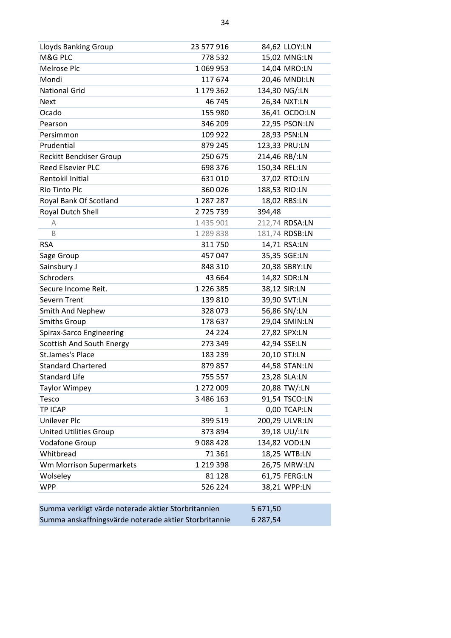| <b>Lloyds Banking Group</b>                           | 23 577 916    |          | 84,62 LLOY:LN  |
|-------------------------------------------------------|---------------|----------|----------------|
| M&G PLC                                               | 778 532       |          | 15,02 MNG:LN   |
| Melrose Plc                                           | 1069953       |          | 14,04 MRO:LN   |
| Mondi                                                 | 117 674       |          | 20,46 MNDI:LN  |
| <b>National Grid</b>                                  | 1 179 362     |          | 134,30 NG/:LN  |
| <b>Next</b>                                           | 46 745        |          | 26,34 NXT:LN   |
| Ocado                                                 | 155 980       |          | 36,41 OCDO:LN  |
| Pearson                                               | 346 209       |          | 22,95 PSON:LN  |
| Persimmon                                             | 109 922       |          | 28,93 PSN:LN   |
| Prudential                                            | 879 245       |          | 123,33 PRU:LN  |
| <b>Reckitt Benckiser Group</b>                        | 250 675       |          | 214,46 RB/:LN  |
| <b>Reed Elsevier PLC</b>                              | 698 376       |          | 150,34 REL:LN  |
| Rentokil Initial                                      | 631010        |          | 37,02 RTO:LN   |
| Rio Tinto Plc                                         | 360 026       |          | 188,53 RIO:LN  |
| Royal Bank Of Scotland                                | 1 287 287     |          | 18,02 RBS:LN   |
| Royal Dutch Shell                                     | 2725739       | 394,48   |                |
| A                                                     | 1 435 901     |          | 212,74 RDSA:LN |
| B                                                     | 1 289 838     |          | 181,74 RDSB:LN |
| <b>RSA</b>                                            | 311 750       |          | 14,71 RSA:LN   |
| Sage Group                                            | 457 047       |          | 35,35 SGE:LN   |
| Sainsbury J                                           | 848 310       |          | 20,38 SBRY:LN  |
| Schroders                                             | 43 664        |          | 14,82 SDR:LN   |
| Secure Income Reit.                                   | 1 2 2 6 3 8 5 |          | 38,12 SIR:LN   |
| <b>Severn Trent</b>                                   | 139 810       |          | 39,90 SVT:LN   |
| Smith And Nephew                                      | 328 073       |          | 56,86 SN/:LN   |
| <b>Smiths Group</b>                                   | 178 637       |          | 29,04 SMIN:LN  |
| Spirax-Sarco Engineering                              | 24 2 24       |          | 27,82 SPX:LN   |
| Scottish And South Energy                             | 273 349       |          | 42,94 SSE:LN   |
| <b>St.James's Place</b>                               | 183 239       |          | 20,10 STJ:LN   |
| <b>Standard Chartered</b>                             | 879 857       |          | 44,58 STAN:LN  |
| <b>Standard Life</b>                                  | 755 557       |          | 23,28 SLA:LN   |
| <b>Taylor Wimpey</b>                                  | 1 272 009     |          | 20,88 TW/:LN   |
| Tesco                                                 | 3 486 163     |          | 91,54 TSCO:LN  |
| TP ICAP                                               | 1             |          | 0,00 TCAP:LN   |
| Unilever Plc                                          | 399 519       |          | 200,29 ULVR:LN |
| <b>United Utilities Group</b>                         | 373 894       |          | 39,18 UU/:LN   |
| <b>Vodafone Group</b>                                 | 9088428       |          | 134,82 VOD:LN  |
| Whitbread                                             | 71 361        |          | 18,25 WTB:LN   |
| Wm Morrison Supermarkets                              | 1 2 1 9 3 9 8 |          | 26,75 MRW:LN   |
| Wolseley                                              | 81 1 28       |          | 61,75 FERG:LN  |
| <b>WPP</b>                                            | 526 224       |          | 38,21 WPP:LN   |
|                                                       |               |          |                |
| Summa verkligt värde noterade aktier Storbritannien   |               | 5 671,50 |                |
| Summa anskaffningsvärde noterade aktier Storbritannie |               | 6 287,54 |                |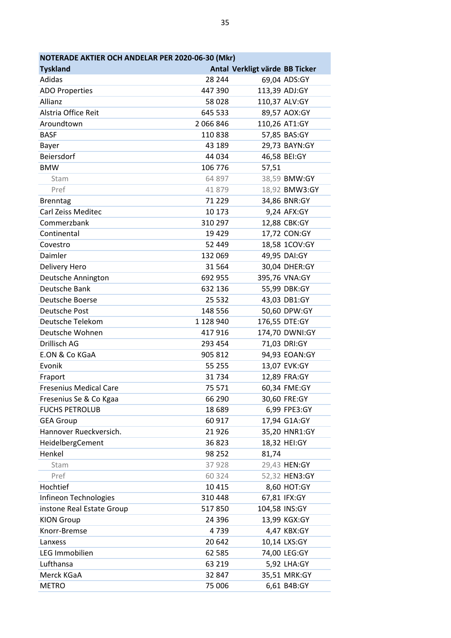| NOTERADE AKTIER OCH ANDELAR PER 2020-06-30 (Mkr) |             |                                |                |
|--------------------------------------------------|-------------|--------------------------------|----------------|
| <b>Tyskland</b>                                  |             | Antal Verkligt värde BB Ticker |                |
| Adidas                                           | 28 244      |                                | 69,04 ADS:GY   |
| <b>ADO Properties</b>                            | 447 390     |                                | 113,39 ADJ:GY  |
| Allianz                                          | 58 0 28     |                                | 110,37 ALV:GY  |
| Alstria Office Reit                              | 645 533     |                                | 89,57 AOX:GY   |
| Aroundtown                                       | 2 066 846   |                                | 110,26 AT1:GY  |
| <b>BASF</b>                                      | 110838      |                                | 57,85 BAS:GY   |
| Bayer                                            | 43 189      |                                | 29,73 BAYN:GY  |
| Beiersdorf                                       | 44 034      |                                | 46,58 BEI:GY   |
| <b>BMW</b>                                       | 106 776     | 57,51                          |                |
| Stam                                             | 64 897      |                                | 38,59 BMW:GY   |
| Pref                                             | 41879       |                                | 18,92 BMW3:GY  |
| <b>Brenntag</b>                                  | 71 229      |                                | 34,86 BNR:GY   |
| <b>Carl Zeiss Meditec</b>                        | 10 173      |                                | 9,24 AFX:GY    |
| Commerzbank                                      | 310 297     |                                | 12,88 CBK:GY   |
| Continental                                      | 19 4 29     |                                | 17,72 CON:GY   |
| Covestro                                         | 52 449      |                                | 18,58 1COV:GY  |
| Daimler                                          | 132 069     |                                | 49,95 DAI:GY   |
| Delivery Hero                                    | 31 5 64     |                                | 30,04 DHER:GY  |
| Deutsche Annington                               | 692 955     |                                | 395,76 VNA:GY  |
| Deutsche Bank                                    | 632 136     |                                | 55,99 DBK:GY   |
| Deutsche Boerse                                  | 25 5 32     |                                | 43,03 DB1:GY   |
| Deutsche Post                                    | 148 556     |                                | 50,60 DPW:GY   |
| Deutsche Telekom                                 | 1 1 28 9 40 |                                | 176,55 DTE:GY  |
| Deutsche Wohnen                                  | 417916      |                                | 174,70 DWNI:GY |
| Drillisch AG                                     | 293 454     |                                | 71,03 DRI:GY   |
| E.ON & Co KGaA                                   | 905 812     |                                | 94,93 EOAN:GY  |
| Evonik                                           | 55 255      |                                | 13,07 EVK:GY   |
| Fraport                                          | 31734       |                                | 12,89 FRA:GY   |
| <b>Fresenius Medical Care</b>                    | 75 571      |                                | 60,34 FME:GY   |
| Fresenius Se & Co Kgaa                           | 66 290      |                                | 30,60 FRE:GY   |
| <b>FUCHS PETROLUB</b>                            | 18 689      |                                | 6,99 FPE3:GY   |
| <b>GEA Group</b>                                 | 60 917      |                                | 17,94 G1A:GY   |
| Hannover Rueckversich.                           | 21926       |                                | 35,20 HNR1:GY  |
| HeidelbergCement                                 | 36823       |                                | 18,32 HEI:GY   |
| Henkel                                           | 98 252      | 81,74                          |                |
| Stam                                             | 37928       |                                | 29,43 HEN:GY   |
| Pref                                             | 60 324      |                                | 52,32 HEN3:GY  |
| Hochtief                                         | 10 4 15     |                                | 8,60 HOT:GY    |
| Infineon Technologies                            | 310 448     |                                | 67,81 IFX:GY   |
| instone Real Estate Group                        | 517850      |                                | 104,58 INS:GY  |
| <b>KION Group</b>                                | 24 3 96     |                                | 13,99 KGX:GY   |
| Knorr-Bremse                                     | 4739        |                                | 4,47 KBX:GY    |
| Lanxess                                          | 20 642      |                                | 10,14 LXS:GY   |
| LEG Immobilien                                   | 62 585      |                                | 74,00 LEG:GY   |
| Lufthansa                                        | 63 219      |                                | 5,92 LHA:GY    |
| Merck KGaA                                       | 32 847      |                                | 35,51 MRK:GY   |
| <b>METRO</b>                                     | 75 006      |                                | 6,61 B4B:GY    |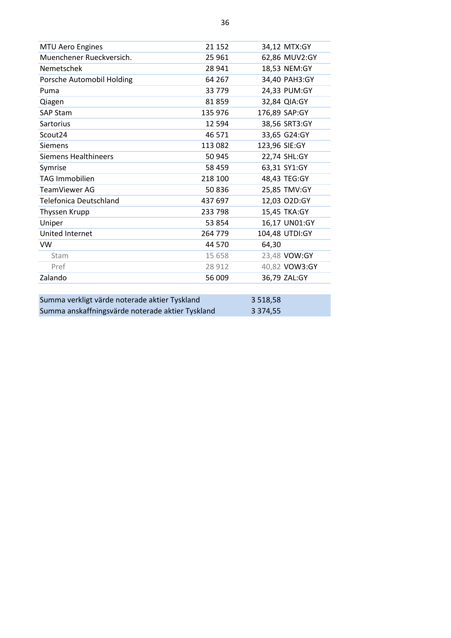| <b>MTU Aero Engines</b>                          | 21 152   |               | 34,12 MTX:GY   |
|--------------------------------------------------|----------|---------------|----------------|
| Muenchener Rueckversich.                         | 25 961   |               | 62,86 MUV2:GY  |
| Nemetschek                                       | 28 941   |               | 18,53 NEM:GY   |
| Porsche Automobil Holding                        | 64 267   |               | 34,40 PAH3:GY  |
| Puma                                             | 33 7 7 9 |               | 24,33 PUM:GY   |
| Qiagen                                           | 81859    |               | 32,84 QIA:GY   |
| <b>SAP Stam</b>                                  | 135 976  |               | 176,89 SAP:GY  |
| Sartorius                                        | 12 5 94  |               | 38,56 SRT3:GY  |
| Scout24                                          | 46 571   |               | 33,65 G24:GY   |
| <b>Siemens</b>                                   | 113 082  | 123,96 SIE:GY |                |
| <b>Siemens Healthineers</b>                      | 50 945   |               | 22,74 SHL:GY   |
| Symrise                                          | 58 459   |               | 63,31 SY1:GY   |
| <b>TAG Immobilien</b>                            | 218 100  |               | 48,43 TEG:GY   |
| TeamViewer AG                                    | 50836    |               | 25,85 TMV:GY   |
| <b>Telefonica Deutschland</b>                    | 437 697  |               | 12,03 O2D:GY   |
| Thyssen Krupp                                    | 233 798  |               | 15,45 TKA:GY   |
| Uniper                                           | 53 854   |               | 16,17 UN01:GY  |
| United Internet                                  | 264 779  |               | 104,48 UTDI:GY |
| VW                                               | 44 570   | 64,30         |                |
| Stam                                             | 15 658   |               | 23,48 VOW:GY   |
| Pref                                             | 28 912   |               | 40,82 VOW3:GY  |
| Zalando                                          | 56 009   |               | 36,79 ZAL:GY   |
|                                                  |          |               |                |
| Summa verkligt värde noterade aktier Tyskland    |          | 3 5 18, 58    |                |
| Summa anskaffningsvärde noterade aktier Tyskland |          | 3 3 7 4 , 5 5 |                |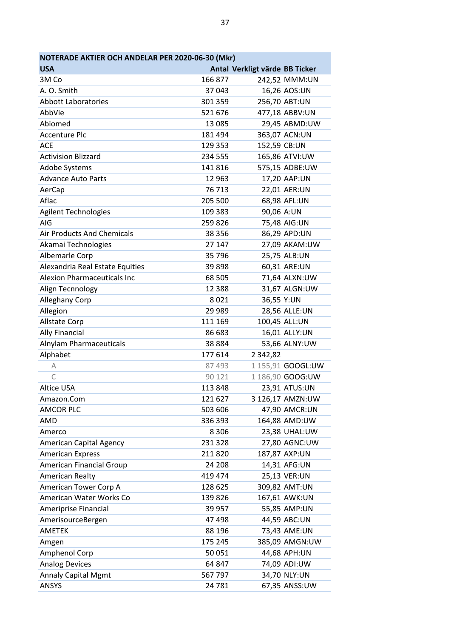| NOTERADE AKTIER OCH ANDELAR PER 2020-06-30 (Mkr) |          |                                |                   |
|--------------------------------------------------|----------|--------------------------------|-------------------|
| <b>USA</b>                                       |          | Antal Verkligt värde BB Ticker |                   |
| 3M Co                                            | 166 877  |                                | 242,52 MMM:UN     |
| A. O. Smith                                      | 37 043   |                                | 16,26 AOS:UN      |
| <b>Abbott Laboratories</b>                       | 301 359  |                                | 256,70 ABT:UN     |
| AbbVie                                           | 521 676  |                                | 477,18 ABBV:UN    |
| Abiomed                                          | 13 085   |                                | 29,45 ABMD:UW     |
| <b>Accenture Plc</b>                             | 181 494  |                                | 363,07 ACN:UN     |
| <b>ACE</b>                                       | 129 353  | 152,59 CB:UN                   |                   |
| <b>Activision Blizzard</b>                       | 234 555  |                                | 165,86 ATVI:UW    |
| Adobe Systems                                    | 141 816  |                                | 575,15 ADBE:UW    |
| <b>Advance Auto Parts</b>                        | 12 963   |                                | 17,20 AAP:UN      |
| AerCap                                           | 76 713   |                                | 22,01 AER:UN      |
| Aflac                                            | 205 500  |                                | 68,98 AFL:UN      |
| <b>Agilent Technologies</b>                      | 109 383  | 90,06 A:UN                     |                   |
| AIG                                              | 259826   |                                | 75,48 AIG:UN      |
| <b>Air Products And Chemicals</b>                | 38 356   |                                | 86,29 APD:UN      |
| Akamai Technologies                              | 27 147   |                                | 27,09 AKAM:UW     |
| Albemarle Corp                                   | 35 796   |                                | 25,75 ALB:UN      |
| Alexandria Real Estate Equities                  | 39898    |                                | 60,31 ARE:UN      |
| <b>Alexion Pharmaceuticals Inc</b>               | 68 505   |                                | 71,64 ALXN:UW     |
| Align Tecnnology                                 | 12 3 8 8 |                                | 31,67 ALGN:UW     |
| Alleghany Corp                                   | 8021     | 36,55 Y:UN                     |                   |
| Allegion                                         | 29 989   |                                | 28,56 ALLE:UN     |
| <b>Allstate Corp</b>                             | 111 169  |                                | 100,45 ALL:UN     |
| <b>Ally Financial</b>                            | 86 683   |                                | 16,01 ALLY:UN     |
| Alnylam Pharmaceuticals                          | 38 8 8 4 |                                | 53,66 ALNY:UW     |
| Alphabet                                         | 177614   | 2 3 4 2 , 8 2                  |                   |
| Α                                                | 87 493   |                                | 1 155,91 GOOGL:UW |
| C                                                | 90 121   |                                | 1 186,90 GOOG:UW  |
| <b>Altice USA</b>                                | 113848   |                                | 23,91 ATUS:UN     |
| Amazon.Com                                       | 121 627  |                                | 3 126,17 AMZN:UW  |
| AMCOR PLC                                        | 503 606  |                                | 47,90 AMCR:UN     |
| AMD                                              | 336 393  |                                | 164,88 AMD:UW     |
| Amerco                                           | 8 3 0 6  |                                | 23,38 UHAL:UW     |
| American Capital Agency                          | 231 328  |                                | 27,80 AGNC:UW     |
| <b>American Express</b>                          | 211820   |                                | 187,87 AXP:UN     |
| American Financial Group                         | 24 208   |                                | 14,31 AFG:UN      |
| American Realty                                  | 419 474  |                                | 25,13 VER:UN      |
| American Tower Corp A                            | 128 625  |                                | 309,82 AMT:UN     |
| American Water Works Co                          | 139 826  |                                | 167,61 AWK:UN     |
| Ameriprise Financial                             | 39 957   |                                | 55,85 AMP:UN      |
| AmerisourceBergen                                | 47 498   |                                | 44,59 ABC:UN      |
| <b>AMETEK</b>                                    | 88 196   |                                | 73,43 AME:UN      |
| Amgen                                            | 175 245  |                                | 385,09 AMGN:UW    |
| Amphenol Corp                                    | 50 051   |                                | 44,68 APH:UN      |
| <b>Analog Devices</b>                            | 64 847   |                                | 74,09 ADI:UW      |
| <b>Annaly Capital Mgmt</b>                       | 567 797  |                                | 34,70 NLY:UN      |
| <b>ANSYS</b>                                     | 24 781   |                                | 67,35 ANSS:UW     |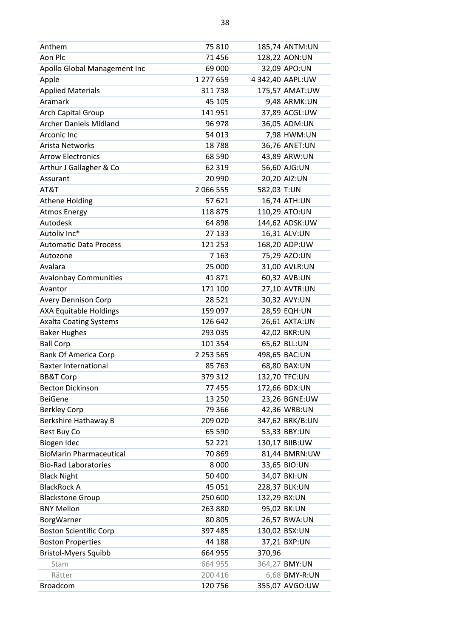| Anthem                         | 75 810        | 185,74 ANTM:UN   |
|--------------------------------|---------------|------------------|
| Aon Plc                        | 71 456        | 128,22 AON:UN    |
| Apollo Global Management Inc   | 69 000        | 32,09 APO:UN     |
| Apple                          | 1 277 659     | 4 342,40 AAPL:UW |
| <b>Applied Materials</b>       | 311738        | 175,57 AMAT:UW   |
| Aramark                        | 45 105        | 9,48 ARMK:UN     |
| Arch Capital Group             | 141 951       | 37,89 ACGL:UW    |
| <b>Archer Daniels Midland</b>  | 96 978        | 36,05 ADM:UN     |
| Arconic Inc                    | 54 013        | 7,98 HWM:UN      |
| Arista Networks                | 18788         | 36,76 ANET:UN    |
| <b>Arrow Electronics</b>       | 68 590        | 43,89 ARW:UN     |
| Arthur J Gallagher & Co        | 62 319        | 56,60 AJG:UN     |
| Assurant                       | 20 990        | 20,20 AIZ:UN     |
| AT&T                           | 2 066 555     | 582,03 T:UN      |
| <b>Athene Holding</b>          | 57 621        | 16,74 ATH:UN     |
| <b>Atmos Energy</b>            | 118 875       | 110,29 ATO:UN    |
| Autodesk                       | 64 898        | 144,62 ADSK:UW   |
| Autoliv Inc*                   | 27 133        | 16,31 ALV:UN     |
| <b>Automatic Data Process</b>  | 121 253       | 168,20 ADP:UW    |
| Autozone                       | 7 1 6 3       | 75,29 AZO:UN     |
| Avalara                        | 25 000        | 31,00 AVLR:UN    |
| <b>Avalonbay Communities</b>   | 41871         | 60,32 AVB:UN     |
| Avantor                        | 171 100       | 27,10 AVTR:UN    |
| <b>Avery Dennison Corp</b>     | 28 5 21       | 30,32 AVY:UN     |
| <b>AXA Equitable Holdings</b>  | 159 097       | 28,59 EQH:UN     |
| <b>Axalta Coating Systems</b>  | 126 642       | 26,61 AXTA:UN    |
| <b>Baker Hughes</b>            | 293 035       | 42,02 BKR:UN     |
| <b>Ball Corp</b>               | 101 354       | 65,62 BLL:UN     |
| <b>Bank Of America Corp</b>    | 2 2 5 3 5 6 5 | 498,65 BAC:UN    |
| <b>Baxter International</b>    | 85 763        | 68,80 BAX:UN     |
| <b>BB&amp;T Corp</b>           | 379 312       | 132,70 TFC:UN    |
| <b>Becton Dickinson</b>        | 77 455        | 172,66 BDX:UN    |
| <b>BeiGene</b>                 | 13 250        | 23,26 BGNE:UW    |
| <b>Berkley Corp</b>            | 79 366        | 42,36 WRB:UN     |
| Berkshire Hathaway B           | 209 020       | 347,62 BRK/B:UN  |
| Best Buy Co                    | 65 590        | 53,33 BBY:UN     |
| Biogen Idec                    | 52 221        | 130,17 BIIB:UW   |
| <b>BioMarin Pharmaceutical</b> | 70869         | 81,44 BMRN:UW    |
| <b>Bio-Rad Laboratories</b>    | 8 0 0 0       | 33,65 BIO:UN     |
| <b>Black Night</b>             | 50 400        | 34,07 BKI:UN     |
| <b>BlackRock A</b>             | 45 051        | 228,37 BLK:UN    |
| <b>Blackstone Group</b>        | 250 600       | 132,29 BX:UN     |
| <b>BNY Mellon</b>              | 263 880       | 95,02 BK:UN      |
| BorgWarner                     | 80 805        | 26,57 BWA:UN     |
| <b>Boston Scientific Corp</b>  | 397 485       | 130,02 BSX:UN    |
| <b>Boston Properties</b>       | 44 188        | 37,21 BXP:UN     |
| <b>Bristol-Myers Squibb</b>    | 664 955       | 370,96           |
| Stam                           | 664 955       | 364,27 BMY:UN    |
| Rätter                         | 200 416       | 6,68 BMY-R:UN    |
| Broadcom                       | 120 756       | 355,07 AVGO:UW   |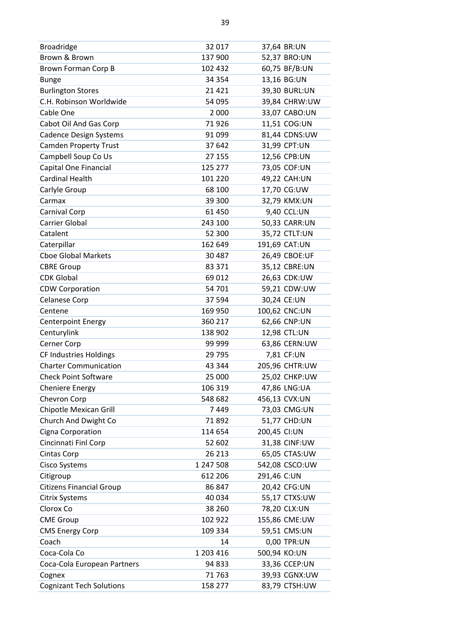| <b>Broadridge</b>               | 32 017    | 37,64 BR:UN    |
|---------------------------------|-----------|----------------|
| Brown & Brown                   | 137 900   | 52,37 BRO:UN   |
| Brown Forman Corp B             | 102 432   | 60,75 BF/B:UN  |
| <b>Bunge</b>                    | 34 354    | 13,16 BG:UN    |
| <b>Burlington Stores</b>        | 21 4 21   | 39,30 BURL:UN  |
| C.H. Robinson Worldwide         | 54 095    | 39,84 CHRW:UW  |
| Cable One                       | 2 0 0 0   | 33,07 CABO:UN  |
| Cabot Oil And Gas Corp          | 71926     | 11,51 COG:UN   |
| <b>Cadence Design Systems</b>   | 91 099    | 81,44 CDNS:UW  |
| <b>Camden Property Trust</b>    | 37 642    | 31,99 CPT:UN   |
| Campbell Soup Co Us             | 27 155    | 12,56 CPB:UN   |
| Capital One Financial           | 125 277   | 73,05 COF:UN   |
| <b>Cardinal Health</b>          | 101 220   | 49,22 CAH:UN   |
| Carlyle Group                   | 68 100    | 17,70 CG:UW    |
| Carmax                          | 39 300    | 32,79 KMX:UN   |
| Carnival Corp                   | 61 450    | 9,40 CCL:UN    |
| Carrier Global                  | 243 100   | 50,33 CARR:UN  |
| Catalent                        | 52 300    | 35,72 CTLT:UN  |
| Caterpillar                     | 162 649   | 191,69 CAT:UN  |
| <b>Cboe Global Markets</b>      | 30 487    | 26,49 CBOE:UF  |
| <b>CBRE Group</b>               | 83 371    | 35,12 CBRE:UN  |
| <b>CDK Global</b>               | 69 012    | 26,63 CDK:UW   |
| <b>CDW Corporation</b>          | 54 701    | 59,21 CDW:UW   |
| <b>Celanese Corp</b>            | 37 594    | 30,24 CE:UN    |
| Centene                         | 169 950   | 100,62 CNC:UN  |
| <b>Centerpoint Energy</b>       | 360 217   | 62,66 CNP:UN   |
| Centurylink                     | 138 902   | 12,98 CTL:UN   |
| Cerner Corp                     | 99 999    | 63,86 CERN:UW  |
| <b>CF Industries Holdings</b>   | 29 7 95   | 7,81 CF:UN     |
| <b>Charter Communication</b>    | 43 344    | 205,96 CHTR:UW |
| <b>Check Point Software</b>     | 25 000    | 25,02 CHKP:UW  |
| <b>Cheniere Energy</b>          | 106 319   | 47,86 LNG:UA   |
| Chevron Corp                    | 548 682   | 456,13 CVX:UN  |
| Chipotle Mexican Grill          | 7449      | 73,03 CMG:UN   |
| Church And Dwight Co            | 71892     | 51,77 CHD:UN   |
| Cigna Corporation               | 114 654   | 200,45 CI:UN   |
| Cincinnati Finl Corp            | 52 602    | 31,38 CINF:UW  |
| <b>Cintas Corp</b>              | 26 213    | 65,05 CTAS:UW  |
| Cisco Systems                   | 1 247 508 | 542,08 CSCO:UW |
| Citigroup                       | 612 206   | 291,46 C:UN    |
| <b>Citizens Financial Group</b> | 86 847    | 20,42 CFG:UN   |
| <b>Citrix Systems</b>           | 40 034    | 55,17 CTXS:UW  |
| Clorox Co                       | 38 260    | 78,20 CLX:UN   |
| <b>CME Group</b>                | 102 922   | 155,86 CME:UW  |
| <b>CMS Energy Corp</b>          | 109 334   | 59,51 CMS:UN   |
| Coach                           | 14        | 0,00 TPR:UN    |
| Coca-Cola Co                    | 1 203 416 | 500,94 KO:UN   |
| Coca-Cola European Partners     | 94 833    | 33,36 CCEP:UN  |
| Cognex                          | 71 763    | 39,93 CGNX:UW  |
| <b>Cognizant Tech Solutions</b> | 158 277   | 83,79 CTSH:UW  |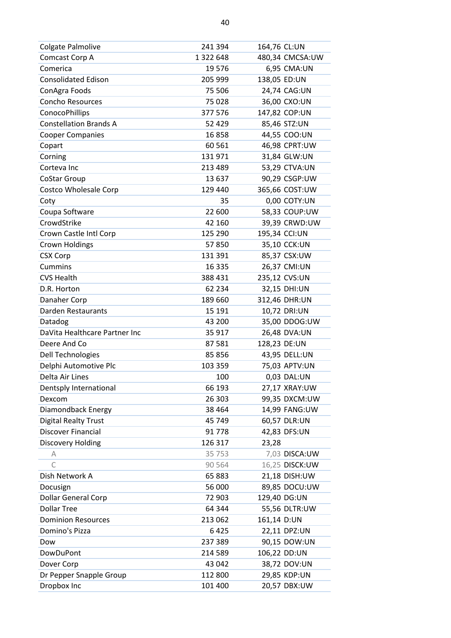| <b>Colgate Palmolive</b>      | 241 394       | 164,76 CL:UN    |
|-------------------------------|---------------|-----------------|
| Comcast Corp A                | 1 3 2 2 6 4 8 | 480,34 CMCSA:UW |
| Comerica                      | 19576         | 6,95 CMA:UN     |
| <b>Consolidated Edison</b>    | 205 999       | 138,05 ED:UN    |
| ConAgra Foods                 | 75 506        | 24,74 CAG:UN    |
| <b>Concho Resources</b>       | 75 028        | 36,00 CXO:UN    |
| ConocoPhillips                | 377 576       | 147,82 COP:UN   |
| <b>Constellation Brands A</b> | 52 429        | 85,46 STZ:UN    |
| <b>Cooper Companies</b>       | 16858         | 44,55 COO:UN    |
| Copart                        | 60 5 61       | 46,98 CPRT:UW   |
| Corning                       | 131 971       | 31,84 GLW:UN    |
| Corteva Inc                   | 213 489       | 53,29 CTVA:UN   |
| <b>CoStar Group</b>           | 13 637        | 90,29 CSGP:UW   |
| <b>Costco Wholesale Corp</b>  | 129 440       | 365,66 COST:UW  |
| Coty                          | 35            | 0,00 COTY:UN    |
| Coupa Software                | 22 600        | 58,33 COUP:UW   |
| CrowdStrike                   | 42 160        | 39,39 CRWD:UW   |
| Crown Castle Intl Corp        | 125 290       | 195,34 CCI:UN   |
| <b>Crown Holdings</b>         | 57850         | 35,10 CCK:UN    |
| <b>CSX Corp</b>               | 131 391       | 85,37 CSX:UW    |
| <b>Cummins</b>                | 16 3 35       | 26,37 CMI:UN    |
| <b>CVS Health</b>             | 388 431       | 235,12 CVS:UN   |
| D.R. Horton                   | 62 234        | 32,15 DHI:UN    |
| Danaher Corp                  | 189 660       | 312,46 DHR:UN   |
| Darden Restaurants            | 15 191        | 10,72 DRI:UN    |
| Datadog                       | 43 200        | 35,00 DDOG:UW   |
| DaVita Healthcare Partner Inc | 35 917        | 26,48 DVA:UN    |
| Deere And Co                  | 87 581        | 128,23 DE:UN    |
| <b>Dell Technologies</b>      | 85 856        | 43,95 DELL:UN   |
| Delphi Automotive Plc         | 103 359       | 75,03 APTV:UN   |
| Delta Air Lines               | 100           | 0,03 DAL:UN     |
| Dentsply International        | 66 193        | 27,17 XRAY:UW   |
| Dexcom                        | 26 303        | 99,35 DXCM:UW   |
| Diamondback Energy            | 38 4 64       | 14,99 FANG:UW   |
| <b>Digital Realty Trust</b>   | 45 749        |                 |
|                               |               | 60,57 DLR:UN    |
| <b>Discover Financial</b>     | 91778         | 42,83 DFS:UN    |
| Discovery Holding             | 126 317       | 23,28           |
| A                             | 35 753        | 7,03 DISCA:UW   |
| C                             | 90 564        | 16,25 DISCK:UW  |
| Dish Network A                | 65883         | 21,18 DISH:UW   |
| Docusign                      | 56 000        | 89,85 DOCU:UW   |
| Dollar General Corp           | 72 903        | 129,40 DG:UN    |
| <b>Dollar Tree</b>            | 64 344        | 55,56 DLTR:UW   |
| <b>Dominion Resources</b>     | 213 062       | 161,14 D:UN     |
| Domino's Pizza                | 6425          | 22,11 DPZ:UN    |
| Dow                           | 237 389       | 90,15 DOW:UN    |
| DowDuPont                     | 214 589       | 106,22 DD:UN    |
| Dover Corp                    | 43 042        | 38,72 DOV:UN    |
| Dr Pepper Snapple Group       | 112 800       | 29,85 KDP:UN    |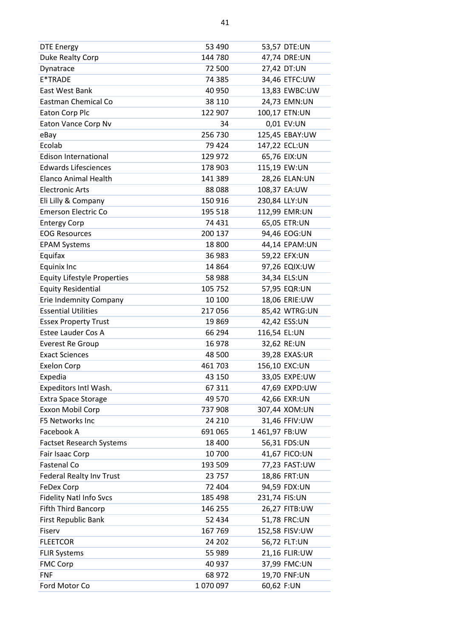| <b>DTE Energy</b>                  | 53 490  | 53,57 DTE:UN   |
|------------------------------------|---------|----------------|
| Duke Realty Corp                   | 144 780 | 47,74 DRE:UN   |
| Dynatrace                          | 72 500  | 27,42 DT:UN    |
| E*TRADE                            | 74 385  | 34,46 ETFC:UW  |
| East West Bank                     | 40 950  | 13,83 EWBC:UW  |
| Eastman Chemical Co                | 38 110  | 24,73 EMN:UN   |
| Eaton Corp Plc                     | 122 907 | 100,17 ETN:UN  |
| Eaton Vance Corp Nv                | 34      | 0,01 EV:UN     |
| eBay                               | 256 730 | 125,45 EBAY:UW |
| Ecolab                             | 79 424  | 147,22 ECL:UN  |
| Edison International               | 129 972 | 65,76 EIX:UN   |
| <b>Edwards Lifesciences</b>        | 178 903 | 115,19 EW:UN   |
| <b>Elanco Animal Health</b>        | 141 389 | 28,26 ELAN:UN  |
| <b>Electronic Arts</b>             | 88088   | 108,37 EA:UW   |
| Eli Lilly & Company                | 150 916 | 230,84 LLY:UN  |
| <b>Emerson Electric Co</b>         | 195 518 | 112,99 EMR:UN  |
| <b>Entergy Corp</b>                | 74 431  | 65,05 ETR:UN   |
| <b>EOG Resources</b>               | 200 137 | 94,46 EOG:UN   |
| <b>EPAM Systems</b>                | 18 800  | 44,14 EPAM:UN  |
| Equifax                            | 36 983  | 59,22 EFX:UN   |
| Equinix Inc                        | 14 8 64 | 97,26 EQIX:UW  |
| <b>Equity Lifestyle Properties</b> | 58 988  | 34,34 ELS:UN   |
| <b>Equity Residential</b>          | 105 752 | 57,95 EQR:UN   |
| Erie Indemnity Company             | 10 100  | 18,06 ERIE:UW  |
| <b>Essential Utilities</b>         | 217056  | 85,42 WTRG:UN  |
| <b>Essex Property Trust</b>        | 19869   | 42,42 ESS:UN   |
| <b>Estee Lauder Cos A</b>          | 66 294  | 116,54 EL:UN   |
| <b>Everest Re Group</b>            | 16 978  | 32,62 RE:UN    |
| <b>Exact Sciences</b>              | 48 500  | 39,28 EXAS:UR  |
| <b>Exelon Corp</b>                 | 461703  | 156,10 EXC:UN  |
| Expedia                            | 43 150  | 33,05 EXPE:UW  |
| Expeditors Intl Wash.              | 67 311  | 47,69 EXPD:UW  |
| <b>Extra Space Storage</b>         | 49 570  | 42,66 EXR:UN   |
| Exxon Mobil Corp                   | 737 908 | 307,44 XOM:UN  |
| F5 Networks Inc                    | 24 210  | 31,46 FFIV:UW  |
| Facebook A                         | 691 065 | 1461,97 FB:UW  |
| <b>Factset Research Systems</b>    | 18 400  | 56,31 FDS:UN   |
| Fair Isaac Corp                    | 10 700  | 41,67 FICO:UN  |
| <b>Fastenal Co</b>                 | 193 509 | 77,23 FAST:UW  |
| <b>Federal Realty Inv Trust</b>    | 23 757  | 18,86 FRT:UN   |
| <b>FeDex Corp</b>                  | 72 404  | 94,59 FDX:UN   |
| <b>Fidelity Natl Info Svcs</b>     | 185 498 | 231,74 FIS:UN  |
| Fifth Third Bancorp                | 146 255 | 26,27 FITB:UW  |
| First Republic Bank                | 52 434  | 51,78 FRC:UN   |
| Fiserv                             | 167 769 | 152,58 FISV:UW |
| <b>FLEETCOR</b>                    | 24 202  | 56,72 FLT:UN   |
| <b>FLIR Systems</b>                | 55 989  | 21,16 FLIR:UW  |
| <b>FMC Corp</b>                    | 40 937  | 37,99 FMC:UN   |
| <b>FNF</b>                         | 68 972  | 19,70 FNF:UN   |
| Ford Motor Co                      | 1070097 | 60,62 F:UN     |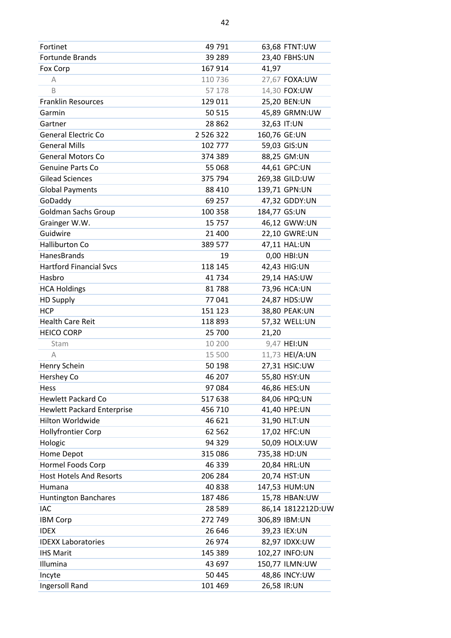| Fortinet                          | 49 791        | 63,68 FTNT:UW     |
|-----------------------------------|---------------|-------------------|
| Fortunde Brands                   | 39 289        | 23,40 FBHS:UN     |
| Fox Corp                          | 167 914       | 41,97             |
| А                                 | 110 736       | 27,67 FOXA:UW     |
| B                                 | 57 178        | 14,30 FOX:UW      |
| <b>Franklin Resources</b>         | 129 011       | 25,20 BEN:UN      |
| Garmin                            | 50 515        | 45,89 GRMN:UW     |
| Gartner                           | 28 8 62       | 32,63 IT:UN       |
| <b>General Electric Co</b>        | 2 5 2 6 3 2 2 | 160,76 GE:UN      |
| <b>General Mills</b>              | 102 777       | 59,03 GIS:UN      |
| <b>General Motors Co</b>          | 374 389       | 88,25 GM:UN       |
| <b>Genuine Parts Co</b>           | 55 068        | 44,61 GPC:UN      |
| <b>Gilead Sciences</b>            | 375 794       | 269,38 GILD:UW    |
| <b>Global Payments</b>            | 88 410        | 139,71 GPN:UN     |
| GoDaddy                           | 69 257        | 47,32 GDDY:UN     |
| <b>Goldman Sachs Group</b>        | 100 358       | 184,77 GS:UN      |
| Grainger W.W.                     | 15 7 5 7      | 46,12 GWW:UN      |
| Guidwire                          | 21 400        | 22,10 GWRE:UN     |
| <b>Halliburton Co</b>             | 389 577       | 47,11 HAL:UN      |
| HanesBrands                       | 19            | 0,00 HBI:UN       |
| <b>Hartford Financial Svcs</b>    | 118 145       | 42,43 HIG:UN      |
| Hasbro                            | 41734         | 29,14 HAS:UW      |
| <b>HCA Holdings</b>               | 81788         | 73,96 HCA:UN      |
| <b>HD Supply</b>                  | 77041         | 24,87 HDS:UW      |
| <b>HCP</b>                        | 151 123       | 38,80 PEAK:UN     |
| <b>Health Care Reit</b>           | 118 893       | 57,32 WELL:UN     |
| <b>HEICO CORP</b>                 | 25 700        | 21,20             |
| Stam                              | 10 200        | 9,47 HEI:UN       |
| A                                 | 15 500        | 11,73 HEI/A:UN    |
| Henry Schein                      | 50 198        | 27,31 HSIC:UW     |
| Hershey Co                        | 46 207        | 55,80 HSY:UN      |
| Hess                              | 97 084        | 46,86 HES:UN      |
| <b>Hewlett Packard Co</b>         | 517 638       | 84,06 HPQ:UN      |
| <b>Hewlett Packard Enterprise</b> | 456 710       | 41,40 HPE:UN      |
| Hilton Worldwide                  | 46 621        | 31,90 HLT:UN      |
| <b>Hollyfrontier Corp</b>         | 62 5 62       | 17,02 HFC:UN      |
| Hologic                           | 94 329        | 50,09 HOLX:UW     |
| Home Depot                        | 315 086       | 735,38 HD:UN      |
| Hormel Foods Corp                 | 46 339        | 20,84 HRL:UN      |
| <b>Host Hotels And Resorts</b>    | 206 284       | 20,74 HST:UN      |
| Humana                            | 40838         | 147,53 HUM:UN     |
| <b>Huntington Banchares</b>       | 187486        | 15,78 HBAN:UW     |
| <b>IAC</b>                        | 28 5 89       | 86,14 1812212D:UW |
| <b>IBM Corp</b>                   | 272 749       | 306,89 IBM:UN     |
| <b>IDEX</b>                       | 26 646        | 39,23 IEX:UN      |
| <b>IDEXX Laboratories</b>         | 26 974        | 82,97 IDXX:UW     |
| <b>IHS Marit</b>                  | 145 389       | 102,27 INFO:UN    |
| Illumina                          | 43 697        | 150,77 ILMN:UW    |
| Incyte                            | 50 445        | 48,86 INCY:UW     |
| Ingersoll Rand                    | 101 469       | 26,58 IR:UN       |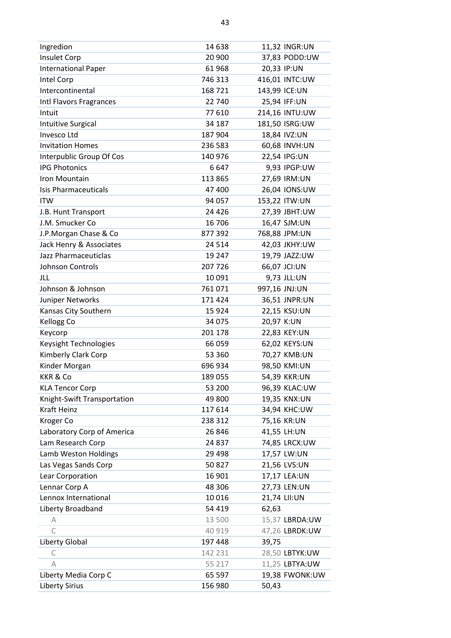| Ingredion                   | 14 638  | 11,32 INGR:UN  |
|-----------------------------|---------|----------------|
| Insulet Corp                | 20 900  | 37,83 PODD:UW  |
| <b>International Paper</b>  | 61 968  | 20,33 IP:UN    |
| Intel Corp                  | 746 313 | 416,01 INTC:UW |
| Intercontinental            | 168721  | 143,99 ICE:UN  |
| Intl Flavors Fragrances     | 22 740  | 25,94 IFF:UN   |
| Intuit                      | 77 610  | 214,16 INTU:UW |
| Intuitive Surgical          | 34 187  | 181,50 ISRG:UW |
| Invesco Ltd                 | 187 904 | 18,84 IVZ:UN   |
| <b>Invitation Homes</b>     | 236 583 | 60,68 INVH:UN  |
| Interpublic Group Of Cos    | 140 976 | 22,54 IPG:UN   |
| <b>IPG Photonics</b>        | 6647    | 9,93 IPGP:UW   |
| Iron Mountain               | 113 865 | 27,69 IRM:UN   |
| <b>Isis Pharmaceuticals</b> | 47 400  | 26,04 IONS:UW  |
| <b>ITW</b>                  | 94 057  | 153,22 ITW:UN  |
| J.B. Hunt Transport         | 24 4 26 | 27,39 JBHT:UW  |
| J.M. Smucker Co             | 16 706  | 16,47 SJM:UN   |
| J.P.Morgan Chase & Co       | 877 392 | 768,88 JPM:UN  |
| Jack Henry & Associates     | 24 5 14 | 42,03 JKHY:UW  |
| Jazz Pharmaceuticlas        | 19 247  | 19,79 JAZZ:UW  |
| Johnson Controls            | 207 726 | 66,07 JCI:UN   |
| JLL                         | 10 091  | 9,73 JLL:UN    |
| Johnson & Johnson           | 761071  | 997,16 JNJ:UN  |
| Juniper Networks            | 171 424 | 36,51 JNPR:UN  |
| Kansas City Southern        | 15 9 24 | 22,15 KSU:UN   |
| Kellogg Co                  | 34 075  | 20,97 K:UN     |
| Keycorp                     | 201 178 | 22,83 KEY:UN   |
| Keysight Technologies       | 66 059  | 62,02 KEYS:UN  |
| Kimberly Clark Corp         | 53 360  | 70,27 KMB:UN   |
| Kinder Morgan               | 696 934 | 98,50 KMI:UN   |
| <b>KKR &amp; Co</b>         | 189 055 | 54,39 KKR:UN   |
| <b>KLA Tencor Corp</b>      | 53 200  | 96,39 KLAC:UW  |
| Knight-Swift Transportation | 49 800  | 19,35 KNX:UN   |
| <b>Kraft Heinz</b>          | 117 614 | 34,94 KHC:UW   |
| Kroger Co                   | 238 312 | 75,16 KR:UN    |
| Laboratory Corp of America  | 26 846  | 41,55 LH:UN    |
| Lam Research Corp           | 24 837  | 74,85 LRCX:UW  |
| Lamb Weston Holdings        | 29 4 98 | 17,57 LW:UN    |
| Las Vegas Sands Corp        | 50827   | 21,56 LVS:UN   |
| Lear Corporation            | 16 901  | 17,17 LEA:UN   |
| Lennar Corp A               | 48 30 6 | 27,73 LEN:UN   |
| Lennox International        | 10016   | 21,74 LII:UN   |
| Liberty Broadband           | 54 419  | 62,63          |
| А                           | 13 500  | 15,37 LBRDA:UW |
| C                           | 40 919  | 47,26 LBRDK:UW |
| Liberty Global              | 197 448 | 39,75          |
| C                           | 142 231 | 28,50 LBTYK:UW |
| А                           | 55 217  | 11,25 LBTYA:UW |
| Liberty Media Corp C        | 65 597  | 19,38 FWONK:UW |
| <b>Liberty Sirius</b>       | 156 980 | 50,43          |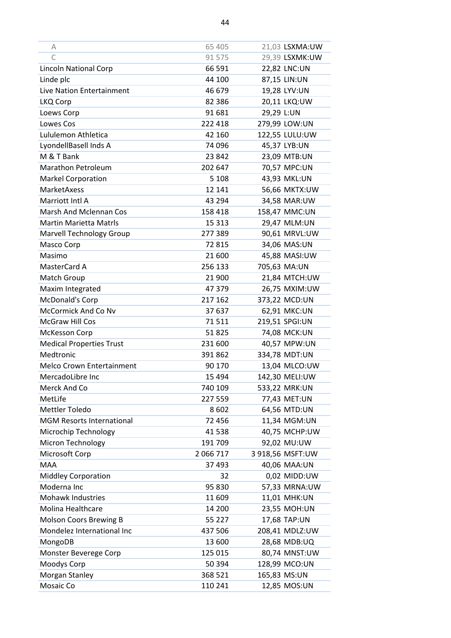| A                                | 65 405    | 21,03 LSXMA:UW   |
|----------------------------------|-----------|------------------|
| C                                | 91 575    | 29,39 LSXMK:UW   |
| Lincoln National Corp            | 66 591    | 22,82 LNC:UN     |
| Linde plc                        | 44 100    | 87,15 LIN:UN     |
| Live Nation Entertainment        | 46 679    | 19,28 LYV:UN     |
| LKQ Corp                         | 82 3 86   | 20,11 LKQ:UW     |
| Loews Corp                       | 91 681    | 29,29 L:UN       |
| Lowes Cos                        | 222 418   | 279,99 LOW:UN    |
| Lululemon Athletica              | 42 160    | 122,55 LULU:UW   |
| LyondellBasell Inds A            | 74 096    | 45,37 LYB:UN     |
| M & T Bank                       | 23 842    | 23,09 MTB:UN     |
| <b>Marathon Petroleum</b>        | 202 647   | 70,57 MPC:UN     |
| <b>Markel Corporation</b>        | 5 1 0 8   | 43,93 MKL:UN     |
| <b>MarketAxess</b>               | 12 14 1   | 56,66 MKTX:UW    |
| Marriott Intl A                  | 43 294    | 34,58 MAR:UW     |
| <b>Marsh And Mclennan Cos</b>    | 158 418   | 158,47 MMC:UN    |
| <b>Martin Marietta Matrls</b>    | 15 3 13   | 29,47 MLM:UN     |
| Marvell Technology Group         | 277 389   | 90,61 MRVL:UW    |
| Masco Corp                       | 72 815    | 34,06 MAS:UN     |
| Masimo                           | 21 600    | 45,88 MASI:UW    |
| MasterCard A                     | 256 133   | 705,63 MA:UN     |
| Match Group                      | 21 900    | 21,84 MTCH:UW    |
| Maxim Integrated                 | 47 379    | 26,75 MXIM:UW    |
| McDonald's Corp                  | 217 162   | 373,22 MCD:UN    |
| McCormick And Co Nv              | 37 637    | 62,91 MKC:UN     |
| McGraw Hill Cos                  | 71511     | 219,51 SPGI:UN   |
| McKesson Corp                    | 51825     | 74,08 MCK:UN     |
| <b>Medical Properties Trust</b>  | 231 600   | 40,57 MPW:UN     |
| Medtronic                        | 391 862   | 334,78 MDT:UN    |
| <b>Melco Crown Entertainment</b> | 90 170    | 13,04 MLCO:UW    |
| MercadoLibre Inc                 | 15 4 94   | 142,30 MELI:UW   |
| Merck And Co                     | 740 109   | 533,22 MRK:UN    |
| MetLife                          | 227 559   | 77,43 MET:UN     |
| Mettler Toledo                   | 8602      | 64,56 MTD:UN     |
| <b>MGM Resorts International</b> | 72 456    | 11,34 MGM:UN     |
| Microchip Technology             | 41 538    | 40,75 MCHP:UW    |
| Micron Technology                | 191 709   | 92,02 MU:UW      |
| Microsoft Corp                   | 2 066 717 | 3 918,56 MSFT:UW |
| <b>MAA</b>                       | 37 493    | 40,06 MAA:UN     |
| <b>Middley Corporation</b>       | 32        | 0,02 MIDD:UW     |
| Moderna Inc                      | 95 830    | 57,33 MRNA:UW    |
| <b>Mohawk Industries</b>         | 11 609    | 11,01 MHK:UN     |
| Molina Healthcare                | 14 200    | 23,55 MOH:UN     |
| Molson Coors Brewing B           | 55 227    | 17,68 TAP:UN     |
| Mondelez International Inc       | 437 506   | 208,41 MDLZ:UW   |
| MongoDB                          | 13 600    | 28,68 MDB:UQ     |
| Monster Beverege Corp            | 125 015   | 80,74 MNST:UW    |
| Moodys Corp                      | 50 394    | 128,99 MCO:UN    |
| Morgan Stanley                   | 368 521   | 165,83 MS:UN     |
| Mosaic Co                        | 110 241   | 12,85 MOS:UN     |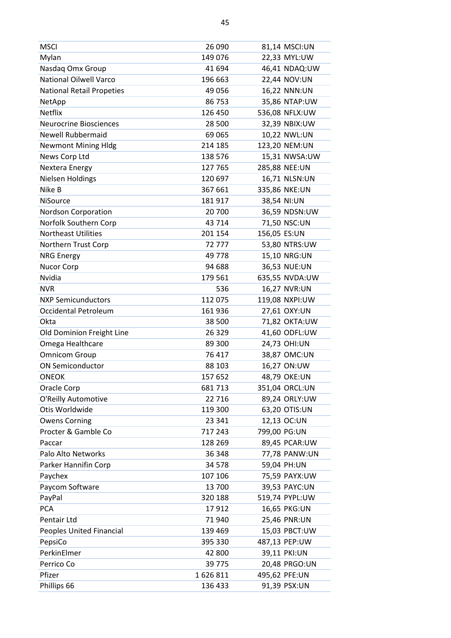| <b>MSCI</b>                      | 26 090   | 81,14 MSCI:UN  |
|----------------------------------|----------|----------------|
| Mylan                            | 149 076  | 22,33 MYL:UW   |
| Nasdaq Omx Group                 | 41 694   | 46,41 NDAQ:UW  |
| <b>National Oilwell Varco</b>    | 196 663  | 22,44 NOV:UN   |
| <b>National Retail Propeties</b> | 49 0 56  | 16,22 NNN:UN   |
| NetApp                           | 86 753   | 35,86 NTAP:UW  |
| <b>Netflix</b>                   | 126 450  | 536,08 NFLX:UW |
| <b>Neurocrine Biosciences</b>    | 28 500   | 32,39 NBIX:UW  |
| <b>Newell Rubbermaid</b>         | 69 0 65  | 10,22 NWL:UN   |
| <b>Newmont Mining Hldg</b>       | 214 185  | 123,20 NEM:UN  |
| News Corp Ltd                    | 138 576  | 15,31 NWSA:UW  |
| Nextera Energy                   | 127 765  | 285,88 NEE:UN  |
| Nielsen Holdings                 | 120 697  | 16,71 NLSN:UN  |
| Nike B                           | 367 661  | 335,86 NKE:UN  |
| <b>NiSource</b>                  | 181917   | 38,54 NI:UN    |
| <b>Nordson Corporation</b>       | 20 700   | 36,59 NDSN:UW  |
| Norfolk Southern Corp            | 43 714   | 71,50 NSC:UN   |
| <b>Northeast Utilities</b>       | 201 154  | 156,05 ES:UN   |
| Northern Trust Corp              | 72777    | 53,80 NTRS:UW  |
| <b>NRG Energy</b>                | 49 778   | 15,10 NRG:UN   |
| Nucor Corp                       | 94 688   | 36,53 NUE:UN   |
| Nvidia                           | 179 561  | 635,55 NVDA:UW |
| <b>NVR</b>                       | 536      | 16,27 NVR:UN   |
| <b>NXP Semicunductors</b>        | 112 075  | 119,08 NXPI:UW |
| <b>Occidental Petroleum</b>      | 161 936  | 27,61 OXY:UN   |
| Okta                             | 38 500   | 71,82 OKTA:UW  |
| Old Dominion Freight Line        | 26 3 29  | 41,60 ODFL:UW  |
| Omega Healthcare                 | 89 300   | 24,73 OHI:UN   |
| <b>Omnicom Group</b>             | 76 417   | 38,87 OMC:UN   |
| <b>ON Semiconductor</b>          | 88 103   | 16,27 ON:UW    |
| <b>ONEOK</b>                     | 157 652  | 48,79 OKE:UN   |
| Oracle Corp                      | 681713   | 351,04 ORCL:UN |
| O'Reilly Automotive              | 22 716   | 89,24 ORLY:UW  |
| Otis Worldwide                   | 119 300  | 63,20 OTIS:UN  |
| <b>Owens Corning</b>             | 23 341   | 12,13 OC:UN    |
| Procter & Gamble Co              | 717 243  | 799,00 PG:UN   |
| Paccar                           | 128 269  | 89,45 PCAR:UW  |
| Palo Alto Networks               | 36 348   | 77,78 PANW:UN  |
| Parker Hannifin Corp             | 34 5 78  | 59,04 PH:UN    |
| Paychex                          | 107 106  | 75,59 PAYX:UW  |
| Paycom Software                  | 13 700   | 39,53 PAYC:UN  |
| PayPal                           | 320 188  | 519,74 PYPL:UW |
| <b>PCA</b>                       | 17912    | 16,65 PKG:UN   |
| Pentair Ltd                      | 71 940   | 25,46 PNR:UN   |
| Peoples United Financial         | 139 469  | 15,03 PBCT:UW  |
| PepsiCo                          | 395 330  | 487,13 PEP:UW  |
| PerkinElmer                      | 42 800   | 39,11 PKI:UN   |
| Perrico Co                       | 39 7 7 5 | 20,48 PRGO:UN  |
| Pfizer                           | 1626811  | 495,62 PFE:UN  |
| Phillips 66                      | 136 433  | 91,39 PSX:UN   |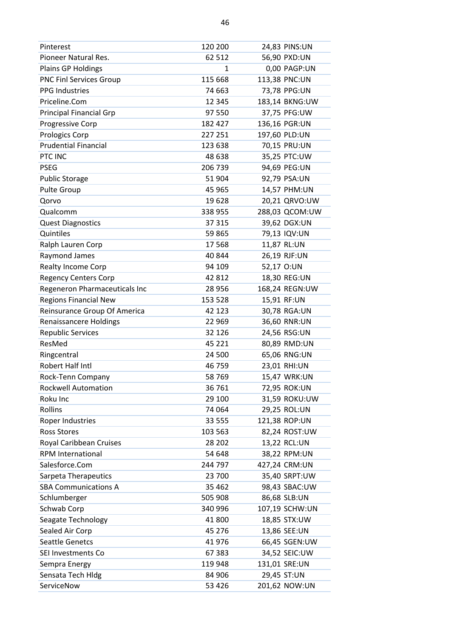| Pinterest                      | 120 200  | 24,83 PINS:UN  |
|--------------------------------|----------|----------------|
| Pioneer Natural Res.           | 62 512   | 56,90 PXD:UN   |
| Plains GP Holdings             | 1        | 0,00 PAGP:UN   |
| <b>PNC Finl Services Group</b> | 115 668  | 113,38 PNC:UN  |
| <b>PPG Industries</b>          | 74 663   | 73,78 PPG:UN   |
| Priceline.Com                  | 12 3 45  | 183,14 BKNG:UW |
| <b>Principal Financial Grp</b> | 97 550   | 37,75 PFG:UW   |
| Progressive Corp               | 182 427  | 136,16 PGR:UN  |
| Prologics Corp                 | 227 251  | 197,60 PLD:UN  |
| <b>Prudential Financial</b>    | 123 638  | 70,15 PRU:UN   |
| PTC INC                        | 48 638   | 35,25 PTC:UW   |
| <b>PSEG</b>                    | 206 739  | 94,69 PEG:UN   |
| <b>Public Storage</b>          | 51 904   | 92,79 PSA:UN   |
| <b>Pulte Group</b>             | 45 965   | 14,57 PHM:UN   |
| Qorvo                          | 19628    | 20,21 QRVO:UW  |
| Qualcomm                       | 338 955  | 288,03 QCOM:UW |
| <b>Quest Diagnostics</b>       | 37 315   | 39,62 DGX:UN   |
| Quintiles                      | 59865    | 79,13 IQV:UN   |
| Ralph Lauren Corp              | 17 5 68  | 11,87 RL:UN    |
| Raymond James                  | 40 844   | 26,19 RJF:UN   |
| Realty Income Corp             | 94 109   | 52,17 O:UN     |
| <b>Regency Centers Corp</b>    | 42 812   | 18,30 REG:UN   |
| Regeneron Pharmaceuticals Inc  | 28 956   | 168,24 REGN:UW |
| <b>Regions Financial New</b>   | 153 528  | 15,91 RF:UN    |
| Reinsurance Group Of America   | 42 123   | 30,78 RGA:UN   |
|                                |          |                |
| <b>Renaissancere Holdings</b>  | 22 969   | 36,60 RNR:UN   |
| <b>Republic Services</b>       | 32 126   | 24,56 RSG:UN   |
| ResMed                         | 45 2 2 1 | 80,89 RMD:UN   |
| Ringcentral                    | 24 500   | 65,06 RNG:UN   |
| Robert Half Intl               | 46 759   | 23,01 RHI:UN   |
| Rock-Tenn Company              | 58 769   | 15,47 WRK:UN   |
| <b>Rockwell Automation</b>     | 36 761   | 72,95 ROK:UN   |
| Roku Inc                       | 29 100   | 31,59 ROKU:UW  |
| Rollins                        | 74 064   | 29,25 ROL:UN   |
| Roper Industries               | 33 555   | 121,38 ROP:UN  |
| <b>Ross Stores</b>             | 103 563  | 82,24 ROST:UW  |
| Royal Caribbean Cruises        | 28 202   | 13,22 RCL:UN   |
| <b>RPM International</b>       | 54 648   | 38,22 RPM:UN   |
| Salesforce.Com                 | 244 797  | 427,24 CRM:UN  |
| Sarpeta Therapeutics           | 23 700   | 35,40 SRPT:UW  |
| <b>SBA Communications A</b>    | 35 4 62  | 98,43 SBAC:UW  |
| Schlumberger                   | 505 908  | 86,68 SLB:UN   |
| Schwab Corp                    | 340 996  | 107,19 SCHW:UN |
| Seagate Technology             | 41 800   | 18,85 STX:UW   |
| Sealed Air Corp                | 45 276   | 13,86 SEE:UN   |
| <b>Seattle Genetcs</b>         | 41 976   | 66,45 SGEN:UW  |
| SEI Investments Co             | 67 383   | 34,52 SEIC:UW  |
| Sempra Energy                  | 119 948  | 131,01 SRE:UN  |
| Sensata Tech Hldg              | 84 906   | 29,45 ST:UN    |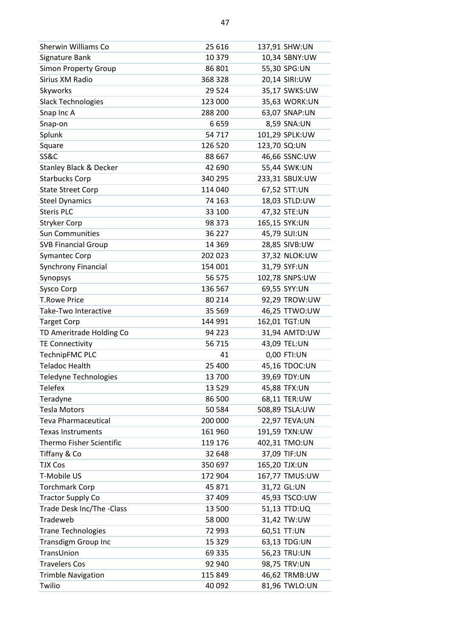| Sherwin Williams Co               | 25 616  | 137,91 SHW:UN  |
|-----------------------------------|---------|----------------|
| Signature Bank                    | 10 379  | 10,34 SBNY:UW  |
| <b>Simon Property Group</b>       | 86 801  | 55,30 SPG:UN   |
| Sirius XM Radio                   | 368 328 | 20,14 SIRI:UW  |
| Skyworks                          | 29 5 24 | 35,17 SWKS:UW  |
| <b>Slack Technologies</b>         | 123 000 | 35,63 WORK:UN  |
| Snap Inc A                        | 288 200 | 63,07 SNAP:UN  |
| Snap-on                           | 6659    | 8,59 SNA:UN    |
| Splunk                            | 54 717  | 101,29 SPLK:UW |
| Square                            | 126 520 | 123,70 SQ:UN   |
| <b>SS&amp;C</b>                   | 88 667  | 46,66 SSNC:UW  |
| <b>Stanley Black &amp; Decker</b> | 42 690  | 55,44 SWK:UN   |
| <b>Starbucks Corp</b>             | 340 295 | 233,31 SBUX:UW |
| <b>State Street Corp</b>          | 114 040 | 67,52 STT:UN   |
| <b>Steel Dynamics</b>             | 74 163  | 18,03 STLD:UW  |
| <b>Steris PLC</b>                 | 33 100  | 47,32 STE:UN   |
| <b>Stryker Corp</b>               | 98 373  | 165,15 SYK:UN  |
| <b>Sun Communities</b>            | 36 227  | 45,79 SUI:UN   |
| <b>SVB Financial Group</b>        | 14 3 69 | 28,85 SIVB:UW  |
| <b>Symantec Corp</b>              | 202 023 | 37,32 NLOK:UW  |
| <b>Synchrony Financial</b>        | 154 001 | 31,79 SYF:UN   |
| Synopsys                          | 56 575  | 102,78 SNPS:UW |
| Sysco Corp                        | 136 567 | 69,55 SYY:UN   |
| <b>T.Rowe Price</b>               | 80 214  | 92,29 TROW:UW  |
| Take-Two Interactive              | 35 5 69 | 46,25 TTWO:UW  |
| <b>Target Corp</b>                | 144 991 | 162,01 TGT:UN  |
| TD Ameritrade Holding Co          | 94 2 23 | 31,94 AMTD:UW  |
| <b>TE Connectivity</b>            | 56 715  | 43,09 TEL:UN   |
| TechnipFMC PLC                    | 41      | 0,00 FTI:UN    |
| <b>Teladoc Health</b>             | 25 400  | 45,16 TDOC:UN  |
| Teledyne Technologies             | 13 700  | 39,69 TDY:UN   |
| <b>Telefex</b>                    | 13 5 29 | 45,88 TFX:UN   |
| Teradyne                          | 86 500  | 68,11 TER:UW   |
| <b>Tesla Motors</b>               | 50 584  | 508,89 TSLA:UW |
| <b>Teva Pharmaceutical</b>        | 200 000 | 22,97 TEVA:UN  |
| <b>Texas Instruments</b>          | 161 960 | 191,59 TXN:UW  |
| Thermo Fisher Scientific          | 119 176 | 402,31 TMO:UN  |
| Tiffany & Co                      | 32 648  | 37,09 TIF:UN   |
| <b>TJX Cos</b>                    | 350 697 | 165,20 TJX:UN  |
| T-Mobile US                       | 172 904 | 167,77 TMUS:UW |
| <b>Torchmark Corp</b>             | 45 871  | 31,72 GL:UN    |
| <b>Tractor Supply Co</b>          | 37 409  | 45,93 TSCO:UW  |
| Trade Desk Inc/The -Class         | 13 500  | 51,13 TTD:UQ   |
| Tradeweb                          | 58 000  | 31,42 TW:UW    |
| <b>Trane Technologies</b>         | 72 993  | 60,51 TT:UN    |
| <b>Transdigm Group Inc</b>        | 15 3 29 | 63,13 TDG:UN   |
| TransUnion                        |         |                |
|                                   | 69 335  | 56,23 TRU:UN   |
| <b>Travelers Cos</b>              | 92 940  | 98,75 TRV:UN   |
| <b>Trimble Navigation</b>         | 115 849 | 46,62 TRMB:UW  |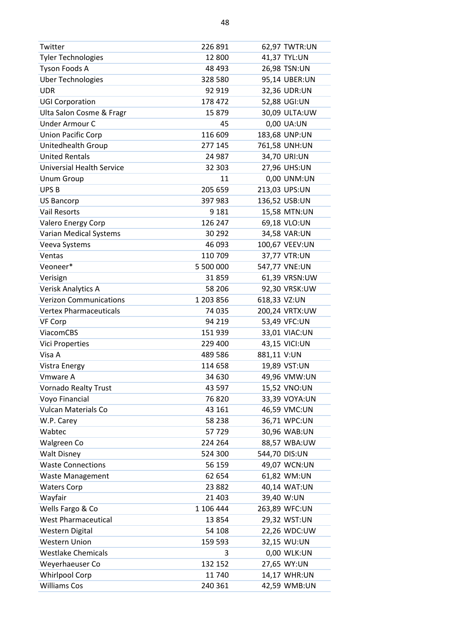| Twitter                          | 226 891   | 62,97 TWTR:UN  |
|----------------------------------|-----------|----------------|
| <b>Tyler Technologies</b>        | 12 800    | 41,37 TYL:UN   |
| Tyson Foods A                    | 48 493    | 26,98 TSN:UN   |
| <b>Uber Technologies</b>         | 328 580   | 95,14 UBER:UN  |
| <b>UDR</b>                       | 92 919    | 32,36 UDR:UN   |
| <b>UGI Corporation</b>           | 178 472   | 52,88 UGI:UN   |
| Ulta Salon Cosme & Fragr         | 15 879    | 30,09 ULTA:UW  |
| Under Armour C                   | 45        | 0,00 UA:UN     |
| <b>Union Pacific Corp</b>        | 116 609   | 183,68 UNP:UN  |
| Unitedhealth Group               | 277 145   | 761,58 UNH:UN  |
| <b>United Rentals</b>            | 24 987    | 34,70 URI:UN   |
| <b>Universial Health Service</b> | 32 303    | 27,96 UHS:UN   |
| <b>Unum Group</b>                | 11        | 0,00 UNM:UN    |
| UPS <sub>B</sub>                 | 205 659   | 213,03 UPS:UN  |
| <b>US Bancorp</b>                | 397 983   | 136,52 USB:UN  |
| <b>Vail Resorts</b>              | 9 1 8 1   | 15,58 MTN:UN   |
| Valero Energy Corp               | 126 247   | 69,18 VLO:UN   |
| <b>Varian Medical Systems</b>    | 30 29 2   | 34,58 VAR:UN   |
| Veeva Systems                    | 46 093    | 100,67 VEEV:UN |
| Ventas                           | 110 709   | 37,77 VTR:UN   |
| Veoneer*                         | 5 500 000 | 547,77 VNE:UN  |
| Verisign                         | 31859     | 61,39 VRSN:UW  |
| Verisk Analytics A               | 58 206    | 92,30 VRSK:UW  |
| <b>Verizon Communications</b>    | 1 203 856 | 618,33 VZ:UN   |
| <b>Vertex Pharmaceuticals</b>    | 74 035    | 200,24 VRTX:UW |
| VF Corp                          | 94 219    | 53,49 VFC:UN   |
| ViacomCBS                        | 151 939   | 33,01 VIAC:UN  |
| <b>Vici Properties</b>           | 229 400   | 43,15 VICI:UN  |
| Visa A                           | 489 586   | 881,11 V:UN    |
| <b>Vistra Energy</b>             | 114 658   | 19,89 VST:UN   |
| Vmware A                         | 34 630    | 49,96 VMW:UN   |
| <b>Vornado Realty Trust</b>      | 43 597    | 15,52 VNO:UN   |
| Voyo Financial                   | 76 820    | 33,39 VOYA:UN  |
| <b>Vulcan Materials Co</b>       | 43 161    | 46,59 VMC:UN   |
| W.P. Carey                       | 58 238    | 36,71 WPC:UN   |
| Wabtec                           | 57729     | 30,96 WAB:UN   |
| Walgreen Co                      | 224 264   | 88,57 WBA:UW   |
| <b>Walt Disney</b>               | 524 300   | 544,70 DIS:UN  |
| <b>Waste Connections</b>         | 56 159    | 49,07 WCN:UN   |
| <b>Waste Management</b>          | 62 654    | 61,82 WM:UN    |
| <b>Waters Corp</b>               | 23 882    | 40,14 WAT:UN   |
| Wayfair                          | 21 4 03   | 39,40 W:UN     |
| Wells Fargo & Co                 | 1 106 444 | 263,89 WFC:UN  |
| <b>West Pharmaceutical</b>       | 13854     | 29,32 WST:UN   |
| <b>Western Digital</b>           | 54 108    | 22,26 WDC:UW   |
| <b>Western Union</b>             | 159 593   | 32,15 WU:UN    |
| <b>Westlake Chemicals</b>        | 3         | 0,00 WLK:UN    |
| Weyerhaeuser Co                  | 132 152   | 27,65 WY:UN    |
| <b>Whirlpool Corp</b>            | 11740     | 14,17 WHR:UN   |
| <b>Williams Cos</b>              | 240 361   | 42,59 WMB:UN   |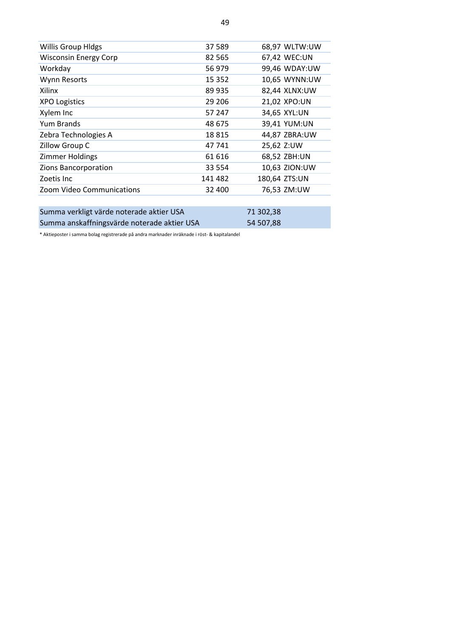| <b>Willis Group Hldgs</b>                   | 37 589  |           | 68,97 WLTW:UW |
|---------------------------------------------|---------|-----------|---------------|
| <b>Wisconsin Energy Corp</b>                | 82 565  |           | 67,42 WEC:UN  |
| Workday                                     | 56 979  |           | 99,46 WDAY:UW |
| Wynn Resorts                                | 15 3 52 |           | 10,65 WYNN:UW |
| Xilinx                                      | 89 935  |           | 82,44 XLNX:UW |
| <b>XPO Logistics</b>                        | 29 206  |           | 21,02 XPO:UN  |
| Xylem Inc                                   | 57 247  |           | 34,65 XYL:UN  |
| Yum Brands                                  | 48 675  |           | 39,41 YUM:UN  |
| Zebra Technologies A                        | 18815   |           | 44,87 ZBRA:UW |
| Zillow Group C                              | 47 741  |           | 25,62 Z:UW    |
| Zimmer Holdings                             | 61 616  |           | 68,52 ZBH:UN  |
| Zions Bancorporation                        | 33 5 54 |           | 10,63 ZION:UW |
| Zoetis Inc                                  | 141 482 |           | 180,64 ZTS:UN |
| Zoom Video Communications                   | 32 400  |           | 76,53 ZM:UW   |
|                                             |         |           |               |
| Summa verkligt värde noterade aktier USA    |         | 71 302,38 |               |
| Summa anskaffningsvärde noterade aktier USA |         | 54 507,88 |               |

\* Aktieposter i samma bolag registrerade på andra marknader inräknade i röst- & kapitalandel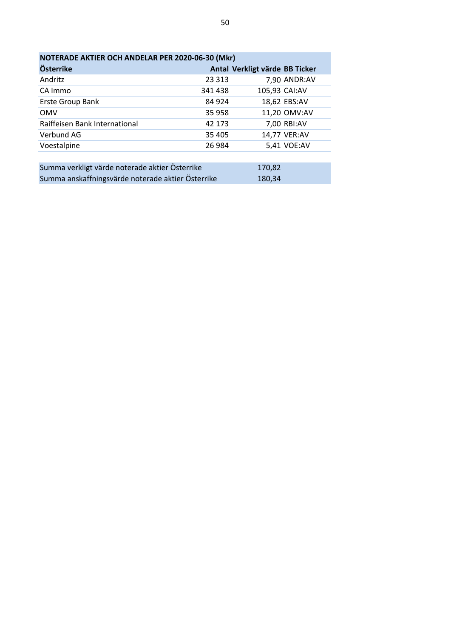| NOTERADE AKTIER OCH ANDELAR PER 2020-06-30 (Mkr) |         |                                |  |  |
|--------------------------------------------------|---------|--------------------------------|--|--|
| Österrike                                        |         | Antal Verkligt värde BB Ticker |  |  |
| Andritz                                          | 23 3 13 | 7,90 ANDR:AV                   |  |  |
| CA Immo                                          | 341438  | 105,93 CAI:AV                  |  |  |
| Erste Group Bank                                 | 84 924  | 18,62 EBS:AV                   |  |  |
| <b>OMV</b>                                       | 35 958  | 11,20 OMV:AV                   |  |  |
| Raiffeisen Bank International                    | 42 173  | 7,00 RBI:AV                    |  |  |
| Verbund AG                                       | 35 405  | 14,77 VER:AV                   |  |  |
| Voestalpine                                      | 26 984  | 5,41 VOE:AV                    |  |  |
|                                                  |         |                                |  |  |

| Summa verkligt värde noterade aktier Österrike    | 170.82 |
|---------------------------------------------------|--------|
| Summa anskaffningsvärde noterade aktier Österrike | 180.34 |